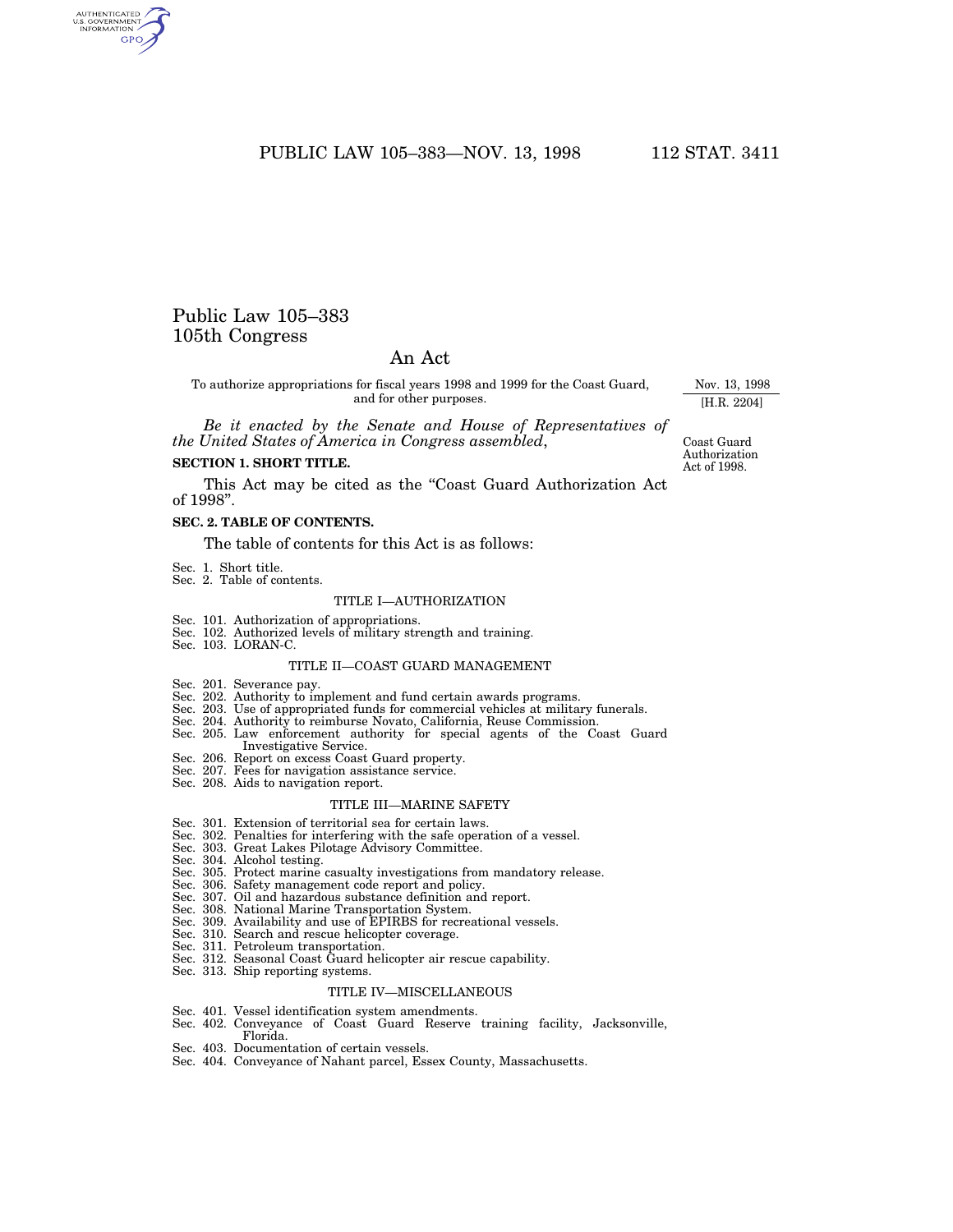# PUBLIC LAW 105-383-NOV. 13, 1998 112 STAT. 3411

# Public Law 105–383 105th Congress

# An Act

To authorize appropriations for fiscal years 1998 and 1999 for the Coast Guard, and for other purposes.

*Be it enacted by the Senate and House of Representatives of the United States of America in Congress assembled*,

# **SECTION 1. SHORT TITLE.**

This Act may be cited as the "Coast Guard Authorization Act of 1998''.

#### **SEC. 2. TABLE OF CONTENTS.**

The table of contents for this Act is as follows:

- Sec. 1. Short title.
- Sec. 2. Table of contents.

# TITLE I—AUTHORIZATION

- Sec. 101. Authorization of appropriations.
- Sec. 102. Authorized levels of military strength and training. Sec. 103. LORAN-C.
- 

#### TITLE II—COAST GUARD MANAGEMENT

- Sec. 201. Severance pay.
- Sec. 202. Authority to implement and fund certain awards programs.
- Sec. 203. Use of appropriated funds for commercial vehicles at military funerals.
- Sec. 204. Authority to reimburse Novato, California, Reuse Commission.
- Sec. 205. Law enforcement authority for special agents of the Coast Guard Investigative Service.
- Sec. 206. Report on excess Coast Guard property.
- Sec. 207. Fees for navigation assistance service.
- Sec. 208. Aids to navigation report.

#### TITLE III—MARINE SAFETY

- Sec. 301. Extension of territorial sea for certain laws.
- Sec. 302. Penalties for interfering with the safe operation of a vessel. Sec. 303. Great Lakes Pilotage Advisory Committee.
- 
- 
- Sec. 304. Alcohol testing. Sec. 305. Protect marine casualty investigations from mandatory release.
- Sec. 306. Safety management code report and policy.
- Sec. 307. Oil and hazardous substance definition and report. Sec. 308. National Marine Transportation System.
- 
- Sec. 309. Availability and use of EPIRBS for recreational vessels. Sec. 310. Search and rescue helicopter coverage.
- 
- 
- Sec. 311. Petroleum transportation. Sec. 312. Seasonal Coast Guard helicopter air rescue capability.
- Sec. 313. Ship reporting systems.

#### TITLE IV—MISCELLANEOUS

- Sec. 401. Vessel identification system amendments.
- Sec. 402. Conveyance of Coast Guard Reserve training facility, Jacksonville, Florida.
- Sec. 403. Documentation of certain vessels.
- Sec. 404. Conveyance of Nahant parcel, Essex County, Massachusetts.

Coast Guard Authorization Act of 1998.

Nov. 13, 1998 [H.R. 2204]

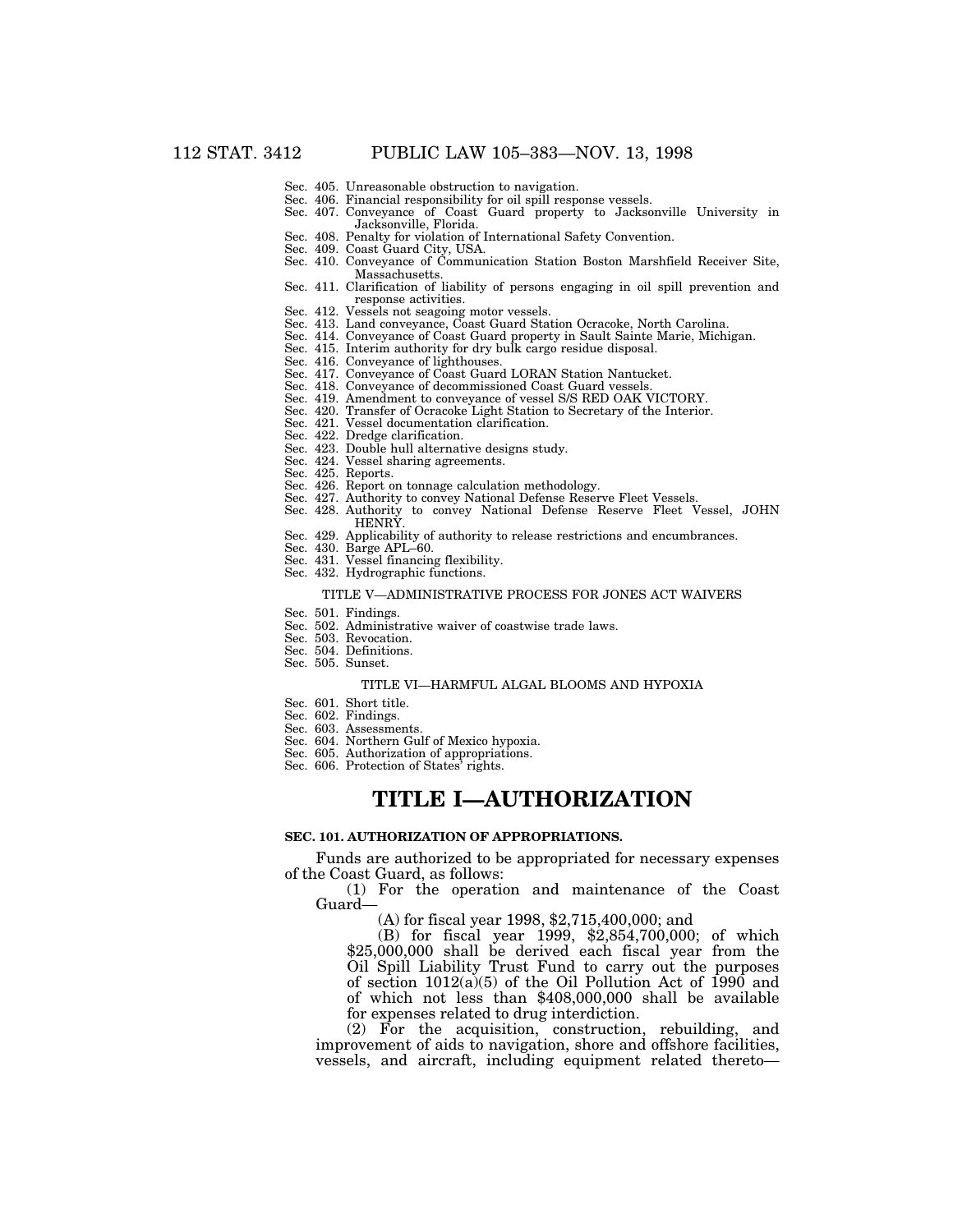- Sec. 405. Unreasonable obstruction to navigation.
- Sec. 406. Financial responsibility for oil spill response vessels.
- Sec. 407. Conveyance of Coast Guard property to Jacksonville University in Jacksonville, Florida.
- Sec. 408. Penalty for violation of International Safety Convention. Sec. 409. Coast Guard City, USA.
- Sec. 410. Conveyance of Communication Station Boston Marshfield Receiver Site, Massachusetts.
- Sec. 411. Clarification of liability of persons engaging in oil spill prevention and response activities.
- Sec. 412. Vessels not seagoing motor vessels.
- Sec. 413. Land conveyance, Coast Guard Station Ocracoke, North Carolina.
- Sec. 414. Conveyance of Coast Guard property in Sault Sainte Marie, Michigan.
- Sec. 415. Interim authority for dry bulk cargo residue disposal. Sec. 416. Conveyance of lighthouses.
- Sec. 417. Conveyance of Coast Guard LORAN Station Nantucket.
- Sec. 418. Conveyance of decommissioned Coast Guard vessels.
- Sec. 419. Amendment to conveyance of vessel S/S RED OAK VICTORY.
- Sec. 420. Transfer of Ocracoke Light Station to Secretary of the Interior.
- Sec. 421. Vessel documentation clarification.
- Sec. 422. Dredge clarification.
- Sec. 423. Double hull alternative designs study.
- Sec. 424. Vessel sharing agreements.
- Sec. 425. Reports.
- Sec. 426. Report on tonnage calculation methodology.
- Sec. 427. Authority to convey National Defense Reserve Fleet Vessels. Sec. 428. Authority to convey National Defense Reserve Fleet Vessel, JOHN HENRY.
- Sec. 429. Applicability of authority to release restrictions and encumbrances.
- Sec. 430. Barge APL–60.
- Sec. 431. Vessel financing flexibility.
- Sec. 432. Hydrographic functions.

#### TITLE V—ADMINISTRATIVE PROCESS FOR JONES ACT WAIVERS

- Sec. 501. Findings.
- Sec. 502. Administrative waiver of coastwise trade laws.
- Sec. 503. Revocation.
- Sec. 504. Definitions.
- Sec. 505. Sunset.

#### TITLE VI—HARMFUL ALGAL BLOOMS AND HYPOXIA

- Sec. 601. Short title.
- Sec. 602. Findings.
- Sec. 603. Assessments.
- Sec. 604. Northern Gulf of Mexico hypoxia. Sec. 605. Authorization of appropriations.
- 
- Sec. 606. Protection of States' rights.

# **TITLE I—AUTHORIZATION**

#### **SEC. 101. AUTHORIZATION OF APPROPRIATIONS.**

Funds are authorized to be appropriated for necessary expenses of the Coast Guard, as follows:

(1) For the operation and maintenance of the Coast Guard—

(A) for fiscal year 1998, \$2,715,400,000; and

(B) for fiscal year 1999, \$2,854,700,000; of which \$25,000,000 shall be derived each fiscal year from the Oil Spill Liability Trust Fund to carry out the purposes of section 1012(a)(5) of the Oil Pollution Act of 1990 and of which not less than \$408,000,000 shall be available for expenses related to drug interdiction.

(2) For the acquisition, construction, rebuilding, and improvement of aids to navigation, shore and offshore facilities, vessels, and aircraft, including equipment related thereto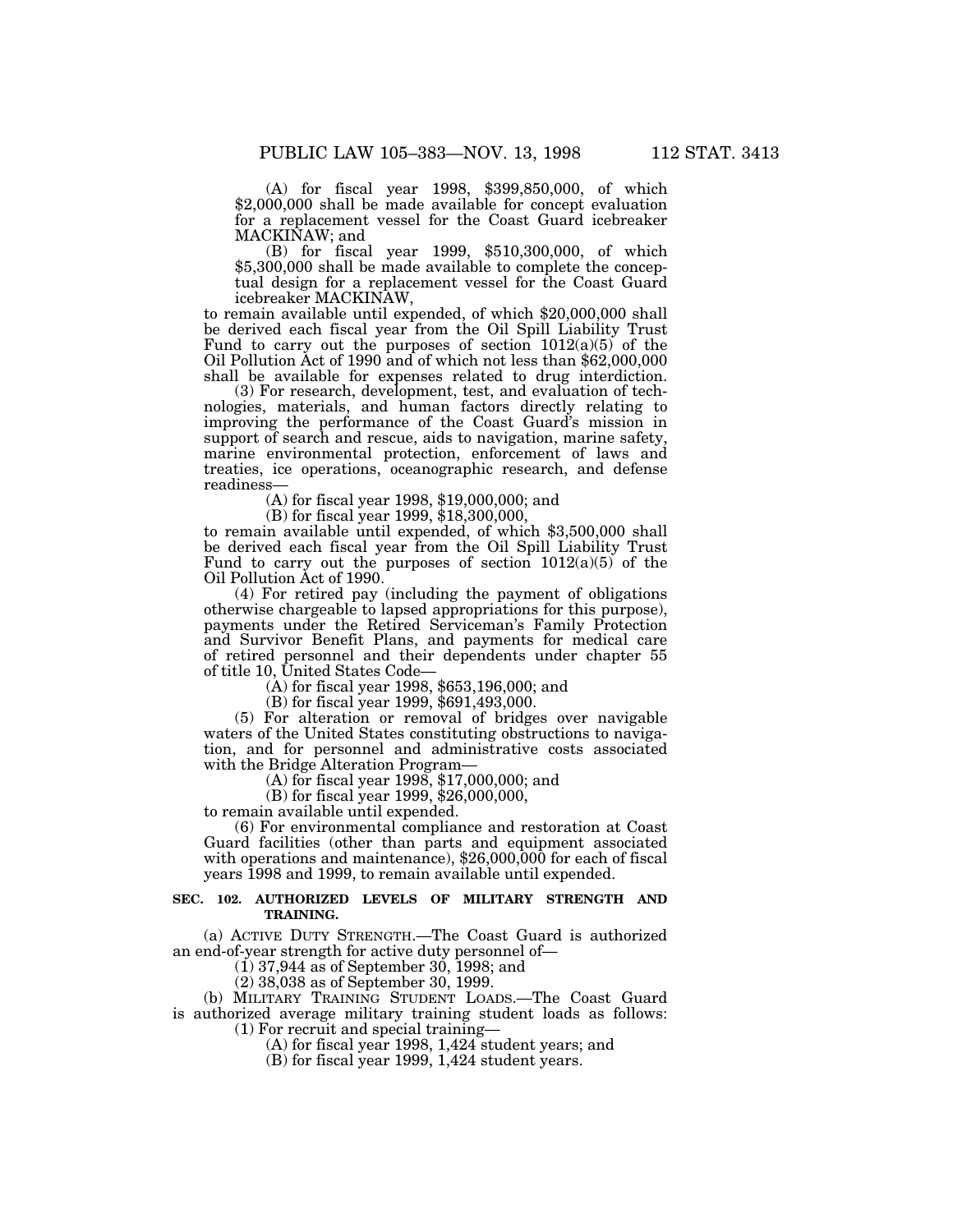(A) for fiscal year 1998, \$399,850,000, of which \$2,000,000 shall be made available for concept evaluation for a replacement vessel for the Coast Guard icebreaker MACKINAW; and

(B) for fiscal year 1999, \$510,300,000, of which \$5,300,000 shall be made available to complete the conceptual design for a replacement vessel for the Coast Guard icebreaker MACKINAW,

to remain available until expended, of which \$20,000,000 shall be derived each fiscal year from the Oil Spill Liability Trust Fund to carry out the purposes of section  $1012(a)(5)$  of the Oil Pollution Act of 1990 and of which not less than \$62,000,000 shall be available for expenses related to drug interdiction.

(3) For research, development, test, and evaluation of technologies, materials, and human factors directly relating to improving the performance of the Coast Guard's mission in support of search and rescue, aids to navigation, marine safety, marine environmental protection, enforcement of laws and treaties, ice operations, oceanographic research, and defense readiness—

(A) for fiscal year 1998, \$19,000,000; and

(B) for fiscal year 1999, \$18,300,000,

to remain available until expended, of which \$3,500,000 shall be derived each fiscal year from the Oil Spill Liability Trust Fund to carry out the purposes of section  $1012(a)(5)$  of the Oil Pollution Act of 1990.

(4) For retired pay (including the payment of obligations otherwise chargeable to lapsed appropriations for this purpose), payments under the Retired Serviceman's Family Protection and Survivor Benefit Plans, and payments for medical care of retired personnel and their dependents under chapter 55 of title 10, United States Code—

(A) for fiscal year 1998, \$653,196,000; and

(B) for fiscal year 1999, \$691,493,000.

(5) For alteration or removal of bridges over navigable waters of the United States constituting obstructions to navigation, and for personnel and administrative costs associated with the Bridge Alteration Program—

(A) for fiscal year 1998, \$17,000,000; and

(B) for fiscal year 1999, \$26,000,000,

to remain available until expended.

(6) For environmental compliance and restoration at Coast Guard facilities (other than parts and equipment associated with operations and maintenance), \$26,000,000 for each of fiscal years 1998 and 1999, to remain available until expended.

#### **SEC. 102. AUTHORIZED LEVELS OF MILITARY STRENGTH AND TRAINING.**

(a) ACTIVE DUTY STRENGTH.—The Coast Guard is authorized an end-of-year strength for active duty personnel of—

 $(1)$  37,944 as of September 30, 1998; and

(2) 38,038 as of September 30, 1999.

(b) MILITARY TRAINING STUDENT LOADS.—The Coast Guard is authorized average military training student loads as follows: (1) For recruit and special training—

(A) for fiscal year 1998, 1,424 student years; and

(B) for fiscal year 1999, 1,424 student years.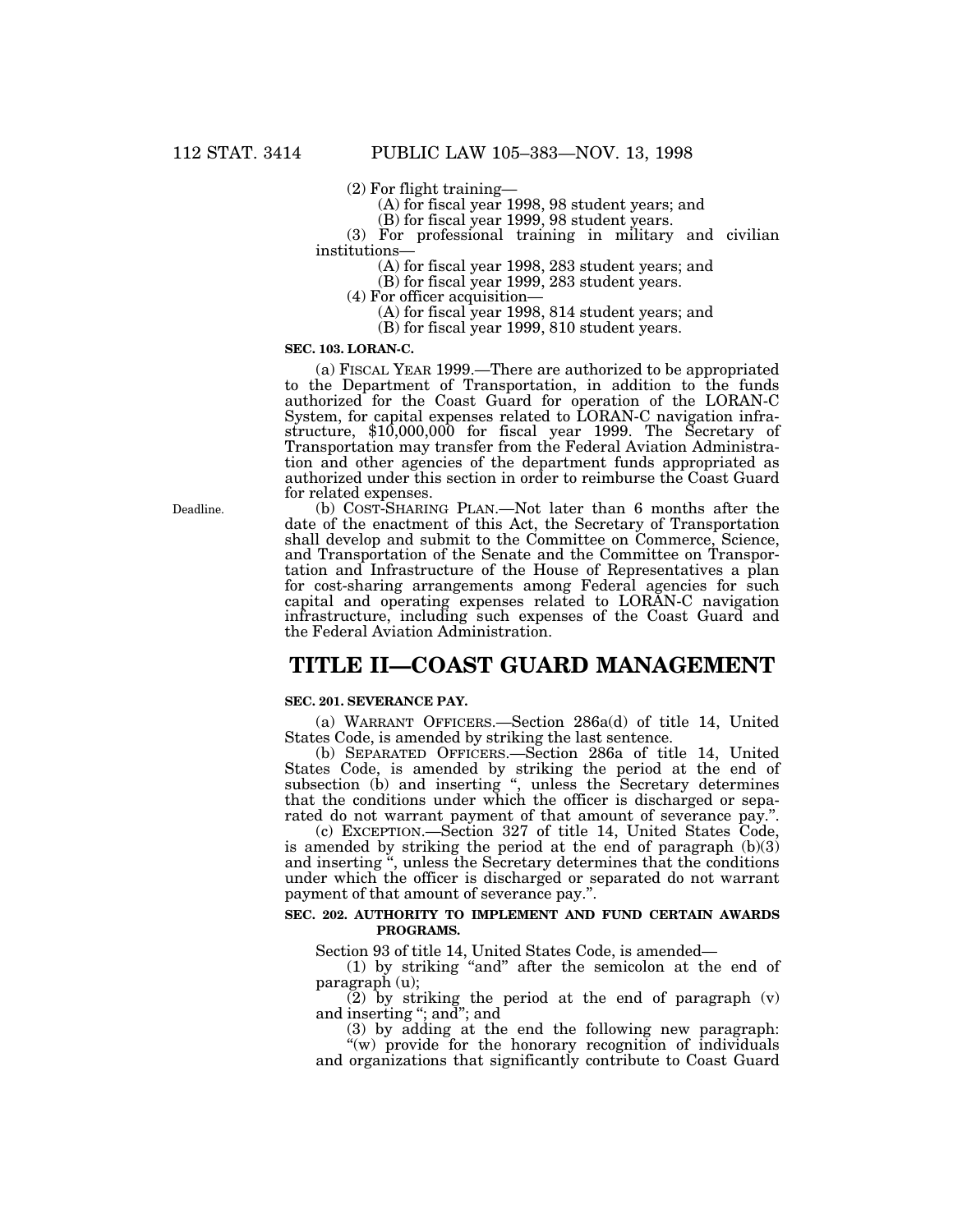(2) For flight training—

(A) for fiscal year 1998, 98 student years; and

(B) for fiscal year 1999, 98 student years.

(3) For professional training in military and civilian institutions—

(A) for fiscal year 1998, 283 student years; and

(B) for fiscal year 1999, 283 student years.

(4) For officer acquisition—

(A) for fiscal year 1998, 814 student years; and

(B) for fiscal year 1999, 810 student years.

# **SEC. 103. LORAN-C.**

(a) FISCAL YEAR 1999.—There are authorized to be appropriated to the Department of Transportation, in addition to the funds authorized for the Coast Guard for operation of the LORAN-C System, for capital expenses related to LORAN-C navigation infrastructure, \$10,000,000 for fiscal year 1999. The Secretary of Transportation may transfer from the Federal Aviation Administration and other agencies of the department funds appropriated as authorized under this section in order to reimburse the Coast Guard for related expenses.

(b) COST-SHARING PLAN.—Not later than 6 months after the date of the enactment of this Act, the Secretary of Transportation shall develop and submit to the Committee on Commerce, Science, and Transportation of the Senate and the Committee on Transportation and Infrastructure of the House of Representatives a plan for cost-sharing arrangements among Federal agencies for such capital and operating expenses related to LORAN-C navigation infrastructure, including such expenses of the Coast Guard and the Federal Aviation Administration.

# **TITLE II—COAST GUARD MANAGEMENT**

#### **SEC. 201. SEVERANCE PAY.**

(a) WARRANT OFFICERS.—Section 286a(d) of title 14, United States Code, is amended by striking the last sentence.

(b) SEPARATED OFFICERS.—Section 286a of title 14, United States Code, is amended by striking the period at the end of subsection (b) and inserting ", unless the Secretary determines that the conditions under which the officer is discharged or separated do not warrant payment of that amount of severance pay.''.

(c) EXCEPTION.—Section 327 of title 14, United States Code, is amended by striking the period at the end of paragraph (b)(3) and inserting '', unless the Secretary determines that the conditions under which the officer is discharged or separated do not warrant payment of that amount of severance pay.''.

#### **SEC. 202. AUTHORITY TO IMPLEMENT AND FUND CERTAIN AWARDS PROGRAMS.**

Section 93 of title 14, United States Code, is amended—

(1) by striking ''and'' after the semicolon at the end of paragraph (u);

(2) by striking the period at the end of paragraph (v) and inserting "; and "; and

(3) by adding at the end the following new paragraph: "(w) provide for the honorary recognition of individuals

and organizations that significantly contribute to Coast Guard

Deadline.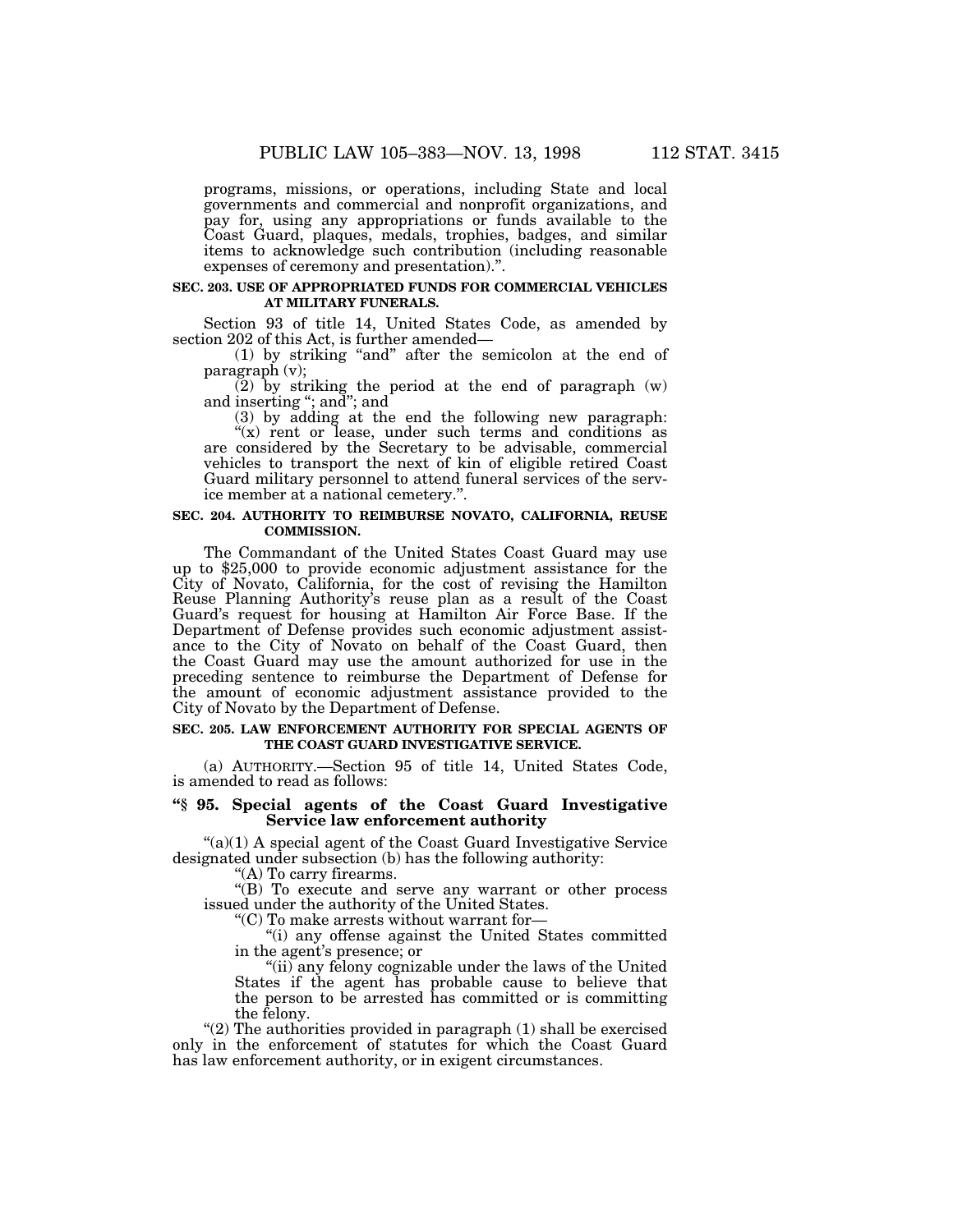programs, missions, or operations, including State and local governments and commercial and nonprofit organizations, and pay for, using any appropriations or funds available to the Coast Guard, plaques, medals, trophies, badges, and similar items to acknowledge such contribution (including reasonable expenses of ceremony and presentation).''.

#### **SEC. 203. USE OF APPROPRIATED FUNDS FOR COMMERCIAL VEHICLES AT MILITARY FUNERALS.**

Section 93 of title 14, United States Code, as amended by section 202 of this Act, is further amended—

(1) by striking ''and'' after the semicolon at the end of paragraph (v);

 $(2)$  by striking the period at the end of paragraph  $(w)$ and inserting ''; and''; and

(3) by adding at the end the following new paragraph:  $f(x)$  rent or lease, under such terms and conditions as

are considered by the Secretary to be advisable, commercial vehicles to transport the next of kin of eligible retired Coast Guard military personnel to attend funeral services of the service member at a national cemetery.''.

# **SEC. 204. AUTHORITY TO REIMBURSE NOVATO, CALIFORNIA, REUSE COMMISSION.**

The Commandant of the United States Coast Guard may use up to \$25,000 to provide economic adjustment assistance for the City of Novato, California, for the cost of revising the Hamilton Reuse Planning Authority's reuse plan as a result of the Coast Guard's request for housing at Hamilton Air Force Base. If the Department of Defense provides such economic adjustment assistance to the City of Novato on behalf of the Coast Guard, then the Coast Guard may use the amount authorized for use in the preceding sentence to reimburse the Department of Defense for the amount of economic adjustment assistance provided to the City of Novato by the Department of Defense.

#### **SEC. 205. LAW ENFORCEMENT AUTHORITY FOR SPECIAL AGENTS OF THE COAST GUARD INVESTIGATIVE SERVICE.**

(a) AUTHORITY.—Section 95 of title 14, United States Code, is amended to read as follows:

#### **''§ 95. Special agents of the Coast Guard Investigative Service law enforcement authority**

" $(a)(1)$  A special agent of the Coast Guard Investigative Service designated under subsection (b) has the following authority:

''(A) To carry firearms.

''(B) To execute and serve any warrant or other process issued under the authority of the United States.

''(C) To make arrests without warrant for—

''(i) any offense against the United States committed in the agent's presence; or

"(ii) any felony cognizable under the laws of the United States if the agent has probable cause to believe that the person to be arrested has committed or is committing the felony.

"(2) The authorities provided in paragraph  $(1)$  shall be exercised only in the enforcement of statutes for which the Coast Guard has law enforcement authority, or in exigent circumstances.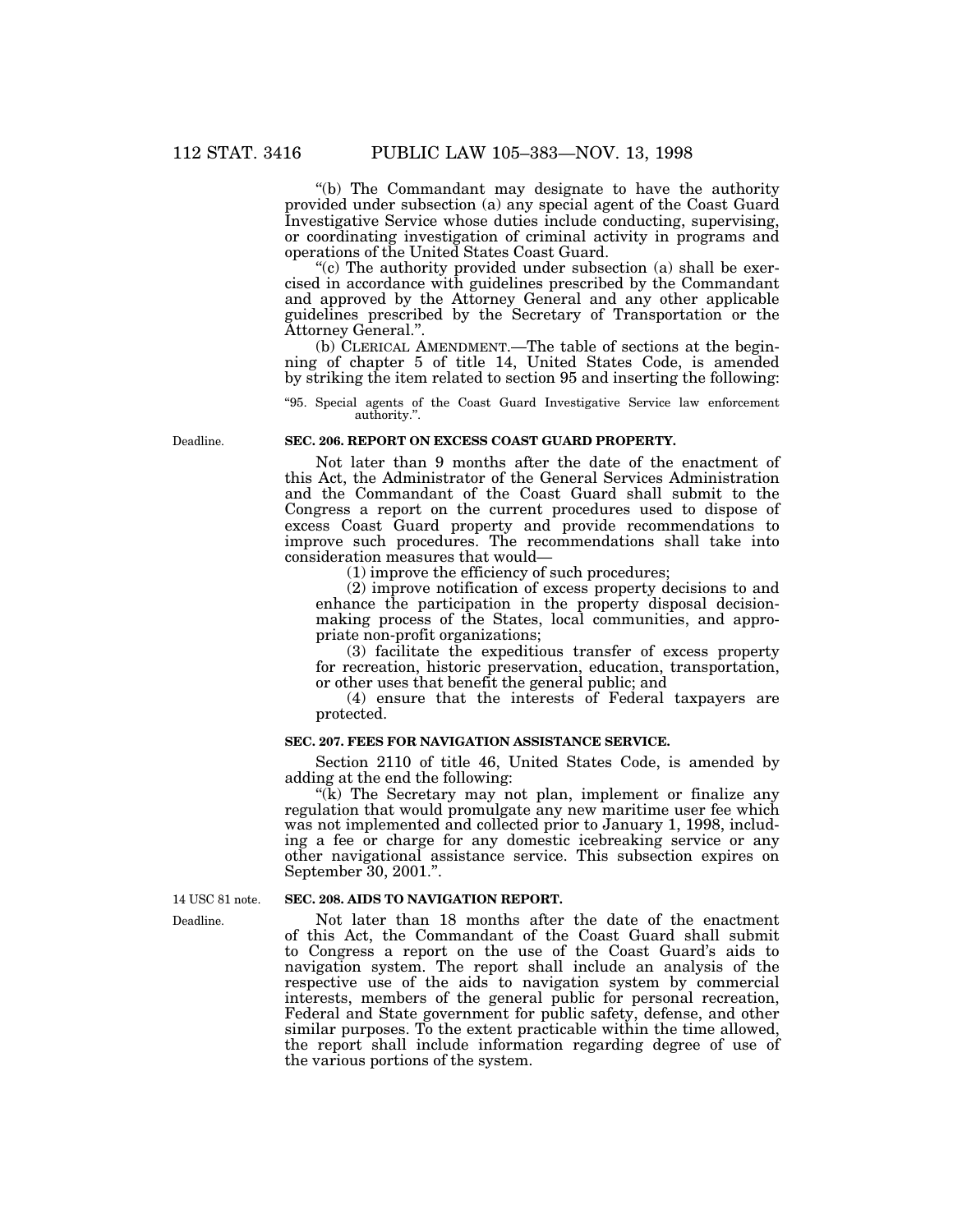''(b) The Commandant may designate to have the authority provided under subsection (a) any special agent of the Coast Guard Investigative Service whose duties include conducting, supervising, or coordinating investigation of criminal activity in programs and operations of the United States Coast Guard.

"(c) The authority provided under subsection (a) shall be exercised in accordance with guidelines prescribed by the Commandant and approved by the Attorney General and any other applicable guidelines prescribed by the Secretary of Transportation or the Attorney General.''.

(b) CLERICAL AMENDMENT.—The table of sections at the beginning of chapter 5 of title 14, United States Code, is amended by striking the item related to section 95 and inserting the following:

''95. Special agents of the Coast Guard Investigative Service law enforcement authority.''.

Deadline.

# **SEC. 206. REPORT ON EXCESS COAST GUARD PROPERTY.**

Not later than 9 months after the date of the enactment of this Act, the Administrator of the General Services Administration and the Commandant of the Coast Guard shall submit to the Congress a report on the current procedures used to dispose of excess Coast Guard property and provide recommendations to improve such procedures. The recommendations shall take into consideration measures that would—

(1) improve the efficiency of such procedures;

(2) improve notification of excess property decisions to and enhance the participation in the property disposal decisionmaking process of the States, local communities, and appropriate non-profit organizations;

(3) facilitate the expeditious transfer of excess property for recreation, historic preservation, education, transportation, or other uses that benefit the general public; and

(4) ensure that the interests of Federal taxpayers are protected.

# **SEC. 207. FEES FOR NAVIGATION ASSISTANCE SERVICE.**

Section 2110 of title 46, United States Code, is amended by adding at the end the following:

"(k) The Secretary may not plan, implement or finalize any regulation that would promulgate any new maritime user fee which was not implemented and collected prior to January 1, 1998, including a fee or charge for any domestic icebreaking service or any other navigational assistance service. This subsection expires on September 30, 2001.''.

Deadline. 14 USC 81 note.

#### **SEC. 208. AIDS TO NAVIGATION REPORT.**

Not later than 18 months after the date of the enactment of this Act, the Commandant of the Coast Guard shall submit to Congress a report on the use of the Coast Guard's aids to navigation system. The report shall include an analysis of the respective use of the aids to navigation system by commercial interests, members of the general public for personal recreation, Federal and State government for public safety, defense, and other similar purposes. To the extent practicable within the time allowed, the report shall include information regarding degree of use of the various portions of the system.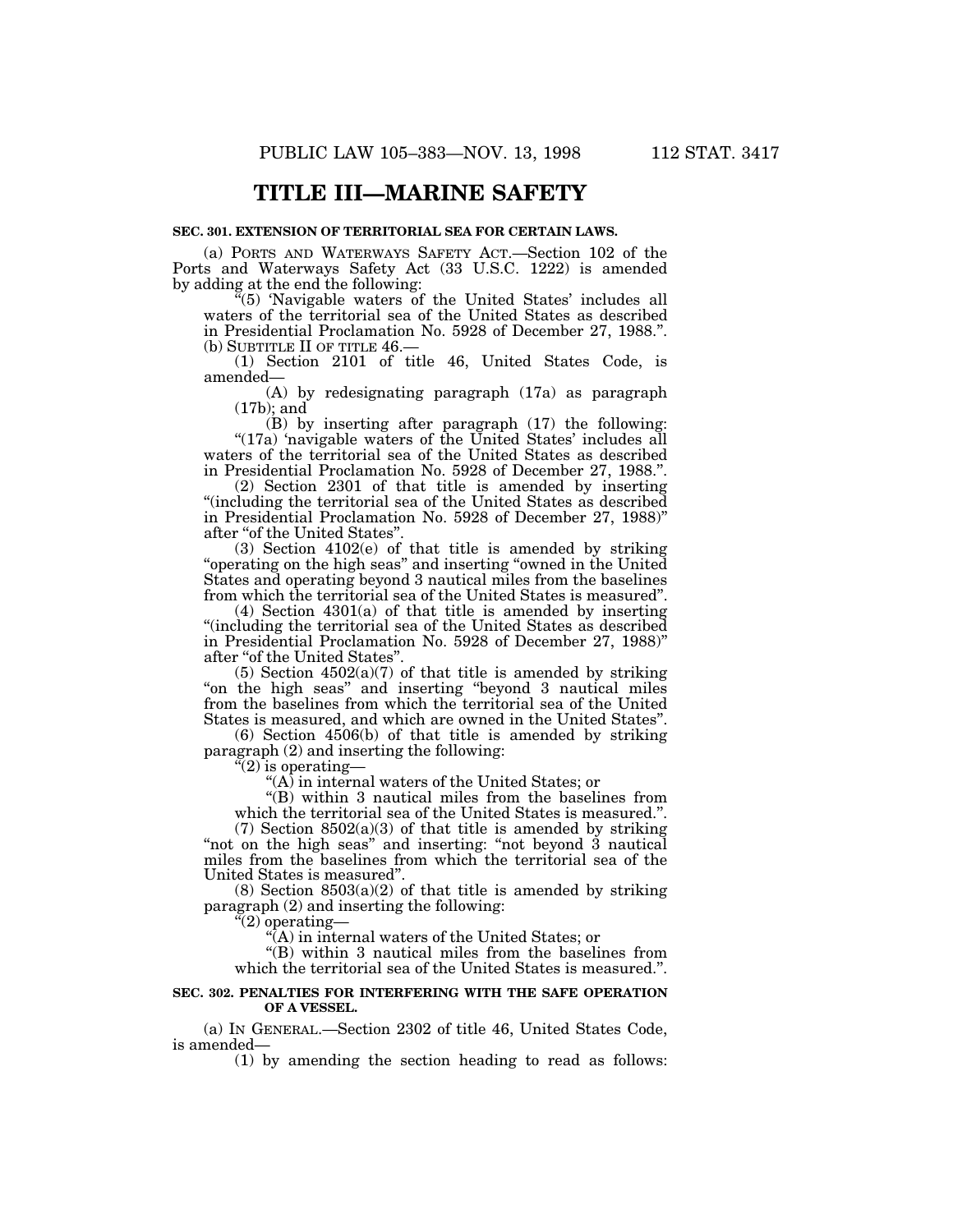# **TITLE III—MARINE SAFETY**

# **SEC. 301. EXTENSION OF TERRITORIAL SEA FOR CERTAIN LAWS.**

(a) PORTS AND WATERWAYS SAFETY ACT.—Section 102 of the Ports and Waterways Safety Act (33 U.S.C. 1222) is amended by adding at the end the following:

 $\tilde{f}(5)$  'Navigable waters of the United States' includes all waters of the territorial sea of the United States as described in Presidential Proclamation No. 5928 of December 27, 1988.''. (b) SUBTITLE II OF TITLE 46.—

(1) Section 2101 of title 46, United States Code, is amended—

(A) by redesignating paragraph (17a) as paragraph (17b); and

(B) by inserting after paragraph (17) the following: "(17a) 'navigable waters of the United States' includes all waters of the territorial sea of the United States as described in Presidential Proclamation No. 5928 of December 27, 1988.''.

(2) Section 2301 of that title is amended by inserting ''(including the territorial sea of the United States as described in Presidential Proclamation No. 5928 of December 27, 1988)'' after ''of the United States''.

(3) Section 4102(e) of that title is amended by striking ''operating on the high seas'' and inserting ''owned in the United States and operating beyond 3 nautical miles from the baselines from which the territorial sea of the United States is measured''.

(4) Section 4301(a) of that title is amended by inserting ''(including the territorial sea of the United States as described in Presidential Proclamation No. 5928 of December 27, 1988)'' after "of the United States".

(5) Section  $4502(a)(7)$  of that title is amended by striking "on the high seas" and inserting "beyond 3 nautical miles from the baselines from which the territorial sea of the United States is measured, and which are owned in the United States''.

(6) Section 4506(b) of that title is amended by striking paragraph (2) and inserting the following:

''(2) is operating—

 $(A)$  in internal waters of the United States; or

''(B) within 3 nautical miles from the baselines from which the territorial sea of the United States is measured.''.

 $(7)$  Section 8502 $(a)(3)$  of that title is amended by striking "not on the high seas" and inserting: "not beyond 3 nautical miles from the baselines from which the territorial sea of the United States is measured''.

 $(8)$  Section  $8503(a)(2)$  of that title is amended by striking paragraph (2) and inserting the following:

''(2) operating—

 $\widehat{f}(A)$  in internal waters of the United States; or

"(B) within 3 nautical miles from the baselines from which the territorial sea of the United States is measured.''.

#### **SEC. 302. PENALTIES FOR INTERFERING WITH THE SAFE OPERATION OF A VESSEL.**

(a) IN GENERAL.—Section 2302 of title 46, United States Code, is amended—

(1) by amending the section heading to read as follows: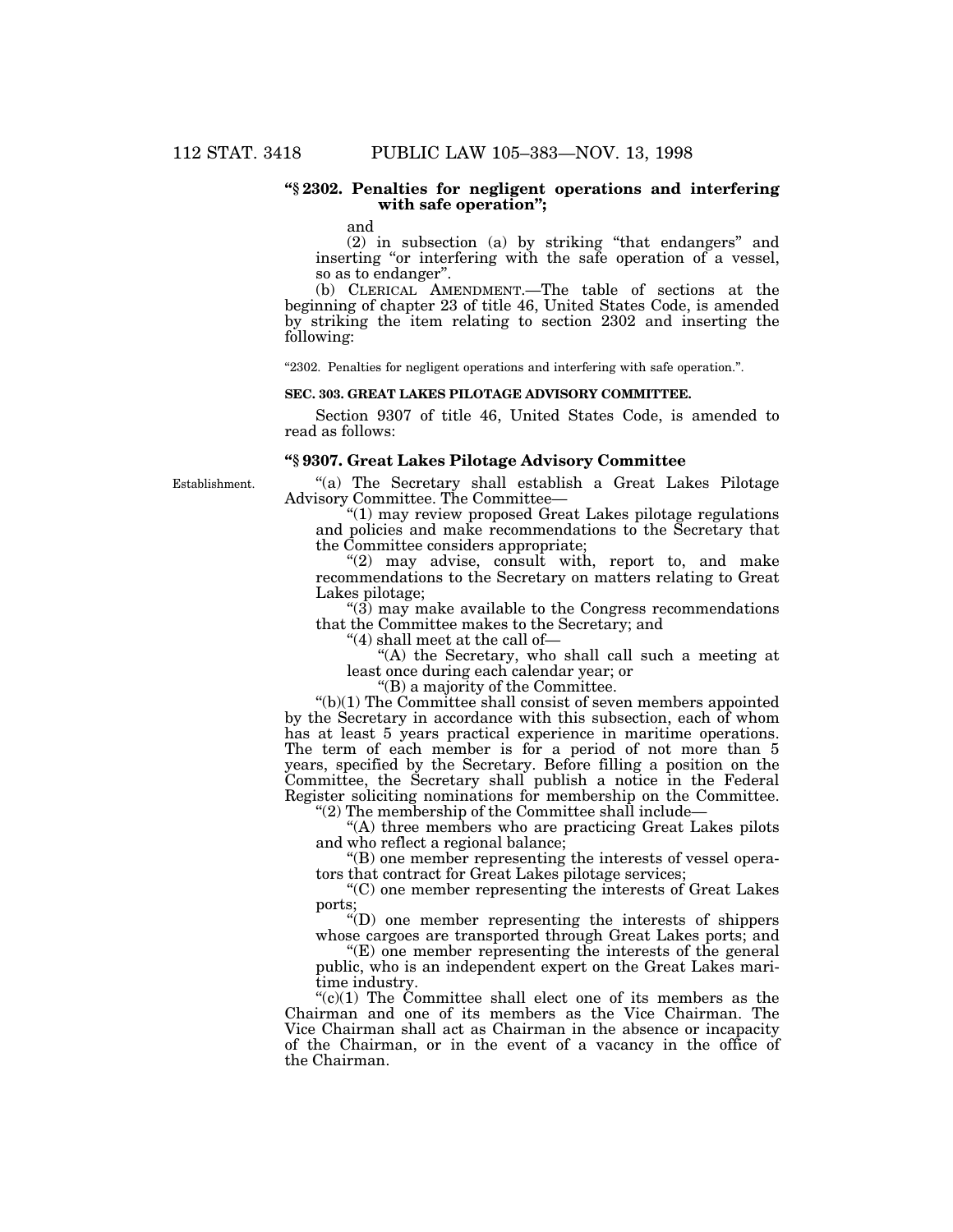# **''§ 2302. Penalties for negligent operations and interfering with safe operation'';**

and

(2) in subsection (a) by striking ''that endangers'' and inserting "or interfering with the safe operation of a vessel, so as to endanger''.

(b) CLERICAL AMENDMENT.—The table of sections at the beginning of chapter 23 of title 46, United States Code, is amended by striking the item relating to section 2302 and inserting the following:

''2302. Penalties for negligent operations and interfering with safe operation.''.

# **SEC. 303. GREAT LAKES PILOTAGE ADVISORY COMMITTEE.**

Section 9307 of title 46, United States Code, is amended to read as follows:

# **''§ 9307. Great Lakes Pilotage Advisory Committee**

Establishment.

''(a) The Secretary shall establish a Great Lakes Pilotage Advisory Committee. The Committee—

''(1) may review proposed Great Lakes pilotage regulations and policies and make recommendations to the Secretary that the Committee considers appropriate;

" $(2)$  may advise, consult with, report to, and make recommendations to the Secretary on matters relating to Great Lakes pilotage;

 $\degree$ (3) may make available to the Congress recommendations that the Committee makes to the Secretary; and

''(4) shall meet at the call of—

''(A) the Secretary, who shall call such a meeting at least once during each calendar year; or

''(B) a majority of the Committee.

''(b)(1) The Committee shall consist of seven members appointed by the Secretary in accordance with this subsection, each of whom has at least 5 years practical experience in maritime operations. The term of each member is for a period of not more than 5 years, specified by the Secretary. Before filling a position on the Committee, the Secretary shall publish a notice in the Federal Register soliciting nominations for membership on the Committee.

''(2) The membership of the Committee shall include—

"(A) three members who are practicing Great Lakes pilots and who reflect a regional balance;

''(B) one member representing the interests of vessel operators that contract for Great Lakes pilotage services;

''(C) one member representing the interests of Great Lakes ports;

''(D) one member representing the interests of shippers whose cargoes are transported through Great Lakes ports; and

 $E$ ) one member representing the interests of the general public, who is an independent expert on the Great Lakes maritime industry.

 $C(1)$  The Committee shall elect one of its members as the Chairman and one of its members as the Vice Chairman. The Vice Chairman shall act as Chairman in the absence or incapacity of the Chairman, or in the event of a vacancy in the office of the Chairman.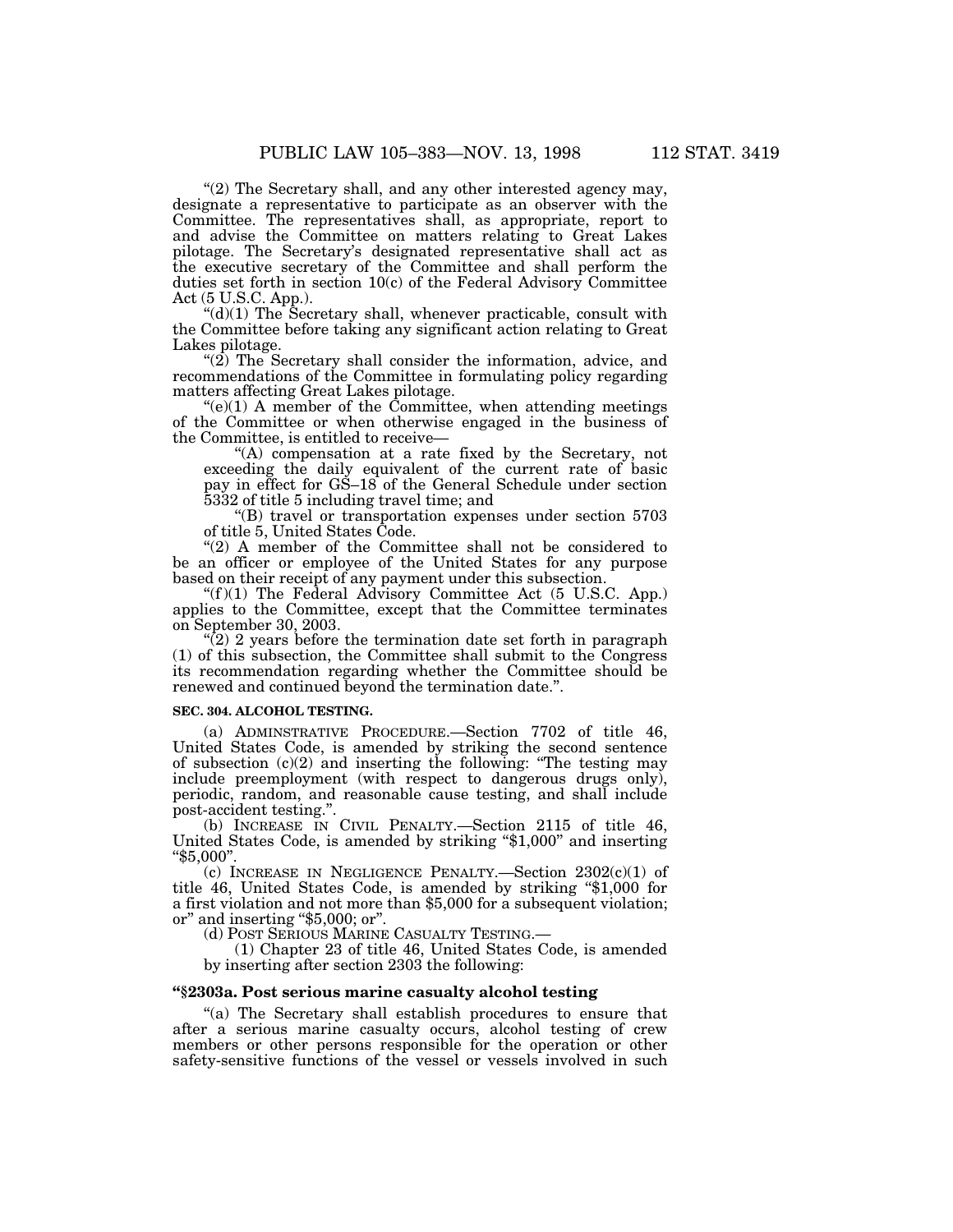"(2) The Secretary shall, and any other interested agency may, designate a representative to participate as an observer with the Committee. The representatives shall, as appropriate, report to and advise the Committee on matters relating to Great Lakes pilotage. The Secretary's designated representative shall act as the executive secretary of the Committee and shall perform the duties set forth in section 10(c) of the Federal Advisory Committee Act (5 U.S.C. App.).

" $(d)(1)$  The Secretary shall, whenever practicable, consult with the Committee before taking any significant action relating to Great Lakes pilotage.

" $(2)$  The Secretary shall consider the information, advice, and recommendations of the Committee in formulating policy regarding matters affecting Great Lakes pilotage.

 $\degree$ (e)(1) A member of the Committee, when attending meetings of the Committee or when otherwise engaged in the business of the Committee, is entitled to receive—

''(A) compensation at a rate fixed by the Secretary, not exceeding the daily equivalent of the current rate of basic pay in effect for GS–18 of the General Schedule under section 5332 of title 5 including travel time; and

''(B) travel or transportation expenses under section 5703 of title 5, United States Code.

"(2) A member of the Committee shall not be considered to be an officer or employee of the United States for any purpose based on their receipt of any payment under this subsection.

" $(f)(1)$  The Federal Advisory Committee Act (5 U.S.C. App.) applies to the Committee, except that the Committee terminates on September 30, 2003.

 $\sqrt{\left(2\right)}$  2 years before the termination date set forth in paragraph (1) of this subsection, the Committee shall submit to the Congress its recommendation regarding whether the Committee should be renewed and continued beyond the termination date.''.

# **SEC. 304. ALCOHOL TESTING.**

(a) ADMINSTRATIVE PROCEDURE.—Section 7702 of title 46, United States Code, is amended by striking the second sentence of subsection  $(c)(2)$  and inserting the following: "The testing may include preemployment (with respect to dangerous drugs only), periodic, random, and reasonable cause testing, and shall include post-accident testing."

(b) INCREASE IN CIVIL PENALTY.—Section 2115 of title 46, United States Code, is amended by striking ''\$1,000'' and inserting ''\$5,000''.

(c) INCREASE IN NEGLIGENCE PENALTY.—Section  $2302(c)(1)$  of title 46, United States Code, is amended by striking ''\$1,000 for a first violation and not more than \$5,000 for a subsequent violation; or" and inserting "\$5,000; or".<br>
(d) POST SERIOUS MARINE CASUALTY TESTING.

(1) Chapter 23 of title 46, United States Code, is amended by inserting after section 2303 the following:

# **''§2303a. Post serious marine casualty alcohol testing**

''(a) The Secretary shall establish procedures to ensure that after a serious marine casualty occurs, alcohol testing of crew members or other persons responsible for the operation or other safety-sensitive functions of the vessel or vessels involved in such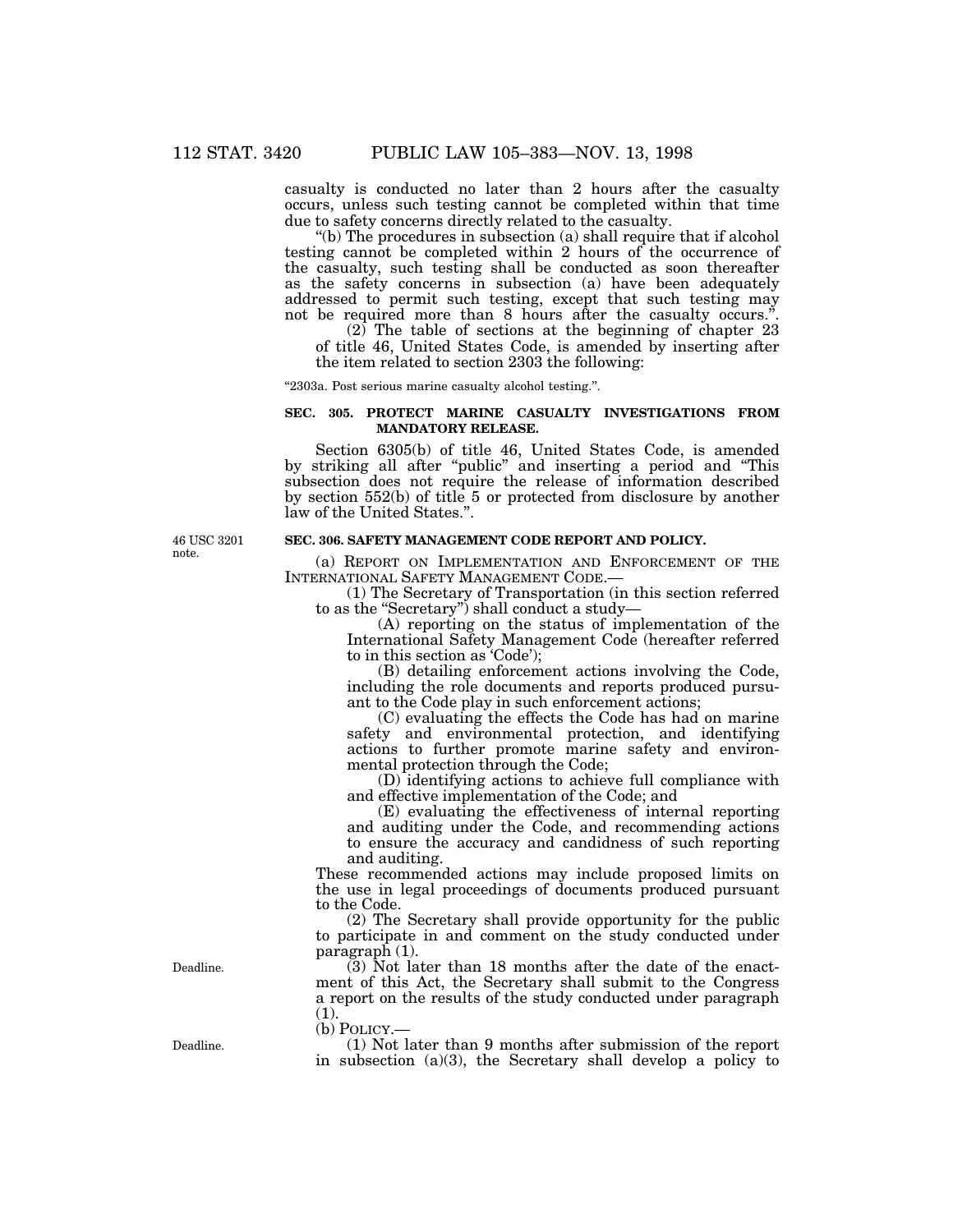casualty is conducted no later than 2 hours after the casualty occurs, unless such testing cannot be completed within that time due to safety concerns directly related to the casualty.

"(b) The procedures in subsection (a) shall require that if alcohol testing cannot be completed within 2 hours of the occurrence of the casualty, such testing shall be conducted as soon thereafter as the safety concerns in subsection (a) have been adequately addressed to permit such testing, except that such testing may not be required more than 8 hours after the casualty occurs."

 $(2)$  The table of sections at the beginning of chapter 23 of title 46, United States Code, is amended by inserting after the item related to section 2303 the following:

''2303a. Post serious marine casualty alcohol testing.''.

INTERNATIONAL SAFETY MANAGEMENT CODE.—

to in this section as 'Code');

to as the ''Secretary'') shall conduct a study—

mental protection through the Code;

#### **SEC. 305. PROTECT MARINE CASUALTY INVESTIGATIONS FROM MANDATORY RELEASE.**

Section 6305(b) of title 46, United States Code, is amended by striking all after ''public'' and inserting a period and ''This subsection does not require the release of information described by section 552(b) of title 5 or protected from disclosure by another law of the United States.''.

(a) REPORT ON IMPLEMENTATION AND ENFORCEMENT OF THE

ant to the Code play in such enforcement actions;

and effective implementation of the Code; and

(1) The Secretary of Transportation (in this section referred

(A) reporting on the status of implementation of the International Safety Management Code (hereafter referred

(B) detailing enforcement actions involving the Code, including the role documents and reports produced pursu-

(C) evaluating the effects the Code has had on marine safety and environmental protection, and identifying actions to further promote marine safety and environ-

(D) identifying actions to achieve full compliance with

(E) evaluating the effectiveness of internal reporting and auditing under the Code, and recommending actions to ensure the accuracy and candidness of such reporting

**SEC. 306. SAFETY MANAGEMENT CODE REPORT AND POLICY.**

46 USC 3201

note.

Deadline.

paragraph (1). (3) Not later than 18 months after the date of the enactment of this Act, the Secretary shall submit to the Congress a report on the results of the study conducted under paragraph (1).

These recommended actions may include proposed limits on the use in legal proceedings of documents produced pursuant

(2) The Secretary shall provide opportunity for the public to participate in and comment on the study conducted under

(b) POLICY.—

to the Code.

and auditing.

(1) Not later than 9 months after submission of the report in subsection (a)(3), the Secretary shall develop a policy to

Deadline.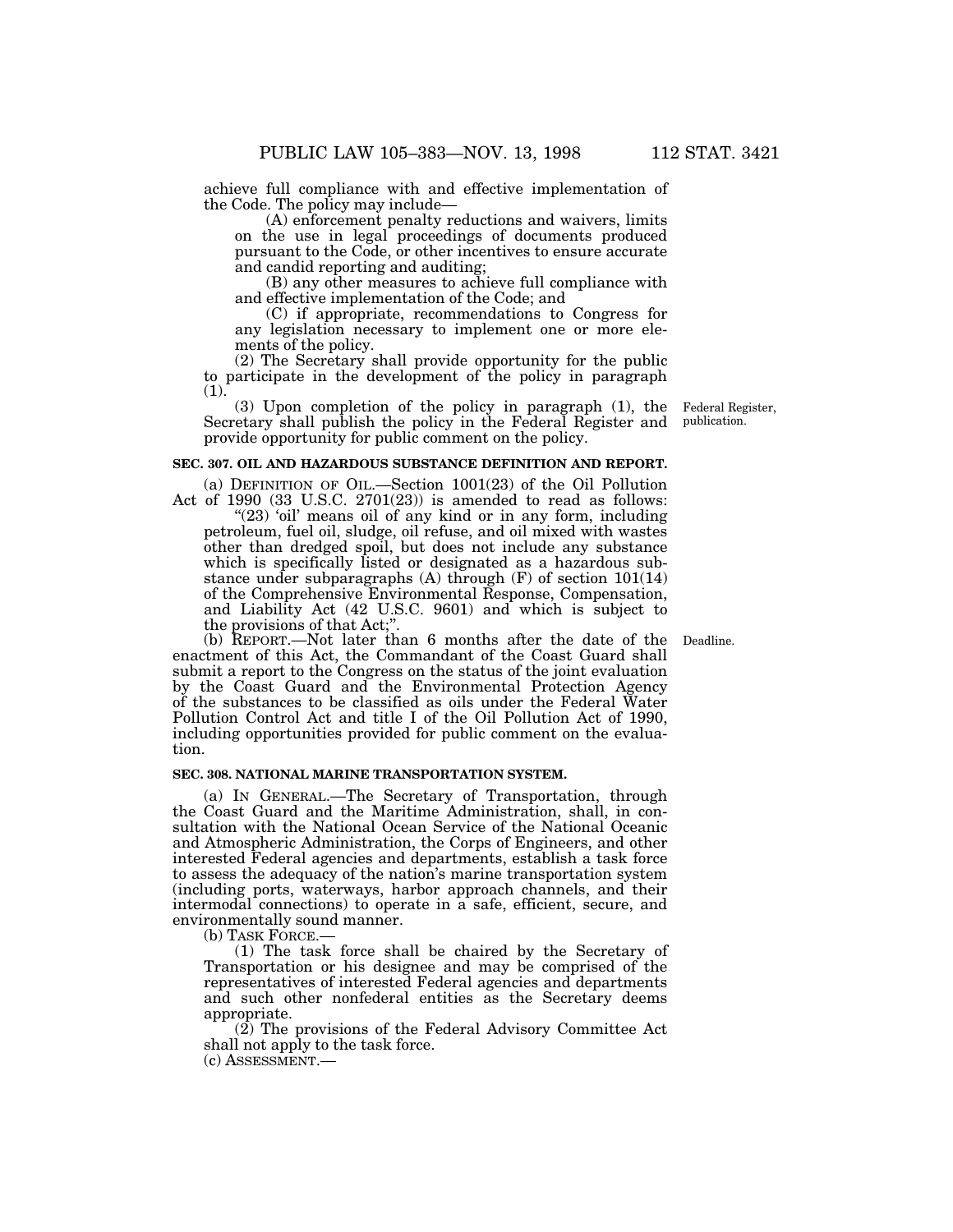achieve full compliance with and effective implementation of the Code. The policy may include—

(A) enforcement penalty reductions and waivers, limits on the use in legal proceedings of documents produced pursuant to the Code, or other incentives to ensure accurate and candid reporting and auditing;

(B) any other measures to achieve full compliance with and effective implementation of the Code; and

(C) if appropriate, recommendations to Congress for any legislation necessary to implement one or more elements of the policy.

(2) The Secretary shall provide opportunity for the public to participate in the development of the policy in paragraph (1).

(3) Upon completion of the policy in paragraph (1), the Secretary shall publish the policy in the Federal Register and provide opportunity for public comment on the policy.

#### **SEC. 307. OIL AND HAZARDOUS SUBSTANCE DEFINITION AND REPORT.**

(a) DEFINITION OF OIL.—Section  $1001(23)$  of the Oil Pollution Act of 1990 (33 U.S.C. 2701(23)) is amended to read as follows:

"(23) 'oil' means oil of any kind or in any form, including petroleum, fuel oil, sludge, oil refuse, and oil mixed with wastes other than dredged spoil, but does not include any substance which is specifically listed or designated as a hazardous substance under subparagraphs (A) through  $(F)$  of section 101(14) of the Comprehensive Environmental Response, Compensation, and Liability Act (42 U.S.C. 9601) and which is subject to the provisions of that Act;''.

(b) REPORT.—Not later than 6 months after the date of the enactment of this Act, the Commandant of the Coast Guard shall submit a report to the Congress on the status of the joint evaluation by the Coast Guard and the Environmental Protection Agency of the substances to be classified as oils under the Federal Water Pollution Control Act and title I of the Oil Pollution Act of 1990, including opportunities provided for public comment on the evaluation.

#### **SEC. 308. NATIONAL MARINE TRANSPORTATION SYSTEM.**

(a) IN GENERAL.—The Secretary of Transportation, through the Coast Guard and the Maritime Administration, shall, in consultation with the National Ocean Service of the National Oceanic and Atmospheric Administration, the Corps of Engineers, and other interested Federal agencies and departments, establish a task force to assess the adequacy of the nation's marine transportation system (including ports, waterways, harbor approach channels, and their intermodal connections) to operate in a safe, efficient, secure, and environmentally sound manner.

(b) TASK FORCE.—

(1) The task force shall be chaired by the Secretary of Transportation or his designee and may be comprised of the representatives of interested Federal agencies and departments and such other nonfederal entities as the Secretary deems appropriate.

(2) The provisions of the Federal Advisory Committee Act shall not apply to the task force.

(c) ASSESSMENT.—

Federal Register, publication.

Deadline.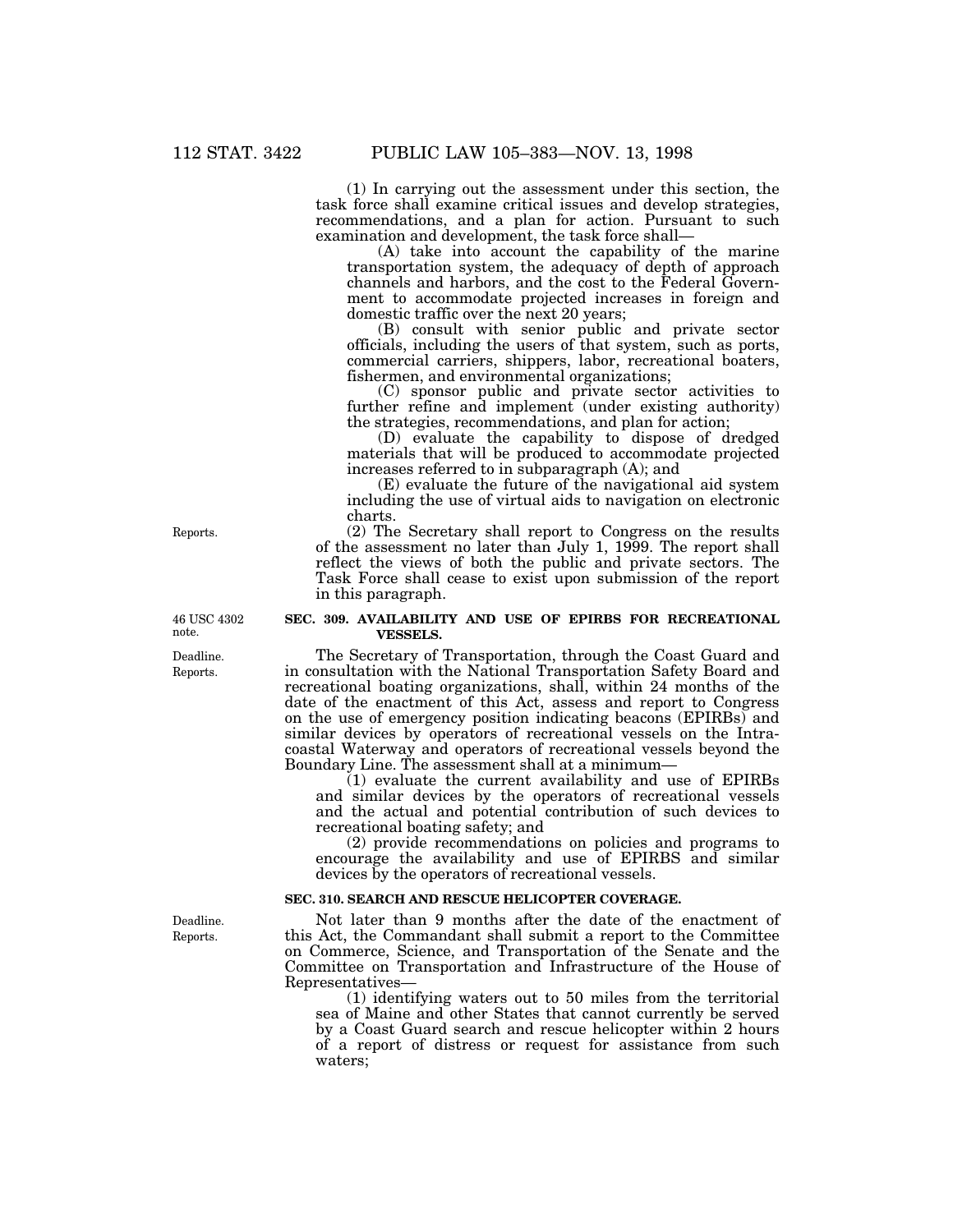(1) In carrying out the assessment under this section, the task force shall examine critical issues and develop strategies, recommendations, and a plan for action. Pursuant to such examination and development, the task force shall—

(A) take into account the capability of the marine transportation system, the adequacy of depth of approach channels and harbors, and the cost to the Federal Government to accommodate projected increases in foreign and domestic traffic over the next 20 years;

(B) consult with senior public and private sector officials, including the users of that system, such as ports, commercial carriers, shippers, labor, recreational boaters, fishermen, and environmental organizations;

(C) sponsor public and private sector activities to further refine and implement (under existing authority) the strategies, recommendations, and plan for action;

(D) evaluate the capability to dispose of dredged materials that will be produced to accommodate projected increases referred to in subparagraph (A); and

(E) evaluate the future of the navigational aid system including the use of virtual aids to navigation on electronic charts.

(2) The Secretary shall report to Congress on the results of the assessment no later than July 1, 1999. The report shall reflect the views of both the public and private sectors. The Task Force shall cease to exist upon submission of the report in this paragraph.

#### **SEC. 309. AVAILABILITY AND USE OF EPIRBS FOR RECREATIONAL VESSELS.**

The Secretary of Transportation, through the Coast Guard and in consultation with the National Transportation Safety Board and recreational boating organizations, shall, within 24 months of the date of the enactment of this Act, assess and report to Congress on the use of emergency position indicating beacons (EPIRBs) and similar devices by operators of recreational vessels on the Intracoastal Waterway and operators of recreational vessels beyond the Boundary Line. The assessment shall at a minimum—

(1) evaluate the current availability and use of EPIRBs and similar devices by the operators of recreational vessels and the actual and potential contribution of such devices to recreational boating safety; and

(2) provide recommendations on policies and programs to encourage the availability and use of EPIRBS and similar devices by the operators of recreational vessels.

# **SEC. 310. SEARCH AND RESCUE HELICOPTER COVERAGE.**

Not later than 9 months after the date of the enactment of this Act, the Commandant shall submit a report to the Committee on Commerce, Science, and Transportation of the Senate and the Committee on Transportation and Infrastructure of the House of Representatives—

(1) identifying waters out to 50 miles from the territorial sea of Maine and other States that cannot currently be served by a Coast Guard search and rescue helicopter within 2 hours of a report of distress or request for assistance from such waters;

46 USC 4302

Reports.

Deadline. Reports.

note.

Deadline. Reports.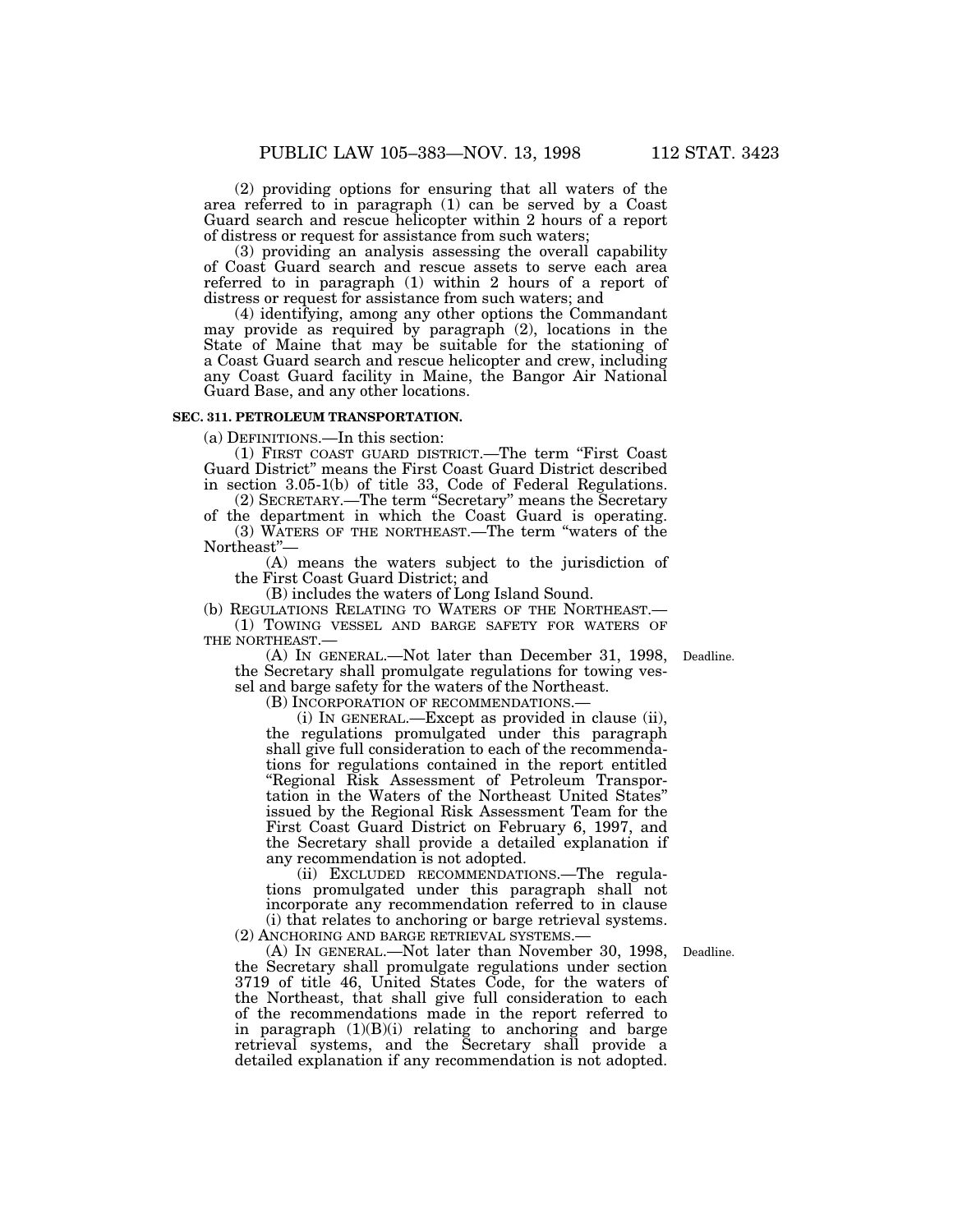(2) providing options for ensuring that all waters of the area referred to in paragraph (1) can be served by a Coast Guard search and rescue helicopter within 2 hours of a report of distress or request for assistance from such waters;

(3) providing an analysis assessing the overall capability of Coast Guard search and rescue assets to serve each area referred to in paragraph (1) within 2 hours of a report of distress or request for assistance from such waters; and

(4) identifying, among any other options the Commandant may provide as required by paragraph (2), locations in the State of Maine that may be suitable for the stationing of a Coast Guard search and rescue helicopter and crew, including any Coast Guard facility in Maine, the Bangor Air National Guard Base, and any other locations.

#### **SEC. 311. PETROLEUM TRANSPORTATION.**

(a) DEFINITIONS.—In this section:

(1) FIRST COAST GUARD DISTRICT.—The term ''First Coast Guard District'' means the First Coast Guard District described in section 3.05-1(b) of title 33, Code of Federal Regulations.

(2) SECRETARY.—The term ''Secretary'' means the Secretary of the department in which the Coast Guard is operating.

(3) WATERS OF THE NORTHEAST.—The term ''waters of the Northeast''—

(A) means the waters subject to the jurisdiction of the First Coast Guard District; and

(B) includes the waters of Long Island Sound.

(b) REGULATIONS RELATING TO WATERS OF THE NORTHEAST.— (1) TOWING VESSEL AND BARGE SAFETY FOR WATERS OF

THE NORTHEAST.—

(A) IN GENERAL.—Not later than December 31, 1998, the Secretary shall promulgate regulations for towing vessel and barge safety for the waters of the Northeast.

(B) INCORPORATION OF RECOMMENDATIONS.—

(i) IN GENERAL.—Except as provided in clause (ii), the regulations promulgated under this paragraph shall give full consideration to each of the recommendations for regulations contained in the report entitled ''Regional Risk Assessment of Petroleum Transportation in the Waters of the Northeast United States'' issued by the Regional Risk Assessment Team for the First Coast Guard District on February 6, 1997, and the Secretary shall provide a detailed explanation if any recommendation is not adopted.

(ii) EXCLUDED RECOMMENDATIONS.—The regulations promulgated under this paragraph shall not incorporate any recommendation referred to in clause (i) that relates to anchoring or barge retrieval systems.

(2) ANCHORING AND BARGE RETRIEVAL SYSTEMS.—

(A) IN GENERAL.—Not later than November 30, 1998, the Secretary shall promulgate regulations under section 3719 of title 46, United States Code, for the waters of the Northeast, that shall give full consideration to each of the recommendations made in the report referred to in paragraph (1)(B)(i) relating to anchoring and barge retrieval systems, and the Secretary shall provide a detailed explanation if any recommendation is not adopted.

Deadline.

Deadline.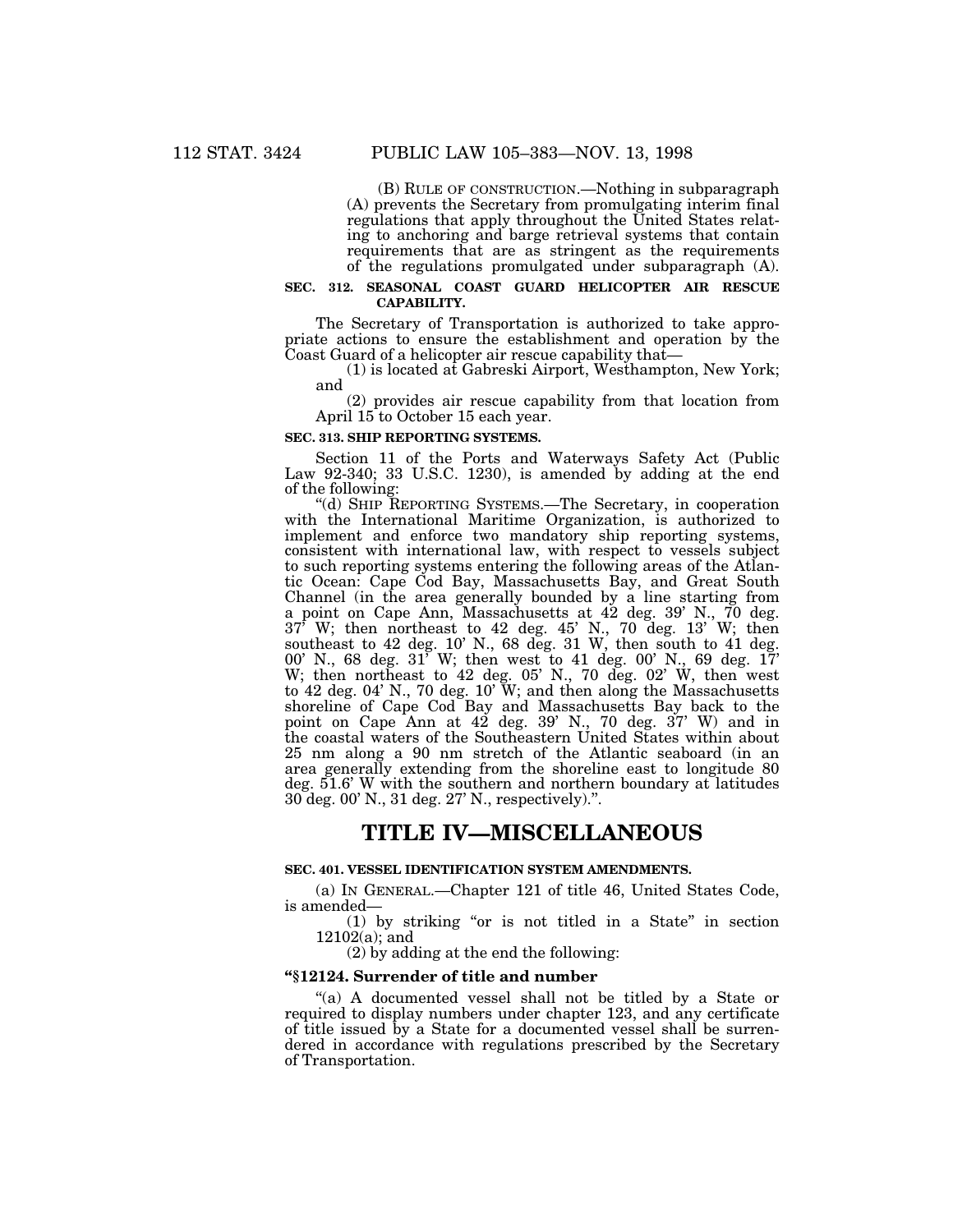(B) RULE OF CONSTRUCTION.—Nothing in subparagraph (A) prevents the Secretary from promulgating interim final regulations that apply throughout the United States relating to anchoring and barge retrieval systems that contain requirements that are as stringent as the requirements of the regulations promulgated under subparagraph (A).

#### **SEC. 312. SEASONAL COAST GUARD HELICOPTER AIR RESCUE CAPABILITY.**

The Secretary of Transportation is authorized to take appropriate actions to ensure the establishment and operation by the Coast Guard of a helicopter air rescue capability that—

(1) is located at Gabreski Airport, Westhampton, New York; and

(2) provides air rescue capability from that location from April 15 to October 15 each year.

#### **SEC. 313. SHIP REPORTING SYSTEMS.**

Section 11 of the Ports and Waterways Safety Act (Public Law 92-340; 33 U.S.C. 1230), is amended by adding at the end of the following:

''(d) SHIP REPORTING SYSTEMS.—The Secretary, in cooperation with the International Maritime Organization, is authorized to implement and enforce two mandatory ship reporting systems, consistent with international law, with respect to vessels subject to such reporting systems entering the following areas of the Atlantic Ocean: Cape Cod Bay, Massachusetts Bay, and Great South Channel (in the area generally bounded by a line starting from a point on Cape Ann, Massachusetts at 42 deg. 39' N., 70 deg. 37' W; then northeast to 42 deg. 45' N., 70 deg. 13' W; then southeast to 42 deg. 10' N., 68 deg. 31 W, then south to 41 deg. 00' N., 68 deg. 31' W; then west to 41 deg. 00' N., 69 deg. 17' W; then northeast to 42 deg. 05' N., 70 deg. 02' W, then west to 42 deg. 04' N., 70 deg. 10' W; and then along the Massachusetts shoreline of Cape Cod Bay and Massachusetts Bay back to the point on Cape Ann at 42 deg. 39' N., 70 deg. 37' W) and in the coastal waters of the Southeastern United States within about 25 nm along a 90 nm stretch of the Atlantic seaboard (in an area generally extending from the shoreline east to longitude 80 deg. 51.6' W with the southern and northern boundary at latitudes 30 deg. 00' N., 31 deg. 27' N., respectively).''.

# **TITLE IV—MISCELLANEOUS**

## **SEC. 401. VESSEL IDENTIFICATION SYSTEM AMENDMENTS.**

(a) IN GENERAL.—Chapter 121 of title 46, United States Code, is amended—

(1) by striking ''or is not titled in a State'' in section 12102(a); and

(2) by adding at the end the following:

#### **''§12124. Surrender of title and number**

''(a) A documented vessel shall not be titled by a State or required to display numbers under chapter 123, and any certificate of title issued by a State for a documented vessel shall be surrendered in accordance with regulations prescribed by the Secretary of Transportation.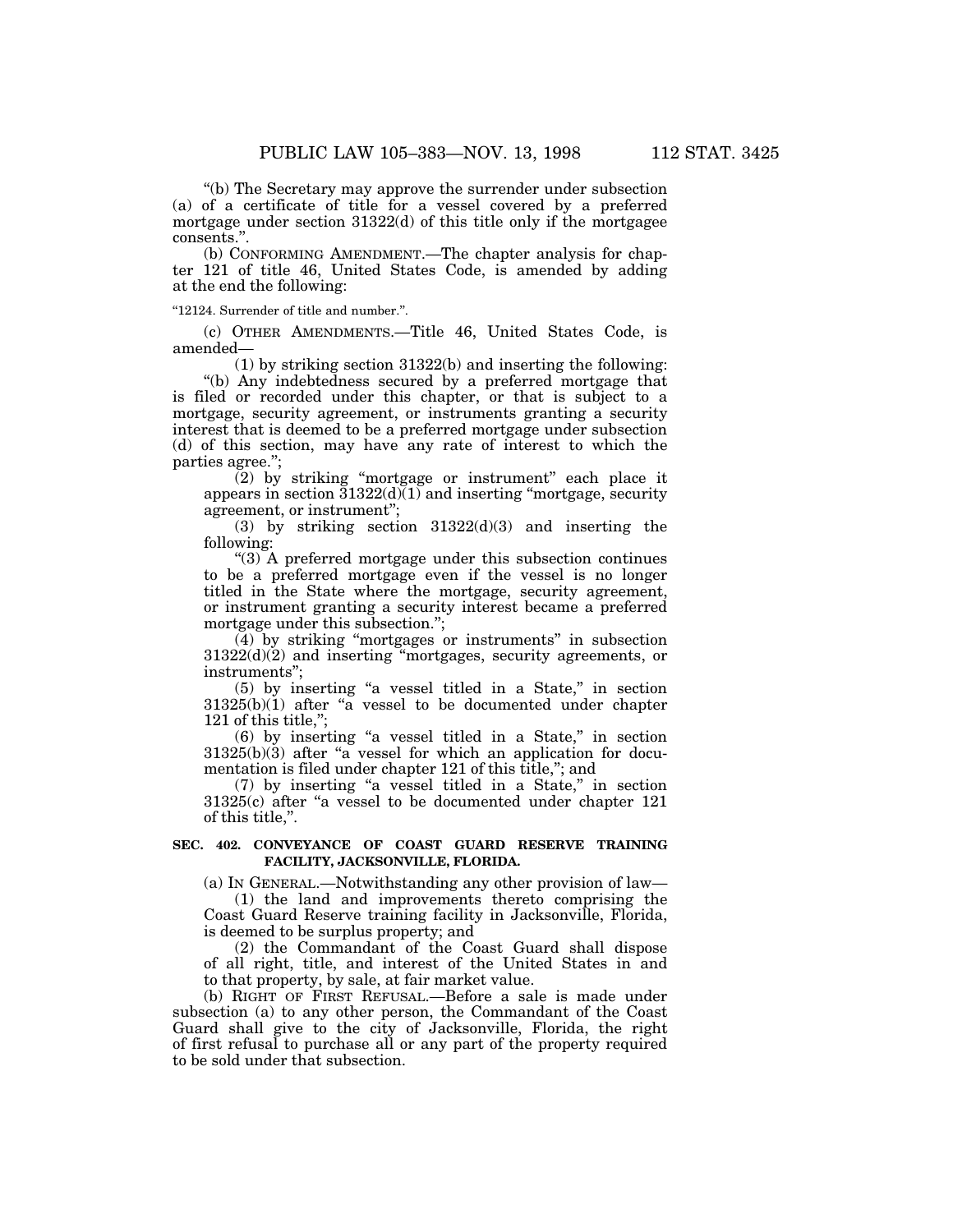''(b) The Secretary may approve the surrender under subsection (a) of a certificate of title for a vessel covered by a preferred mortgage under section 31322(d) of this title only if the mortgagee consents.''.

(b) CONFORMING AMENDMENT.—The chapter analysis for chapter 121 of title 46, United States Code, is amended by adding at the end the following:

''12124. Surrender of title and number.''.

(c) OTHER AMENDMENTS.—Title 46, United States Code, is amended—

(1) by striking section 31322(b) and inserting the following:

''(b) Any indebtedness secured by a preferred mortgage that is filed or recorded under this chapter, or that is subject to a mortgage, security agreement, or instruments granting a security interest that is deemed to be a preferred mortgage under subsection (d) of this section, may have any rate of interest to which the parties agree.'';

 $(2)$  by striking "mortgage or instrument" each place it appears in section  $31322(d)(1)$  and inserting "mortgage, security agreement, or instrument'';

(3) by striking section 31322(d)(3) and inserting the following:

 $^{\prime\prime}(3)$  A preferred mortgage under this subsection continues to be a preferred mortgage even if the vessel is no longer titled in the State where the mortgage, security agreement, or instrument granting a security interest became a preferred mortgage under this subsection.'';

(4) by striking ''mortgages or instruments'' in subsection 31322(d)(2) and inserting ''mortgages, security agreements, or instruments'';

(5) by inserting ''a vessel titled in a State,'' in section  $31325(b)(1)$  after "a vessel to be documented under chapter 121 of this title,'';

(6) by inserting ''a vessel titled in a State,'' in section  $31325(b)(3)$  after "a vessel for which an application for documentation is filed under chapter 121 of this title,"; and

(7) by inserting ''a vessel titled in a State,'' in section  $31325(c)$  after "a vessel to be documented under chapter  $121$ of this title,''.

# **SEC. 402. CONVEYANCE OF COAST GUARD RESERVE TRAINING FACILITY, JACKSONVILLE, FLORIDA.**

(a) IN GENERAL.—Notwithstanding any other provision of law—

(1) the land and improvements thereto comprising the Coast Guard Reserve training facility in Jacksonville, Florida, is deemed to be surplus property; and

(2) the Commandant of the Coast Guard shall dispose of all right, title, and interest of the United States in and to that property, by sale, at fair market value.

(b) RIGHT OF FIRST REFUSAL.—Before a sale is made under subsection (a) to any other person, the Commandant of the Coast Guard shall give to the city of Jacksonville, Florida, the right of first refusal to purchase all or any part of the property required to be sold under that subsection.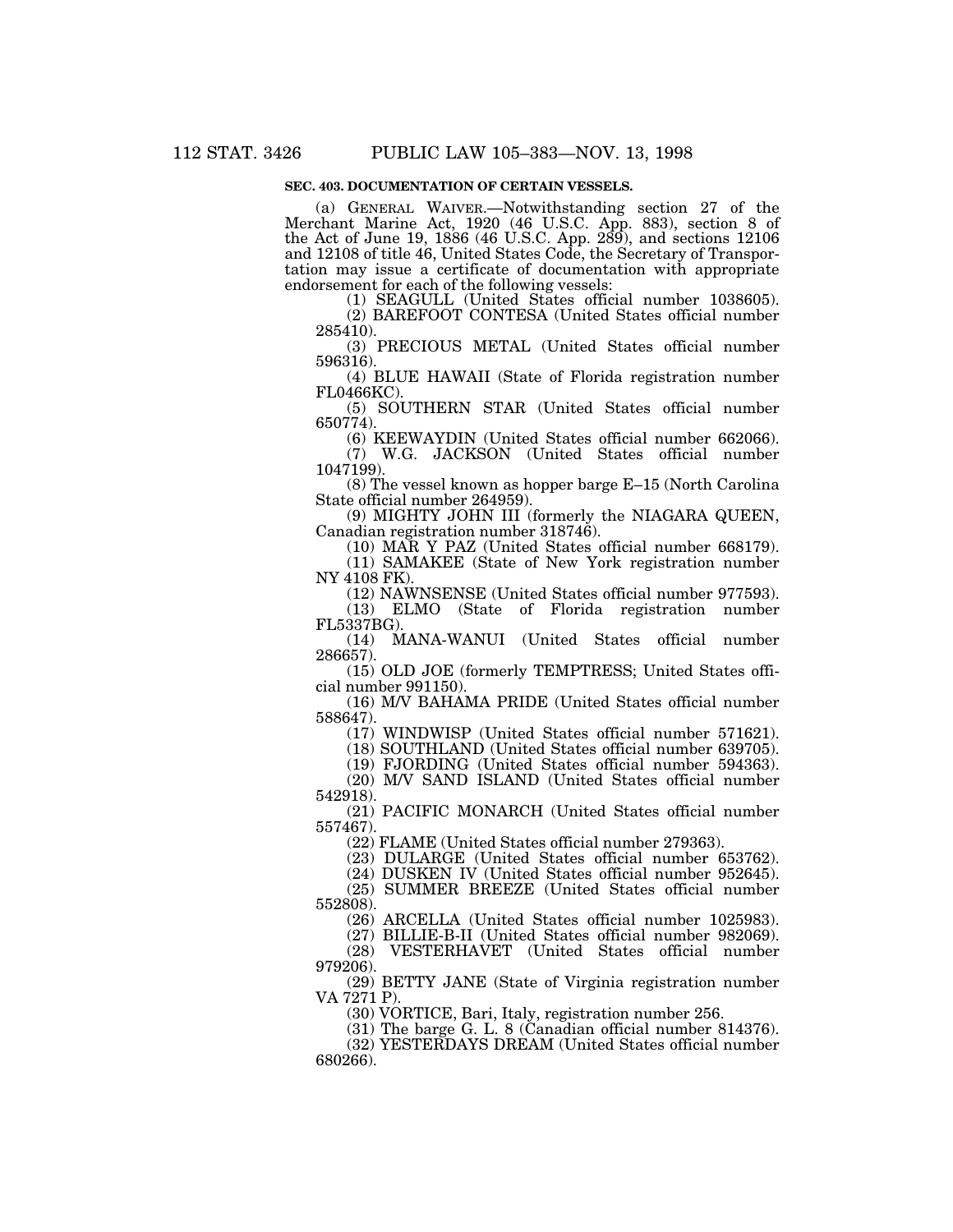# **SEC. 403. DOCUMENTATION OF CERTAIN VESSELS.**

(a) GENERAL WAIVER.—Notwithstanding section 27 of the Merchant Marine Act, 1920 (46 U.S.C. App. 883), section 8 of the Act of June 19, 1886 (46 U.S.C. App. 289), and sections 12106 and 12108 of title 46, United States Code, the Secretary of Transportation may issue a certificate of documentation with appropriate endorsement for each of the following vessels:

(1) SEAGULL (United States official number 1038605).

(2) BAREFOOT CONTESA (United States official number 285410).

(3) PRECIOUS METAL (United States official number 596316).

(4) BLUE HAWAII (State of Florida registration number FL0466KC)

(5) SOUTHERN STAR (United States official number 650774).

(6) KEEWAYDIN (United States official number 662066). (7) W.G. JACKSON (United States official number 1047199).

(8) The vessel known as hopper barge E–15 (North Carolina State official number 264959).

(9) MIGHTY JOHN III (formerly the NIAGARA QUEEN, Canadian registration number 318746).

(10) MAR Y PAZ (United States official number 668179).

(11) SAMAKEE (State of New York registration number NY 4108 FK).

(12) NAWNSENSE (United States official number 977593). (13) ELMO (State of Florida registration number

 $FL5337BG$ ).<br>(14) M (14) MANA-WANUI (United States official number 286657).

(15) OLD JOE (formerly TEMPTRESS; United States official number 991150).

(16) M/V BAHAMA PRIDE (United States official number 588647).

(17) WINDWISP (United States official number 571621).

(18) SOUTHLAND (United States official number 639705).

(19) FJORDING (United States official number 594363). (20) M/V SAND ISLAND (United States official number 542918).

(21) PACIFIC MONARCH (United States official number 557467).

(22) FLAME (United States official number 279363).

(23) DULARGE (United States official number 653762).

(24) DUSKEN IV (United States official number 952645).

(25) SUMMER BREEZE (United States official number 552808).

(26) ARCELLA (United States official number 1025983).

(27) BILLIE-B-II (United States official number 982069).

(28) VESTERHAVET (United States official number 979206).

(29) BETTY JANE (State of Virginia registration number VA 7271 P).

(30) VORTICE, Bari, Italy, registration number 256.

(31) The barge G. L. 8 (Canadian official number 814376).

(32) YESTERDAYS DREAM (United States official number 680266).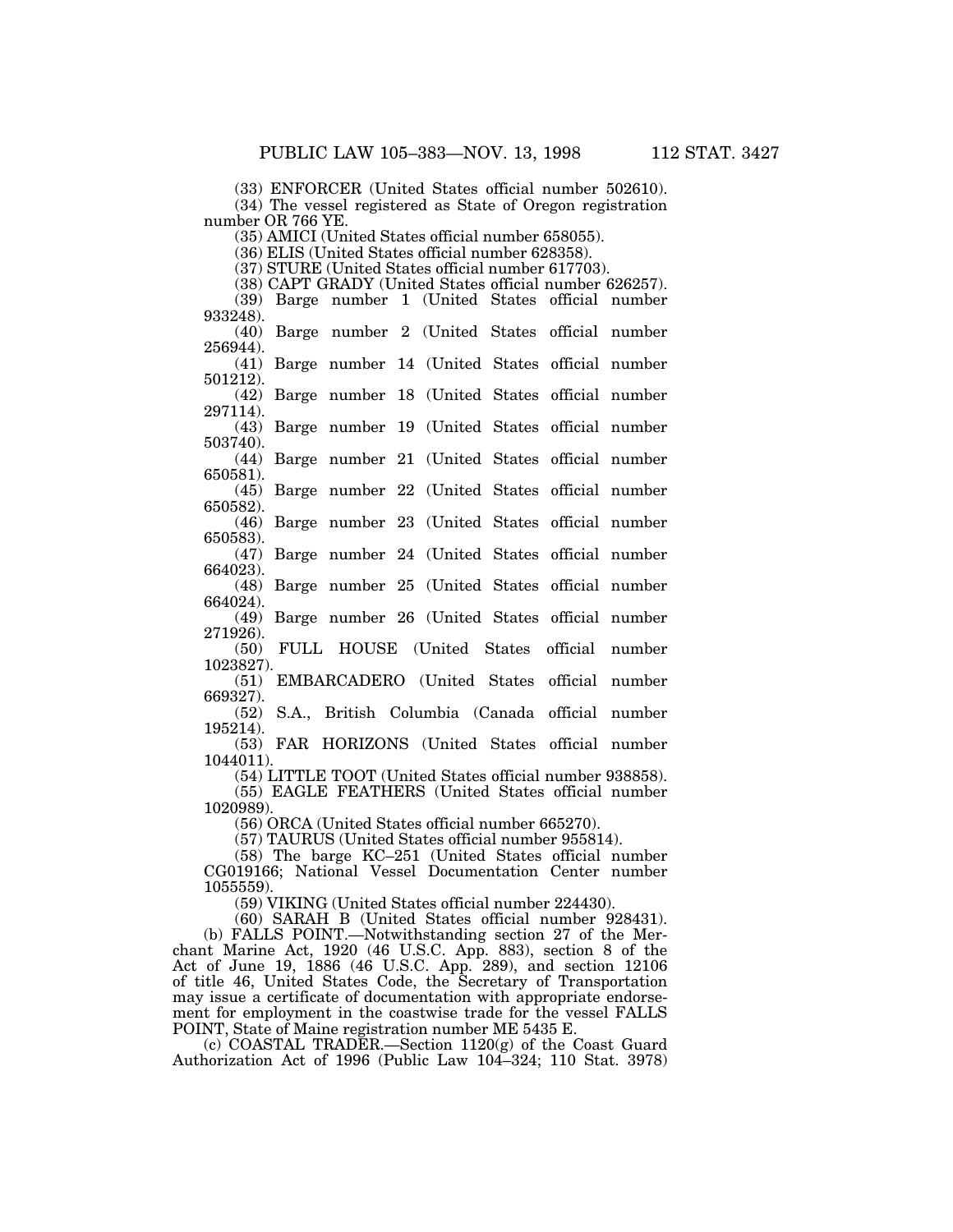(33) ENFORCER (United States official number 502610).

(34) The vessel registered as State of Oregon registration number OR 766 YE.

(35) AMICI (United States official number 658055).

(36) ELIS (United States official number 628358).

(37) STURE (United States official number 617703).

(38) CAPT GRADY (United States official number 626257). (39) Barge number 1 (United States official number 933248).

(40) Barge number 2 (United States official number 256944).

(41) Barge number 14 (United States official number 501212).

(42) Barge number 18 (United States official number 297114).

(43) Barge number 19 (United States official number 503740).

(44) Barge number 21 (United States official number 650581).

(45) Barge number 22 (United States official number 650582).

(46) Barge number 23 (United States official number

650583). (47) Barge number 24 (United States official number

664023).

(48) Barge number 25 (United States official number 664024).

(49) Barge number 26 (United States official number 271926).

(50) FULL HOUSE (United States official number 1023827).

(51) EMBARCADERO (United States official number 669327).

(52) S.A., British Columbia (Canada official number 195214).

(53) FAR HORIZONS (United States official number 1044011).

(54) LITTLE TOOT (United States official number 938858). (55) EAGLE FEATHERS (United States official number 1020989).

(56) ORCA (United States official number 665270).

(57) TAURUS (United States official number 955814).

(58) The barge KC–251 (United States official number CG019166; National Vessel Documentation Center number 1055559).

(59) VIKING (United States official number 224430).

(60) SARAH B (United States official number 928431). (b) FALLS POINT.—Notwithstanding section 27 of the Merchant Marine Act, 1920 (46 U.S.C. App. 883), section 8 of the Act of June 19, 1886 (46 U.S.C. App. 289), and section 12106 of title 46, United States Code, the Secretary of Transportation may issue a certificate of documentation with appropriate endorsement for employment in the coastwise trade for the vessel FALLS POINT, State of Maine registration number ME 5435 E.

(c) COASTAL TRADER.—Section 1120(g) of the Coast Guard Authorization Act of 1996 (Public Law 104–324; 110 Stat. 3978)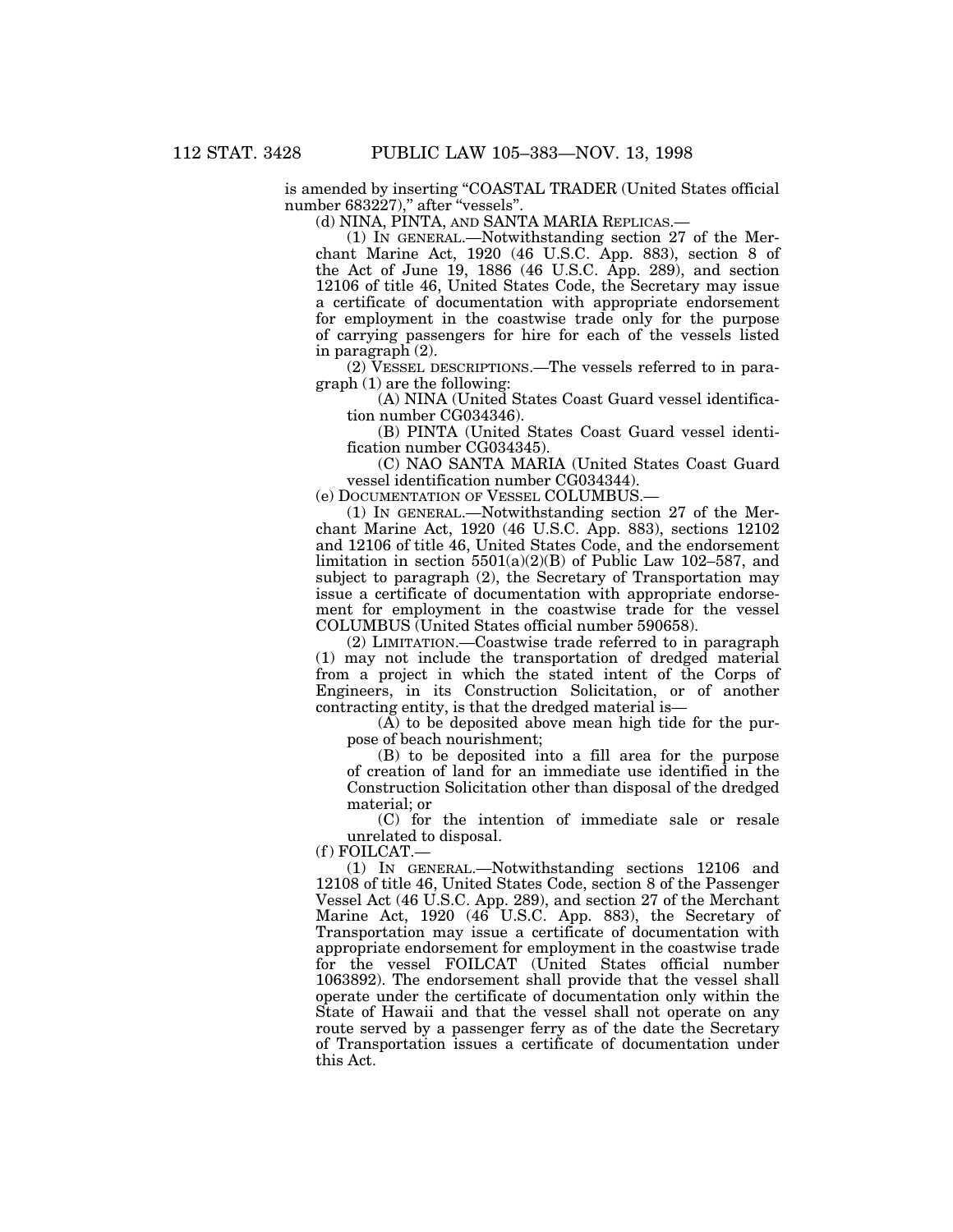is amended by inserting ''COASTAL TRADER (United States official number 683227)," after "vessels".

(d) NINA, PINTA, AND SANTA MARIA REPLICAS.—

(1) IN GENERAL.—Notwithstanding section 27 of the Merchant Marine Act, 1920 (46 U.S.C. App. 883), section 8 of the Act of June 19, 1886 (46 U.S.C. App. 289), and section 12106 of title 46, United States Code, the Secretary may issue a certificate of documentation with appropriate endorsement for employment in the coastwise trade only for the purpose of carrying passengers for hire for each of the vessels listed in paragraph (2).

(2) VESSEL DESCRIPTIONS.—The vessels referred to in paragraph (1) are the following:

(A) NINA (United States Coast Guard vessel identification number CG034346).

(B) PINTA (United States Coast Guard vessel identification number CG034345).

(C) NAO SANTA MARIA (United States Coast Guard vessel identification number CG034344).

(e) DOCUMENTATION OF VESSEL COLUMBUS.—

(1) IN GENERAL.—Notwithstanding section 27 of the Merchant Marine Act, 1920 (46 U.S.C. App. 883), sections 12102 and 12106 of title 46, United States Code, and the endorsement limitation in section  $5501(a)(2)(B)$  of Public Law 102–587, and subject to paragraph (2), the Secretary of Transportation may issue a certificate of documentation with appropriate endorsement for employment in the coastwise trade for the vessel COLUMBUS (United States official number 590658).

(2) LIMITATION.—Coastwise trade referred to in paragraph (1) may not include the transportation of dredged material from a project in which the stated intent of the Corps of Engineers, in its Construction Solicitation, or of another contracting entity, is that the dredged material is—

(A) to be deposited above mean high tide for the purpose of beach nourishment;

(B) to be deposited into a fill area for the purpose of creation of land for an immediate use identified in the Construction Solicitation other than disposal of the dredged material; or

(C) for the intention of immediate sale or resale unrelated to disposal.

 $(f)$  FOILCAT.

(1) IN GENERAL.—Notwithstanding sections 12106 and 12108 of title 46, United States Code, section 8 of the Passenger Vessel Act (46 U.S.C. App. 289), and section 27 of the Merchant Marine Act, 1920 (46 U.S.C. App. 883), the Secretary of Transportation may issue a certificate of documentation with appropriate endorsement for employment in the coastwise trade for the vessel FOILCAT (United States official number 1063892). The endorsement shall provide that the vessel shall operate under the certificate of documentation only within the State of Hawaii and that the vessel shall not operate on any route served by a passenger ferry as of the date the Secretary of Transportation issues a certificate of documentation under this Act.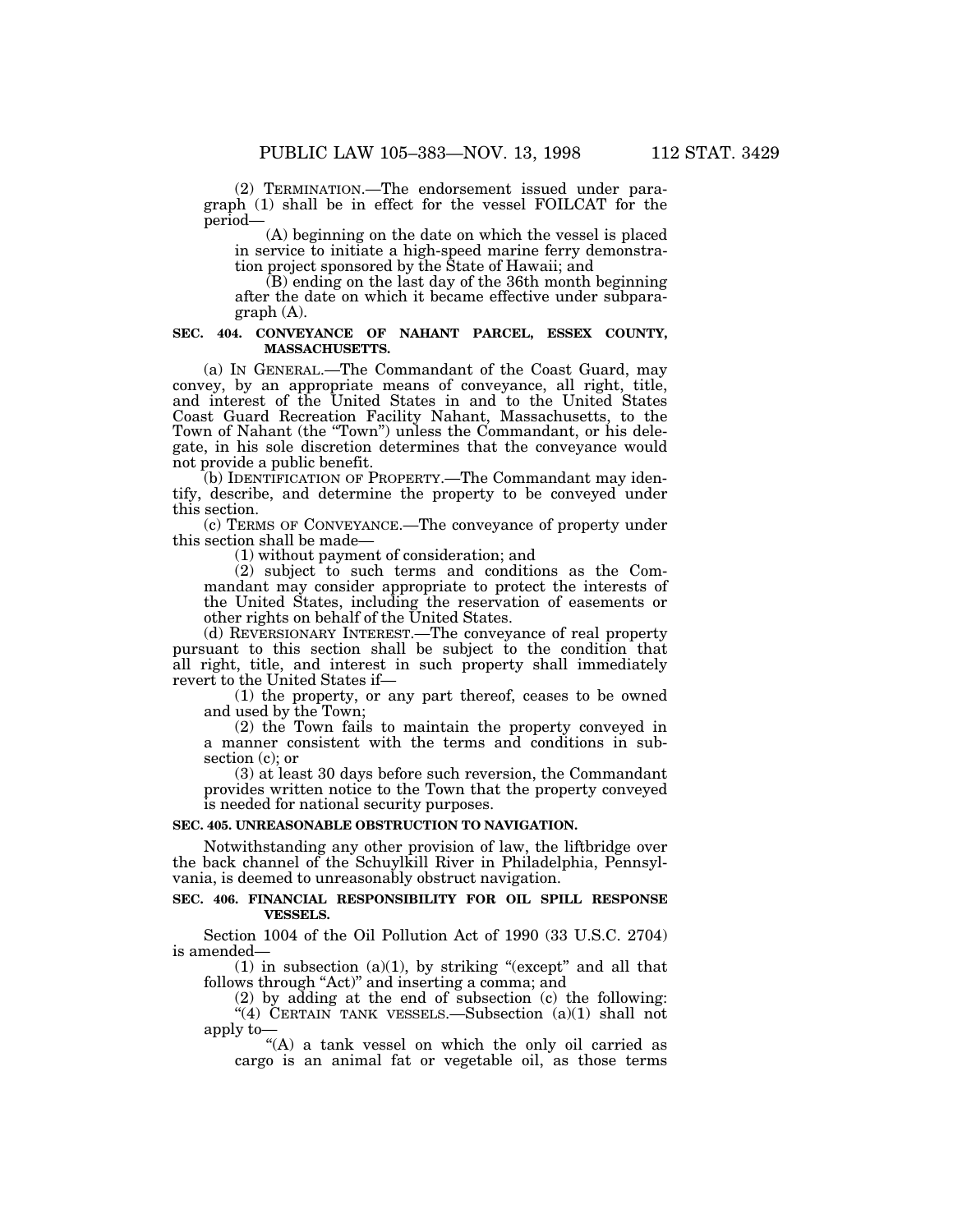(2) TERMINATION.—The endorsement issued under paragraph (1) shall be in effect for the vessel FOILCAT for the period—

(A) beginning on the date on which the vessel is placed in service to initiate a high-speed marine ferry demonstration project sponsored by the State of Hawaii; and

(B) ending on the last day of the 36th month beginning after the date on which it became effective under subparagraph (A).

## **SEC. 404. CONVEYANCE OF NAHANT PARCEL, ESSEX COUNTY, MASSACHUSETTS.**

(a) IN GENERAL.—The Commandant of the Coast Guard, may convey, by an appropriate means of conveyance, all right, title, and interest of the United States in and to the United States Coast Guard Recreation Facility Nahant, Massachusetts, to the Town of Nahant (the "Town") unless the Commandant, or his delegate, in his sole discretion determines that the conveyance would not provide a public benefit.

(b) IDENTIFICATION OF PROPERTY.—The Commandant may identify, describe, and determine the property to be conveyed under this section.

(c) TERMS OF CONVEYANCE.—The conveyance of property under this section shall be made—

(1) without payment of consideration; and

(2) subject to such terms and conditions as the Commandant may consider appropriate to protect the interests of the United States, including the reservation of easements or other rights on behalf of the United States.

(d) REVERSIONARY INTEREST.—The conveyance of real property pursuant to this section shall be subject to the condition that all right, title, and interest in such property shall immediately revert to the United States if—

(1) the property, or any part thereof, ceases to be owned and used by the Town;

(2) the Town fails to maintain the property conveyed in a manner consistent with the terms and conditions in subsection (c); or

(3) at least 30 days before such reversion, the Commandant provides written notice to the Town that the property conveyed is needed for national security purposes.

#### **SEC. 405. UNREASONABLE OBSTRUCTION TO NAVIGATION.**

Notwithstanding any other provision of law, the liftbridge over the back channel of the Schuylkill River in Philadelphia, Pennsylvania, is deemed to unreasonably obstruct navigation.

## **SEC. 406. FINANCIAL RESPONSIBILITY FOR OIL SPILL RESPONSE VESSELS.**

Section 1004 of the Oil Pollution Act of 1990 (33 U.S.C. 2704) is amended—

(1) in subsection (a)(1), by striking "(except" and all that follows through "Act)" and inserting a comma; and

(2) by adding at the end of  $\overline{\text{subsection}}$  (c) the following:  $(4)$  CERTAIN TANK VESSELS.—Subsection  $(a)(1)$  shall not apply to—

"(A) a tank vessel on which the only oil carried as cargo is an animal fat or vegetable oil, as those terms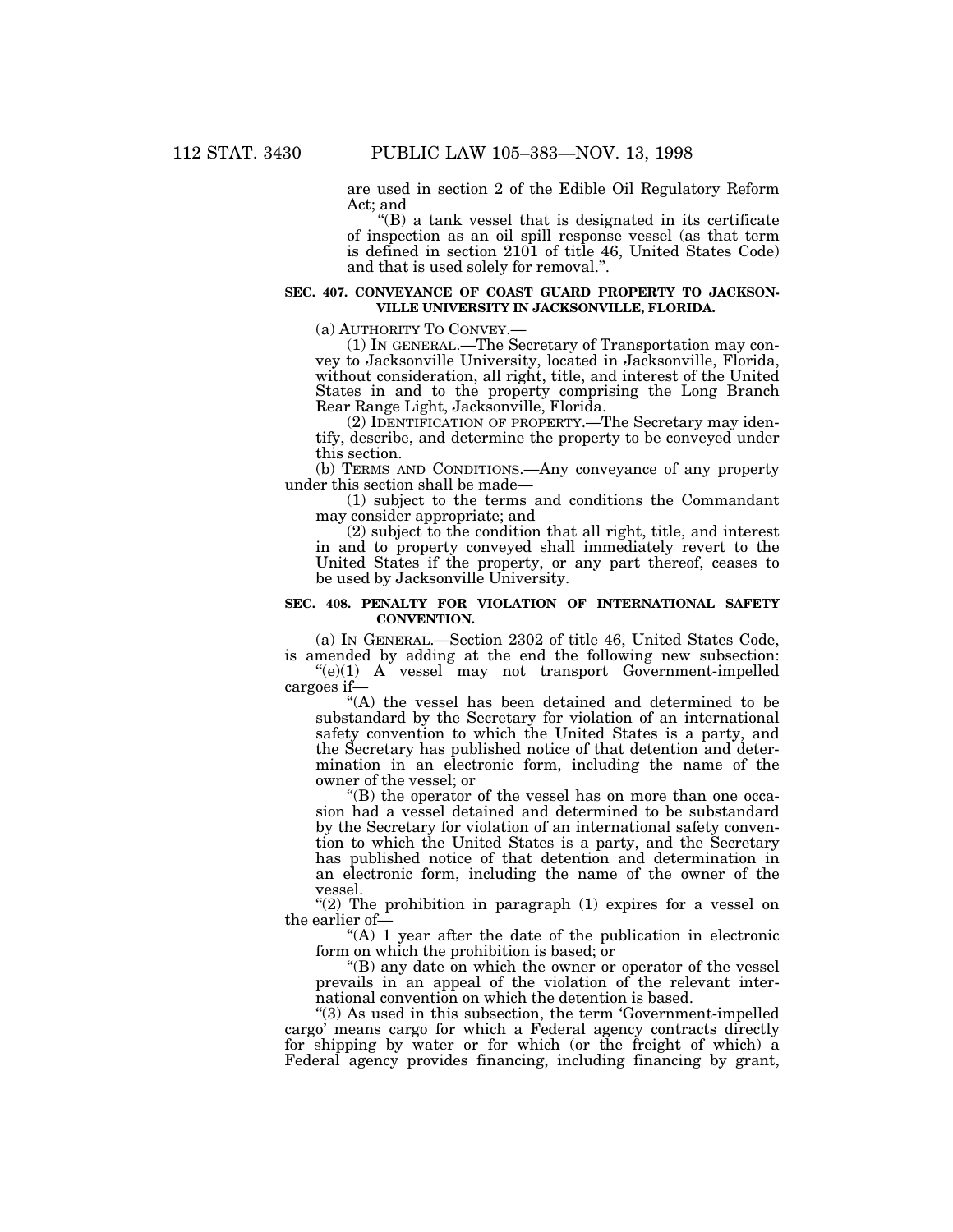are used in section 2 of the Edible Oil Regulatory Reform Act; and

''(B) a tank vessel that is designated in its certificate of inspection as an oil spill response vessel (as that term is defined in section 2101 of title 46, United States Code) and that is used solely for removal.''.

## **SEC. 407. CONVEYANCE OF COAST GUARD PROPERTY TO JACKSON-VILLE UNIVERSITY IN JACKSONVILLE, FLORIDA.**

(a) AUTHORITY TO CONVEY.—

(1) IN GENERAL.—The Secretary of Transportation may convey to Jacksonville University, located in Jacksonville, Florida, without consideration, all right, title, and interest of the United States in and to the property comprising the Long Branch Rear Range Light, Jacksonville, Florida.

(2) IDENTIFICATION OF PROPERTY.—The Secretary may identify, describe, and determine the property to be conveyed under this section.

(b) TERMS AND CONDITIONS.—Any conveyance of any property under this section shall be made—

(1) subject to the terms and conditions the Commandant may consider appropriate; and

(2) subject to the condition that all right, title, and interest in and to property conveyed shall immediately revert to the United States if the property, or any part thereof, ceases to be used by Jacksonville University.

#### **SEC. 408. PENALTY FOR VIOLATION OF INTERNATIONAL SAFETY CONVENTION.**

(a) IN GENERAL.—Section 2302 of title 46, United States Code, is amended by adding at the end the following new subsection:  $((e)(1)$  A vessel may not transport Government-impelled cargoes if—

''(A) the vessel has been detained and determined to be substandard by the Secretary for violation of an international safety convention to which the United States is a party, and the Secretary has published notice of that detention and determination in an electronic form, including the name of the owner of the vessel; or

''(B) the operator of the vessel has on more than one occasion had a vessel detained and determined to be substandard by the Secretary for violation of an international safety convention to which the United States is a party, and the Secretary has published notice of that detention and determination in an electronic form, including the name of the owner of the vessel.

"(2) The prohibition in paragraph  $(1)$  expires for a vessel on the earlier of—

"(A) 1 year after the date of the publication in electronic form on which the prohibition is based; or

''(B) any date on which the owner or operator of the vessel prevails in an appeal of the violation of the relevant international convention on which the detention is based.

''(3) As used in this subsection, the term 'Government-impelled cargo' means cargo for which a Federal agency contracts directly for shipping by water or for which (or the freight of which) a Federal agency provides financing, including financing by grant,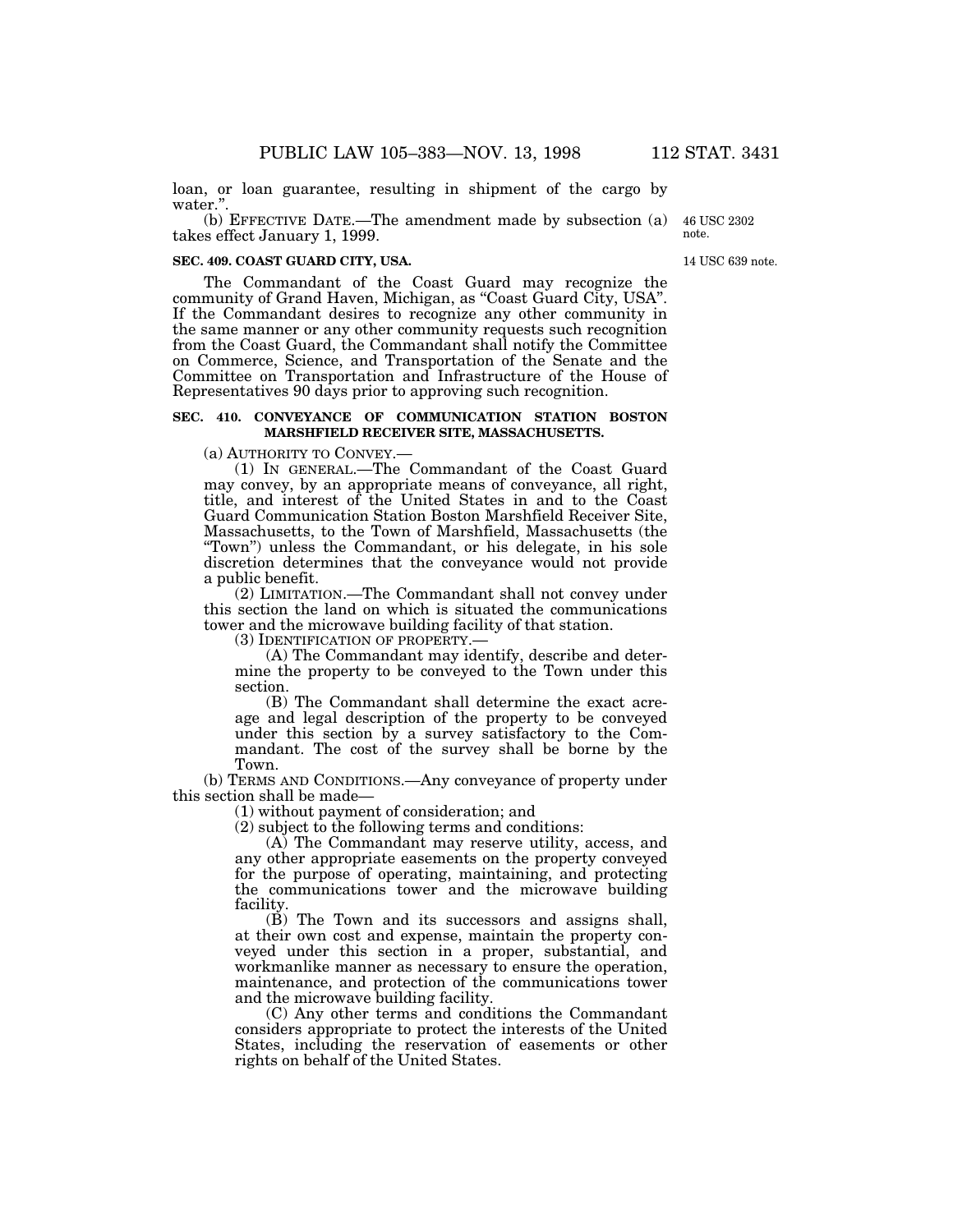loan, or loan guarantee, resulting in shipment of the cargo by water.'

(b) EFFECTIVE DATE.—The amendment made by subsection (a) takes effect January 1, 1999.

#### **SEC. 409. COAST GUARD CITY, USA.**

The Commandant of the Coast Guard may recognize the community of Grand Haven, Michigan, as ''Coast Guard City, USA''. If the Commandant desires to recognize any other community in the same manner or any other community requests such recognition from the Coast Guard, the Commandant shall notify the Committee on Commerce, Science, and Transportation of the Senate and the Committee on Transportation and Infrastructure of the House of Representatives 90 days prior to approving such recognition.

# **SEC. 410. CONVEYANCE OF COMMUNICATION STATION BOSTON MARSHFIELD RECEIVER SITE, MASSACHUSETTS.**

(a) AUTHORITY TO CONVEY.—

(1) IN GENERAL.—The Commandant of the Coast Guard may convey, by an appropriate means of conveyance, all right, title, and interest of the United States in and to the Coast Guard Communication Station Boston Marshfield Receiver Site, Massachusetts, to the Town of Marshfield, Massachusetts (the ''Town'') unless the Commandant, or his delegate, in his sole discretion determines that the conveyance would not provide a public benefit.

(2) LIMITATION.—The Commandant shall not convey under this section the land on which is situated the communications tower and the microwave building facility of that station.

(3) IDENTIFICATION OF PROPERTY.—

(A) The Commandant may identify, describe and determine the property to be conveyed to the Town under this section.

(B) The Commandant shall determine the exact acreage and legal description of the property to be conveyed under this section by a survey satisfactory to the Commandant. The cost of the survey shall be borne by the Town.

(b) TERMS AND CONDITIONS.—Any conveyance of property under this section shall be made—

(1) without payment of consideration; and

(2) subject to the following terms and conditions:

(A) The Commandant may reserve utility, access, and any other appropriate easements on the property conveyed for the purpose of operating, maintaining, and protecting the communications tower and the microwave building facility.

(B) The Town and its successors and assigns shall, at their own cost and expense, maintain the property conveyed under this section in a proper, substantial, and workmanlike manner as necessary to ensure the operation, maintenance, and protection of the communications tower and the microwave building facility.

(C) Any other terms and conditions the Commandant considers appropriate to protect the interests of the United States, including the reservation of easements or other rights on behalf of the United States.

14 USC 639 note.

46 USC 2302 note.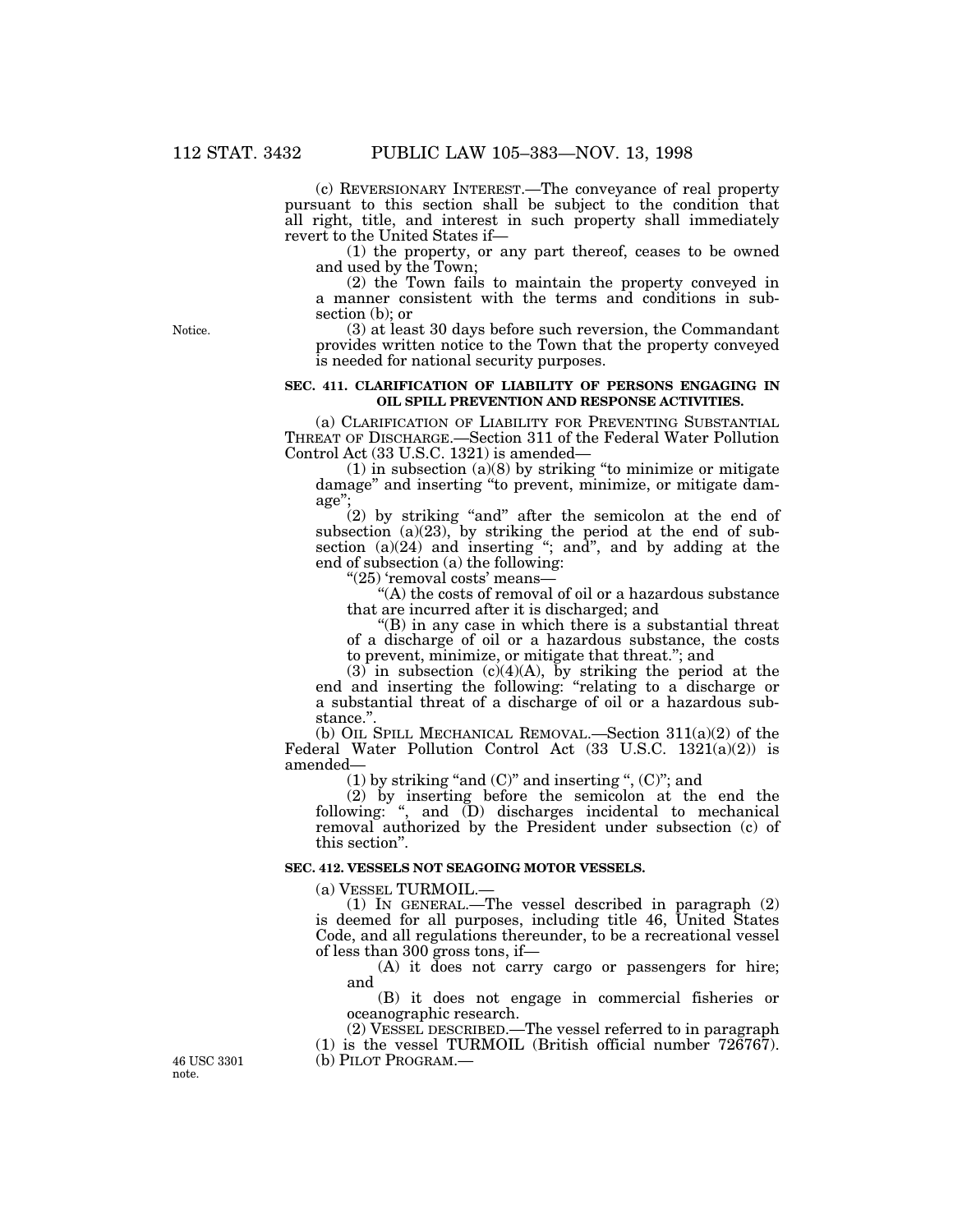(c) REVERSIONARY INTEREST.—The conveyance of real property pursuant to this section shall be subject to the condition that all right, title, and interest in such property shall immediately revert to the United States if—

(1) the property, or any part thereof, ceases to be owned and used by the Town;

(2) the Town fails to maintain the property conveyed in a manner consistent with the terms and conditions in subsection (b); or

(3) at least 30 days before such reversion, the Commandant provides written notice to the Town that the property conveyed is needed for national security purposes.

### **SEC. 411. CLARIFICATION OF LIABILITY OF PERSONS ENGAGING IN OIL SPILL PREVENTION AND RESPONSE ACTIVITIES.**

(a) CLARIFICATION OF LIABILITY FOR PREVENTING SUBSTANTIAL THREAT OF DISCHARGE.—Section 311 of the Federal Water Pollution Control Act (33 U.S.C. 1321) is amended—

 $(1)$  in subsection  $(a)(8)$  by striking "to minimize or mitigate damage'' and inserting ''to prevent, minimize, or mitigate damage'';

(2) by striking ''and'' after the semicolon at the end of subsection (a)(23), by striking the period at the end of subsection (a)(24) and inserting "; and", and by adding at the end of subsection (a) the following:

''(25) 'removal costs' means—

''(A) the costs of removal of oil or a hazardous substance that are incurred after it is discharged; and

"(B) in any case in which there is a substantial threat of a discharge of oil or a hazardous substance, the costs to prevent, minimize, or mitigate that threat.''; and

(3) in subsection (c)(4)(A), by striking the period at the end and inserting the following: ''relating to a discharge or a substantial threat of a discharge of oil or a hazardous substance."

(b) OIL SPILL MECHANICAL REMOVAL.—Section 311(a)(2) of the Federal Water Pollution Control Act (33 U.S.C. 1321(a)(2)) is amended—

(1) by striking "and  $(C)$ " and inserting ",  $(C)$ "; and

(2) by inserting before the semicolon at the end the following: '', and (D) discharges incidental to mechanical removal authorized by the President under subsection (c) of this section''.

#### **SEC. 412. VESSELS NOT SEAGOING MOTOR VESSELS.**

(a) VESSEL TURMOIL.—

(1) IN GENERAL.—The vessel described in paragraph (2) is deemed for all purposes, including title 46, United States Code, and all regulations thereunder, to be a recreational vessel of less than 300 gross tons, if—

(A) it does not carry cargo or passengers for hire; and

(B) it does not engage in commercial fisheries or oceanographic research.

(2) VESSEL DESCRIBED.—The vessel referred to in paragraph (1) is the vessel TURMOIL (British official number 726767). 46 USC 3301 (b) PILOT PROGRAM.— note.

Notice.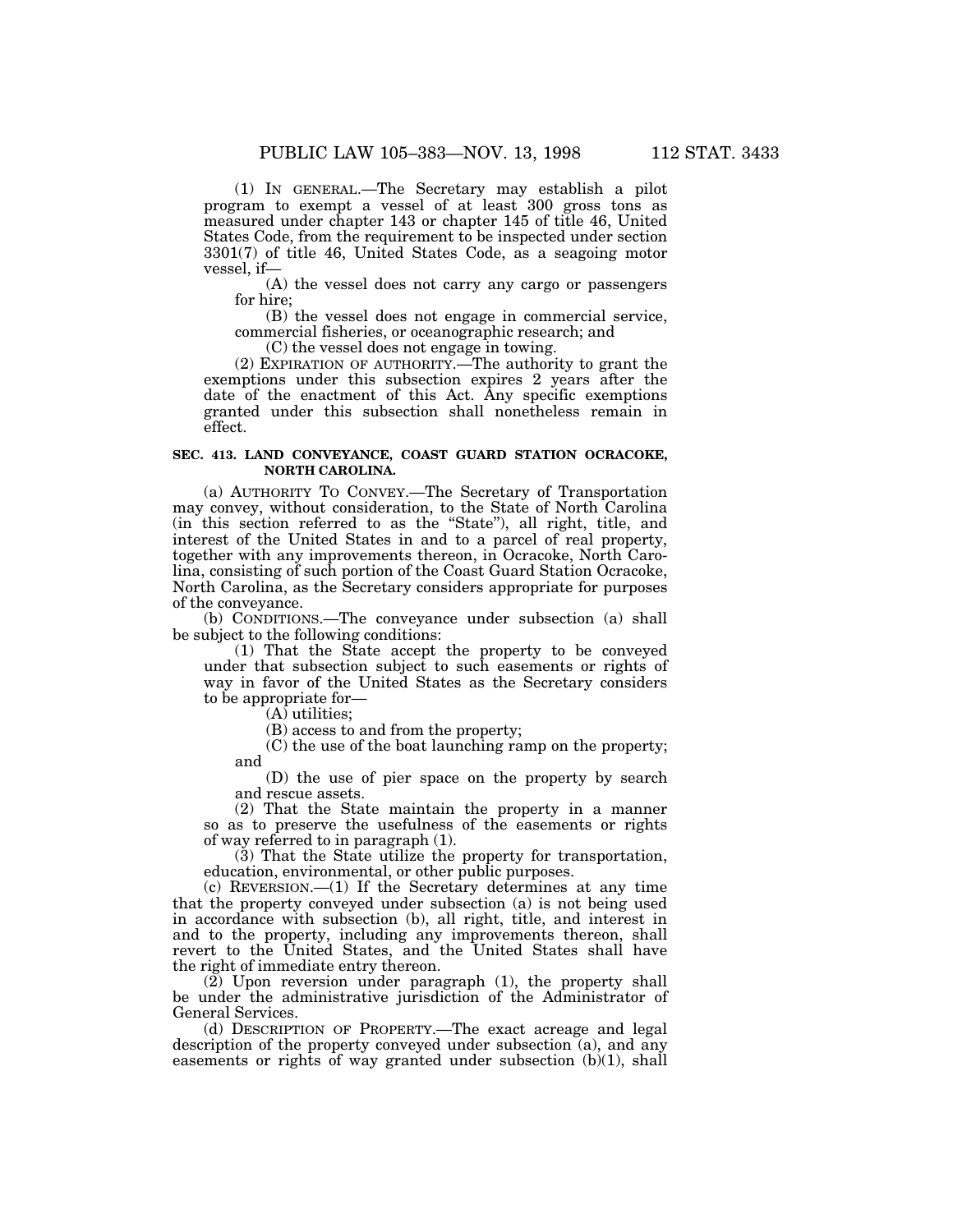(1) IN GENERAL.—The Secretary may establish a pilot program to exempt a vessel of at least 300 gross tons as measured under chapter 143 or chapter 145 of title 46, United States Code, from the requirement to be inspected under section 3301(7) of title 46, United States Code, as a seagoing motor vessel, if—

(A) the vessel does not carry any cargo or passengers for hire;

(B) the vessel does not engage in commercial service, commercial fisheries, or oceanographic research; and

(C) the vessel does not engage in towing.

(2) EXPIRATION OF AUTHORITY.—The authority to grant the exemptions under this subsection expires 2 years after the date of the enactment of this Act. Any specific exemptions granted under this subsection shall nonetheless remain in effect.

## **SEC. 413. LAND CONVEYANCE, COAST GUARD STATION OCRACOKE, NORTH CAROLINA.**

(a) AUTHORITY TO CONVEY.—The Secretary of Transportation may convey, without consideration, to the State of North Carolina (in this section referred to as the ''State''), all right, title, and interest of the United States in and to a parcel of real property, together with any improvements thereon, in Ocracoke, North Carolina, consisting of such portion of the Coast Guard Station Ocracoke, North Carolina, as the Secretary considers appropriate for purposes of the conveyance.

(b) CONDITIONS.—The conveyance under subsection (a) shall be subject to the following conditions:

(1) That the State accept the property to be conveyed under that subsection subject to such easements or rights of way in favor of the United States as the Secretary considers to be appropriate for—

(A) utilities;

(B) access to and from the property;

(C) the use of the boat launching ramp on the property; and

(D) the use of pier space on the property by search and rescue assets.

(2) That the State maintain the property in a manner so as to preserve the usefulness of the easements or rights of way referred to in paragraph (1).

(3) That the State utilize the property for transportation, education, environmental, or other public purposes.

(c) REVERSION.—(1) If the Secretary determines at any time that the property conveyed under subsection (a) is not being used in accordance with subsection (b), all right, title, and interest in and to the property, including any improvements thereon, shall revert to the United States, and the United States shall have the right of immediate entry thereon.

(2) Upon reversion under paragraph (1), the property shall be under the administrative jurisdiction of the Administrator of General Services.

(d) DESCRIPTION OF PROPERTY.—The exact acreage and legal description of the property conveyed under subsection (a), and any easements or rights of way granted under subsection  $(b)(1)$ , shall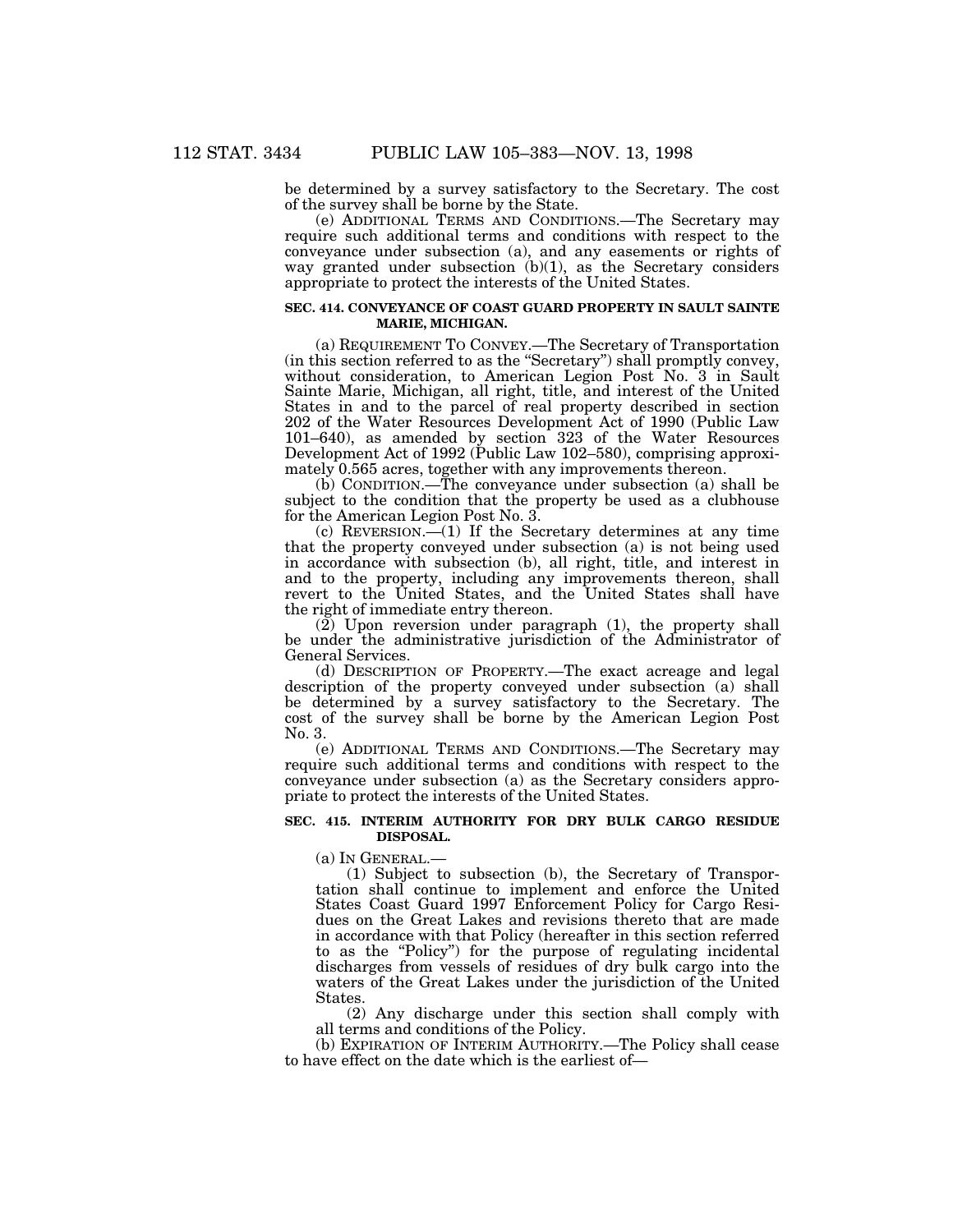be determined by a survey satisfactory to the Secretary. The cost of the survey shall be borne by the State.

(e) ADDITIONAL TERMS AND CONDITIONS.—The Secretary may require such additional terms and conditions with respect to the conveyance under subsection (a), and any easements or rights of way granted under subsection  $(b)(1)$ , as the Secretary considers appropriate to protect the interests of the United States.

#### **SEC. 414. CONVEYANCE OF COAST GUARD PROPERTY IN SAULT SAINTE MARIE, MICHIGAN.**

(a) REQUIREMENT TO CONVEY.—The Secretary of Transportation (in this section referred to as the ''Secretary'') shall promptly convey, without consideration, to American Legion Post No. 3 in Sault Sainte Marie, Michigan, all right, title, and interest of the United States in and to the parcel of real property described in section 202 of the Water Resources Development Act of 1990 (Public Law 101–640), as amended by section 323 of the Water Resources Development Act of 1992 (Public Law 102–580), comprising approximately 0.565 acres, together with any improvements thereon.

(b) CONDITION.—The conveyance under subsection (a) shall be subject to the condition that the property be used as a clubhouse for the American Legion Post No. 3.

 $(c)$  REVERSION. $\frac{c}{c}$ (1) If the Secretary determines at any time that the property conveyed under subsection (a) is not being used in accordance with subsection (b), all right, title, and interest in and to the property, including any improvements thereon, shall revert to the United States, and the United States shall have the right of immediate entry thereon.

 $(2)$  Upon reversion under paragraph  $(1)$ , the property shall be under the administrative jurisdiction of the Administrator of General Services.

(d) DESCRIPTION OF PROPERTY.—The exact acreage and legal description of the property conveyed under subsection (a) shall be determined by a survey satisfactory to the Secretary. The cost of the survey shall be borne by the American Legion Post No. 3.

(e) ADDITIONAL TERMS AND CONDITIONS.—The Secretary may require such additional terms and conditions with respect to the conveyance under subsection (a) as the Secretary considers appropriate to protect the interests of the United States.

#### **SEC. 415. INTERIM AUTHORITY FOR DRY BULK CARGO RESIDUE DISPOSAL.**

(a) IN GENERAL.—

(1) Subject to subsection (b), the Secretary of Transportation shall continue to implement and enforce the United States Coast Guard 1997 Enforcement Policy for Cargo Residues on the Great Lakes and revisions thereto that are made in accordance with that Policy (hereafter in this section referred to as the ''Policy'') for the purpose of regulating incidental discharges from vessels of residues of dry bulk cargo into the waters of the Great Lakes under the jurisdiction of the United States.

(2) Any discharge under this section shall comply with all terms and conditions of the Policy.

(b) EXPIRATION OF INTERIM AUTHORITY.—The Policy shall cease to have effect on the date which is the earliest of—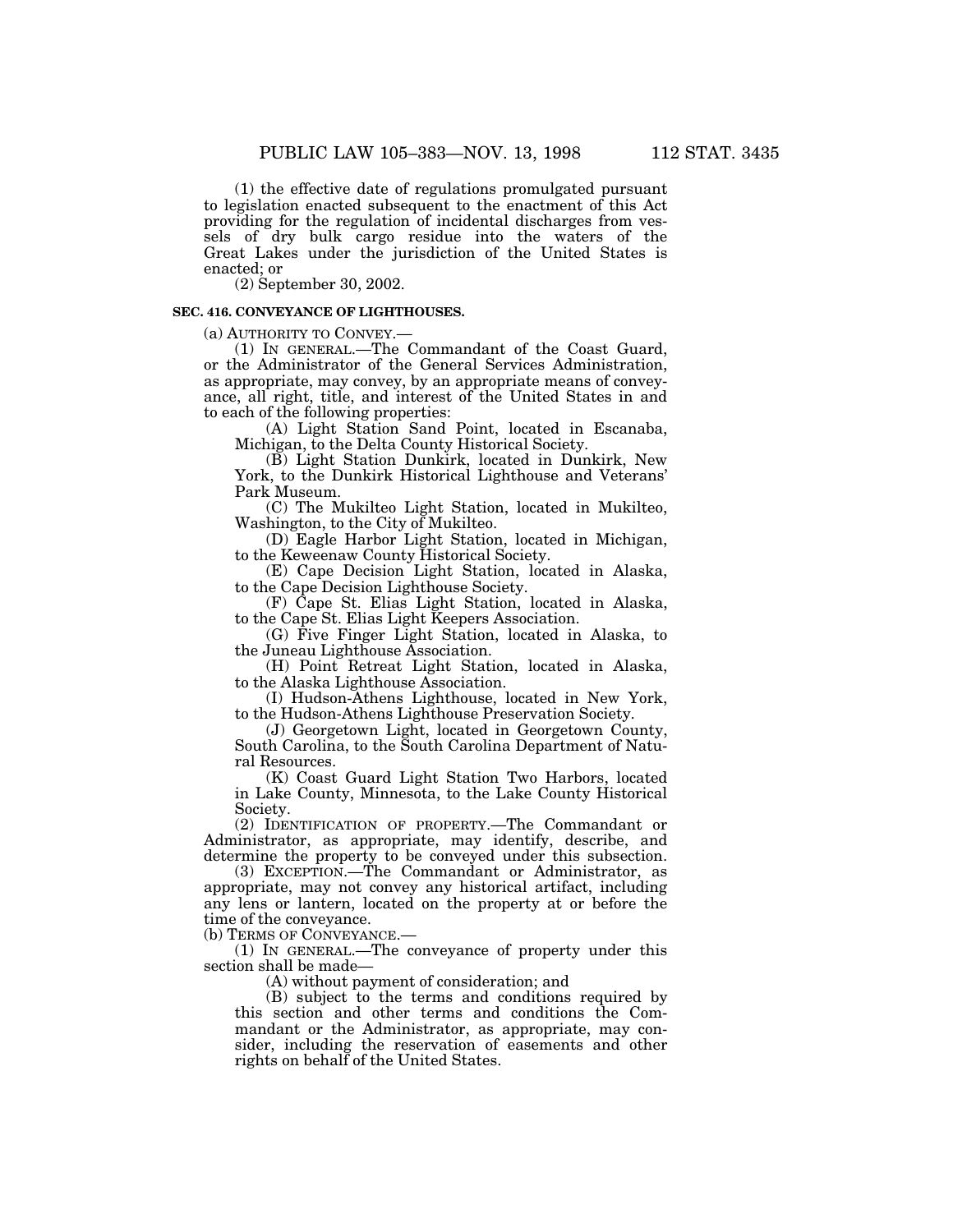(1) the effective date of regulations promulgated pursuant to legislation enacted subsequent to the enactment of this Act providing for the regulation of incidental discharges from vessels of dry bulk cargo residue into the waters of the Great Lakes under the jurisdiction of the United States is enacted; or

(2) September 30, 2002.

#### **SEC. 416. CONVEYANCE OF LIGHTHOUSES.**

(a) AUTHORITY TO CONVEY.—

(1) IN GENERAL.—The Commandant of the Coast Guard, or the Administrator of the General Services Administration, as appropriate, may convey, by an appropriate means of conveyance, all right, title, and interest of the United States in and to each of the following properties:

(A) Light Station Sand Point, located in Escanaba, Michigan, to the Delta County Historical Society.

(B) Light Station Dunkirk, located in Dunkirk, New York, to the Dunkirk Historical Lighthouse and Veterans' Park Museum.

(C) The Mukilteo Light Station, located in Mukilteo, Washington, to the City of Mukilteo.

(D) Eagle Harbor Light Station, located in Michigan, to the Keweenaw County Historical Society.

(E) Cape Decision Light Station, located in Alaska, to the Cape Decision Lighthouse Society.

(F) Cape St. Elias Light Station, located in Alaska, to the Cape St. Elias Light Keepers Association.

(G) Five Finger Light Station, located in Alaska, to the Juneau Lighthouse Association.

(H) Point Retreat Light Station, located in Alaska, to the Alaska Lighthouse Association.

(I) Hudson-Athens Lighthouse, located in New York, to the Hudson-Athens Lighthouse Preservation Society.

(J) Georgetown Light, located in Georgetown County, South Carolina, to the South Carolina Department of Natural Resources.

(K) Coast Guard Light Station Two Harbors, located in Lake County, Minnesota, to the Lake County Historical Society.

(2) IDENTIFICATION OF PROPERTY.—The Commandant or Administrator, as appropriate, may identify, describe, and determine the property to be conveyed under this subsection.

(3) EXCEPTION.—The Commandant or Administrator, as appropriate, may not convey any historical artifact, including any lens or lantern, located on the property at or before the time of the conveyance.

(b) TERMS OF CONVEYANCE.—

(1) IN GENERAL.—The conveyance of property under this section shall be made—

(A) without payment of consideration; and

(B) subject to the terms and conditions required by this section and other terms and conditions the Commandant or the Administrator, as appropriate, may consider, including the reservation of easements and other rights on behalf of the United States.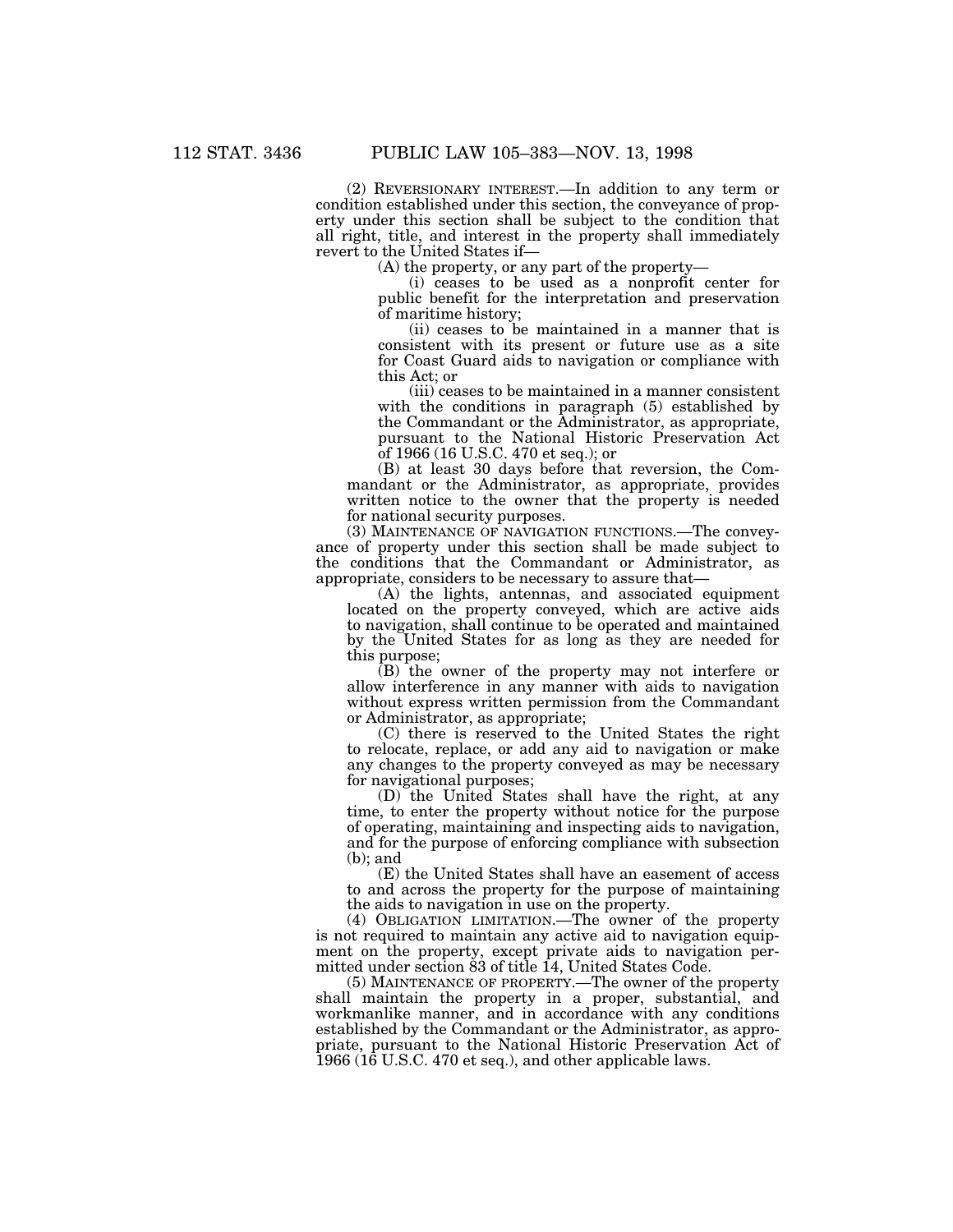(2) REVERSIONARY INTEREST.—In addition to any term or condition established under this section, the conveyance of property under this section shall be subject to the condition that all right, title, and interest in the property shall immediately revert to the United States if—

(A) the property, or any part of the property—

(i) ceases to be used as a nonprofit center for public benefit for the interpretation and preservation of maritime history;

(ii) ceases to be maintained in a manner that is consistent with its present or future use as a site for Coast Guard aids to navigation or compliance with this Act; or

(iii) ceases to be maintained in a manner consistent with the conditions in paragraph (5) established by the Commandant or the Administrator, as appropriate, pursuant to the National Historic Preservation Act of 1966 (16 U.S.C. 470 et seq.); or

(B) at least 30 days before that reversion, the Commandant or the Administrator, as appropriate, provides written notice to the owner that the property is needed for national security purposes.

(3) MAINTENANCE OF NAVIGATION FUNCTIONS.—The conveyance of property under this section shall be made subject to the conditions that the Commandant or Administrator, as appropriate, considers to be necessary to assure that—

(A) the lights, antennas, and associated equipment located on the property conveyed, which are active aids to navigation, shall continue to be operated and maintained by the United States for as long as they are needed for this purpose;

(B) the owner of the property may not interfere or allow interference in any manner with aids to navigation without express written permission from the Commandant or Administrator, as appropriate;

(C) there is reserved to the United States the right to relocate, replace, or add any aid to navigation or make any changes to the property conveyed as may be necessary for navigational purposes;

(D) the United States shall have the right, at any time, to enter the property without notice for the purpose of operating, maintaining and inspecting aids to navigation, and for the purpose of enforcing compliance with subsection (b); and

(E) the United States shall have an easement of access to and across the property for the purpose of maintaining the aids to navigation in use on the property.

(4) OBLIGATION LIMITATION.—The owner of the property is not required to maintain any active aid to navigation equipment on the property, except private aids to navigation permitted under section 83 of title 14, United States Code.

(5) MAINTENANCE OF PROPERTY.—The owner of the property shall maintain the property in a proper, substantial, and workmanlike manner, and in accordance with any conditions established by the Commandant or the Administrator, as appropriate, pursuant to the National Historic Preservation Act of 1966 (16 U.S.C. 470 et seq.), and other applicable laws.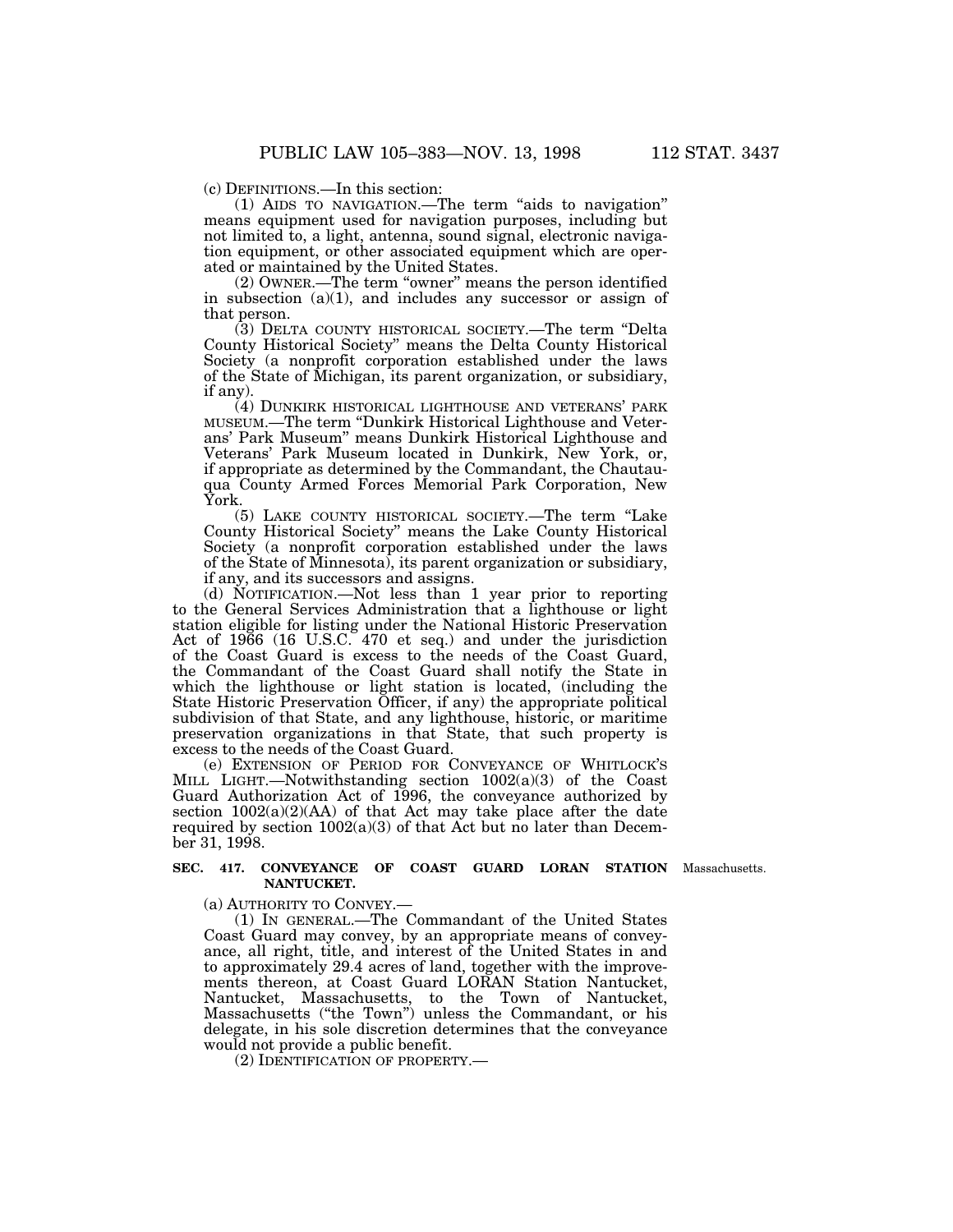(c) DEFINITIONS.—In this section:

(1) AIDS TO NAVIGATION.—The term ''aids to navigation'' means equipment used for navigation purposes, including but not limited to, a light, antenna, sound signal, electronic navigation equipment, or other associated equipment which are operated or maintained by the United States.

(2) OWNER.—The term ''owner'' means the person identified in subsection  $(a)(1)$ , and includes any successor or assign of that person.

(3) DELTA COUNTY HISTORICAL SOCIETY.—The term ''Delta County Historical Society'' means the Delta County Historical Society (a nonprofit corporation established under the laws of the State of Michigan, its parent organization, or subsidiary, if any).

(4) DUNKIRK HISTORICAL LIGHTHOUSE AND VETERANS' PARK MUSEUM.—The term ''Dunkirk Historical Lighthouse and Veterans' Park Museum'' means Dunkirk Historical Lighthouse and Veterans' Park Museum located in Dunkirk, New York, or, if appropriate as determined by the Commandant, the Chautauqua County Armed Forces Memorial Park Corporation, New York.

(5) LAKE COUNTY HISTORICAL SOCIETY.—The term ''Lake County Historical Society'' means the Lake County Historical Society (a nonprofit corporation established under the laws of the State of Minnesota), its parent organization or subsidiary, if any, and its successors and assigns.

(d) NOTIFICATION.—Not less than 1 year prior to reporting to the General Services Administration that a lighthouse or light station eligible for listing under the National Historic Preservation Act of 1966 (16 U.S.C. 470 et seq.) and under the jurisdiction of the Coast Guard is excess to the needs of the Coast Guard, the Commandant of the Coast Guard shall notify the State in which the lighthouse or light station is located, (including the State Historic Preservation Officer, if any) the appropriate political subdivision of that State, and any lighthouse, historic, or maritime preservation organizations in that State, that such property is excess to the needs of the Coast Guard.

(e) EXTENSION OF PERIOD FOR CONVEYANCE OF WHITLOCK'S MILL LIGHT.—Notwithstanding section 1002(a)(3) of the Coast Guard Authorization Act of 1996, the conveyance authorized by section  $1002(a)(2)(AA)$  of that Act may take place after the date required by section  $1002(a)(3)$  of that Act but no later than December 31, 1998.

#### **SEC. 417. CONVEYANCE OF COAST GUARD LORAN STATION** Massachusetts.**NANTUCKET.**

(a) AUTHORITY TO CONVEY.—

(1) IN GENERAL.—The Commandant of the United States Coast Guard may convey, by an appropriate means of conveyance, all right, title, and interest of the United States in and to approximately 29.4 acres of land, together with the improvements thereon, at Coast Guard LORAN Station Nantucket, Nantucket, Massachusetts, to the Town of Nantucket, Massachusetts (''the Town'') unless the Commandant, or his delegate, in his sole discretion determines that the conveyance would not provide a public benefit.

(2) IDENTIFICATION OF PROPERTY.—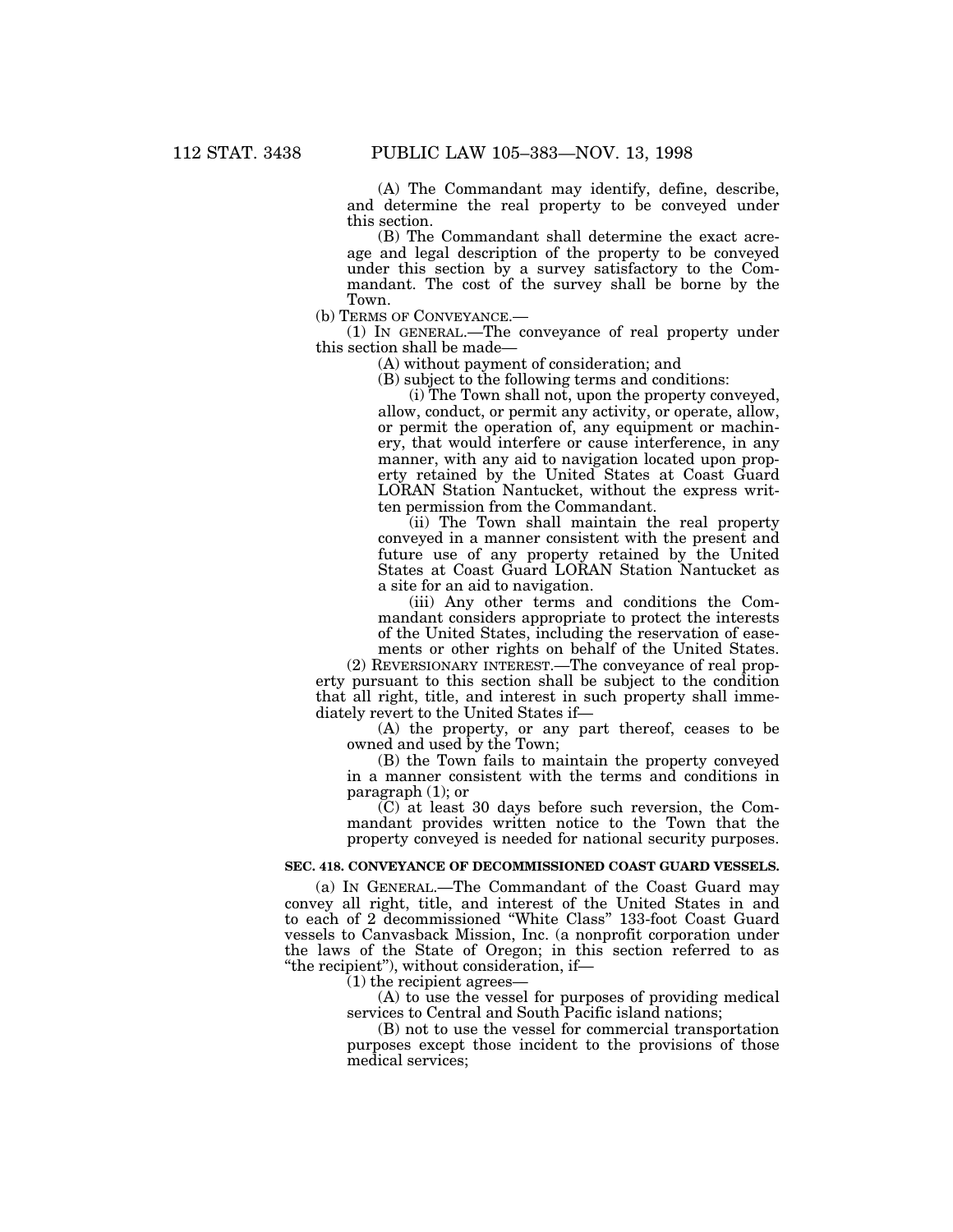(A) The Commandant may identify, define, describe, and determine the real property to be conveyed under this section.

(B) The Commandant shall determine the exact acreage and legal description of the property to be conveyed under this section by a survey satisfactory to the Commandant. The cost of the survey shall be borne by the Town.

(b) TERMS OF CONVEYANCE.—

(1) IN GENERAL.—The conveyance of real property under this section shall be made—

(A) without payment of consideration; and

(B) subject to the following terms and conditions:

(i) The Town shall not, upon the property conveyed, allow, conduct, or permit any activity, or operate, allow, or permit the operation of, any equipment or machinery, that would interfere or cause interference, in any manner, with any aid to navigation located upon property retained by the United States at Coast Guard LORAN Station Nantucket, without the express written permission from the Commandant.

(ii) The Town shall maintain the real property conveyed in a manner consistent with the present and future use of any property retained by the United States at Coast Guard LORAN Station Nantucket as a site for an aid to navigation.

(iii) Any other terms and conditions the Commandant considers appropriate to protect the interests of the United States, including the reservation of easements or other rights on behalf of the United States.

(2) REVERSIONARY INTEREST.—The conveyance of real property pursuant to this section shall be subject to the condition that all right, title, and interest in such property shall immediately revert to the United States if—

(A) the property, or any part thereof, ceases to be owned and used by the Town;

(B) the Town fails to maintain the property conveyed in a manner consistent with the terms and conditions in paragraph (1); or

(C) at least 30 days before such reversion, the Commandant provides written notice to the Town that the property conveyed is needed for national security purposes.

## **SEC. 418. CONVEYANCE OF DECOMMISSIONED COAST GUARD VESSELS.**

(a) IN GENERAL.—The Commandant of the Coast Guard may convey all right, title, and interest of the United States in and to each of 2 decommissioned ''White Class'' 133-foot Coast Guard vessels to Canvasback Mission, Inc. (a nonprofit corporation under the laws of the State of Oregon; in this section referred to as ''the recipient''), without consideration, if—

 $(1)$  the recipient agrees-

(A) to use the vessel for purposes of providing medical services to Central and South Pacific island nations;

(B) not to use the vessel for commercial transportation purposes except those incident to the provisions of those medical services;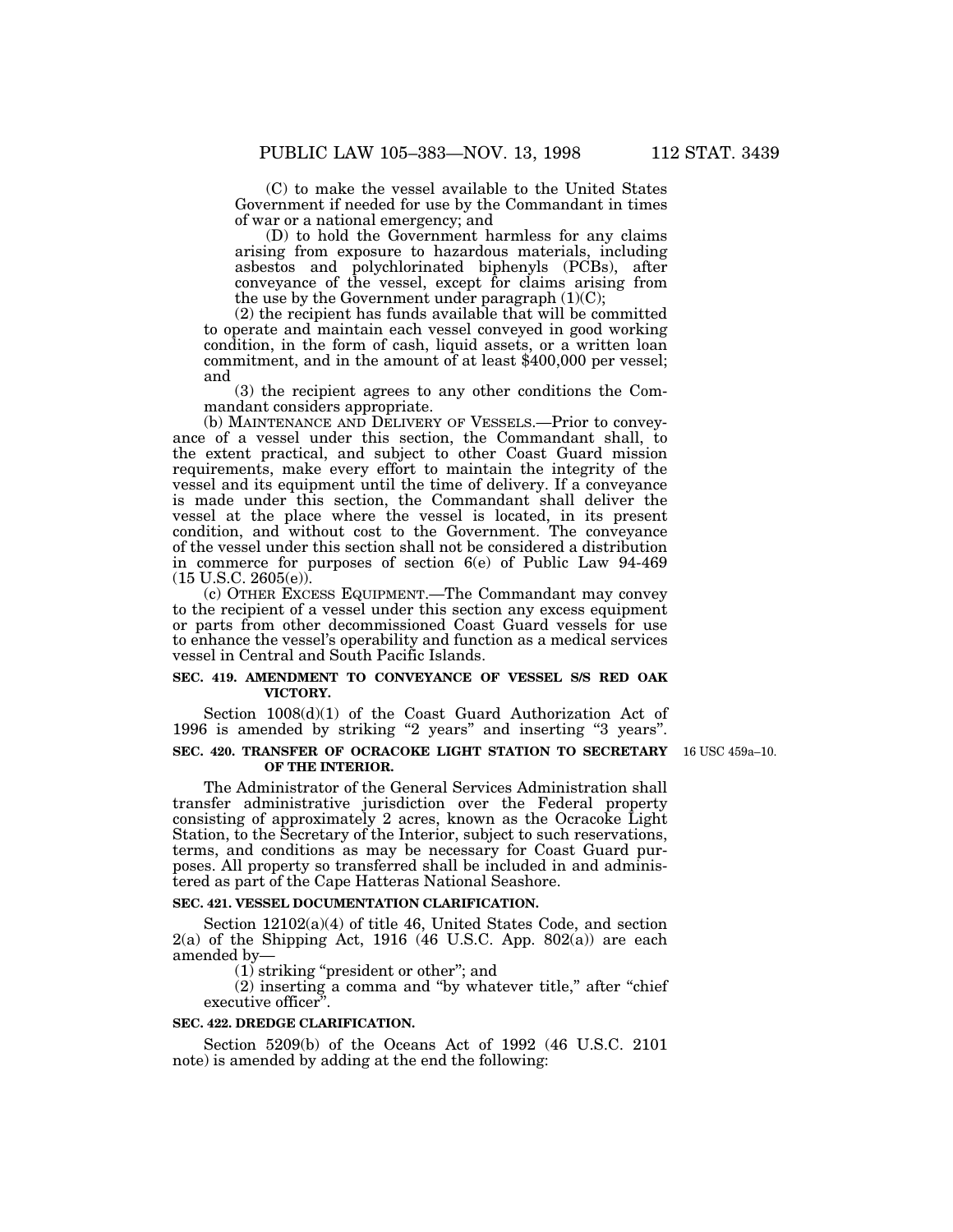(C) to make the vessel available to the United States Government if needed for use by the Commandant in times of war or a national emergency; and

(D) to hold the Government harmless for any claims arising from exposure to hazardous materials, including asbestos and polychlorinated biphenyls (PCBs), after conveyance of the vessel, except for claims arising from the use by the Government under paragraph  $(1)(C)$ ;

(2) the recipient has funds available that will be committed to operate and maintain each vessel conveyed in good working condition, in the form of cash, liquid assets, or a written loan commitment, and in the amount of at least \$400,000 per vessel; and

(3) the recipient agrees to any other conditions the Commandant considers appropriate.

(b) MAINTENANCE AND DELIVERY OF VESSELS.—Prior to conveyance of a vessel under this section, the Commandant shall, to the extent practical, and subject to other Coast Guard mission requirements, make every effort to maintain the integrity of the vessel and its equipment until the time of delivery. If a conveyance is made under this section, the Commandant shall deliver the vessel at the place where the vessel is located, in its present condition, and without cost to the Government. The conveyance of the vessel under this section shall not be considered a distribution in commerce for purposes of section 6(e) of Public Law 94-469  $(15 \text{ U.S.C. } 2605(e))$ .

(c) OTHER EXCESS EQUIPMENT.—The Commandant may convey to the recipient of a vessel under this section any excess equipment or parts from other decommissioned Coast Guard vessels for use to enhance the vessel's operability and function as a medical services vessel in Central and South Pacific Islands.

### **SEC. 419. AMENDMENT TO CONVEYANCE OF VESSEL S/S RED OAK VICTORY.**

Section 1008(d)(1) of the Coast Guard Authorization Act of 1996 is amended by striking "2 years" and inserting "3 years".

#### **SEC. 420. TRANSFER OF OCRACOKE LIGHT STATION TO SECRETARY** 16 USC 459a–10.**OF THE INTERIOR.**

The Administrator of the General Services Administration shall transfer administrative jurisdiction over the Federal property consisting of approximately 2 acres, known as the Ocracoke Light Station, to the Secretary of the Interior, subject to such reservations, terms, and conditions as may be necessary for Coast Guard purposes. All property so transferred shall be included in and administered as part of the Cape Hatteras National Seashore.

#### **SEC. 421. VESSEL DOCUMENTATION CLARIFICATION.**

Section 12102(a)(4) of title 46, United States Code, and section  $2(a)$  of the Shipping Act, 1916 (46 U.S.C. App. 802(a)) are each amended by—

(1) striking ''president or other''; and

(2) inserting a comma and ''by whatever title,'' after ''chief executive officer".

#### **SEC. 422. DREDGE CLARIFICATION.**

Section 5209(b) of the Oceans Act of 1992 (46 U.S.C. 2101 note) is amended by adding at the end the following: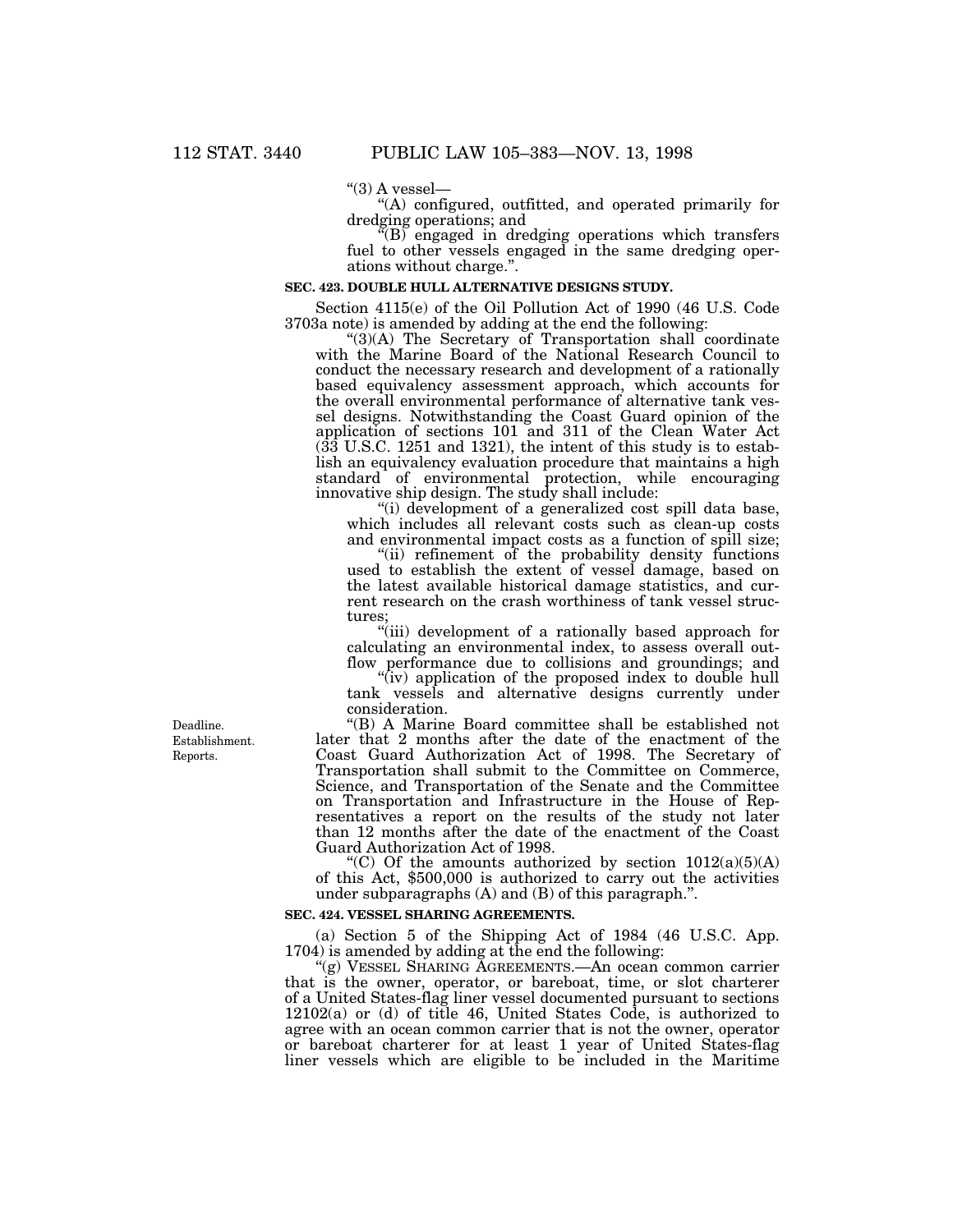" $(3)$  A vessel—

''(A) configured, outfitted, and operated primarily for dredging operations; and

''(B) engaged in dredging operations which transfers fuel to other vessels engaged in the same dredging operations without charge.''.

#### **SEC. 423. DOUBLE HULL ALTERNATIVE DESIGNS STUDY.**

Section 4115(e) of the Oil Pollution Act of 1990 (46 U.S. Code 3703a note) is amended by adding at the end the following:

 $\degree$ (3)(A) The Secretary of Transportation shall coordinate with the Marine Board of the National Research Council to conduct the necessary research and development of a rationally based equivalency assessment approach, which accounts for the overall environmental performance of alternative tank vessel designs. Notwithstanding the Coast Guard opinion of the application of sections 101 and 311 of the Clean Water Act (33 U.S.C. 1251 and 1321), the intent of this study is to establish an equivalency evaluation procedure that maintains a high standard of environmental protection, while encouraging innovative ship design. The study shall include:

''(i) development of a generalized cost spill data base, which includes all relevant costs such as clean-up costs and environmental impact costs as a function of spill size;

"(ii) refinement of the probability density functions" used to establish the extent of vessel damage, based on the latest available historical damage statistics, and current research on the crash worthiness of tank vessel structures;

''(iii) development of a rationally based approach for calculating an environmental index, to assess overall outflow performance due to collisions and groundings; and

''(iv) application of the proposed index to double hull tank vessels and alternative designs currently under consideration.

''(B) A Marine Board committee shall be established not later that 2 months after the date of the enactment of the Coast Guard Authorization Act of 1998. The Secretary of Transportation shall submit to the Committee on Commerce, Science, and Transportation of the Senate and the Committee on Transportation and Infrastructure in the House of Representatives a report on the results of the study not later than 12 months after the date of the enactment of the Coast Guard Authorization Act of 1998.<br>
"(C) Of the amounts authorized by section  $1012(a)(5)(A)$ 

of this Act, \$500,000 is authorized to carry out the activities under subparagraphs (A) and (B) of this paragraph.''.

#### **SEC. 424. VESSEL SHARING AGREEMENTS.**

(a) Section 5 of the Shipping Act of 1984 (46 U.S.C. App.  $1704$ ) is amended by adding at the end the following:

''(g) VESSEL SHARING AGREEMENTS.—An ocean common carrier that is the owner, operator, or bareboat, time, or slot charterer of a United States-flag liner vessel documented pursuant to sections 12102(a) or (d) of title 46, United States Code, is authorized to agree with an ocean common carrier that is not the owner, operator or bareboat charterer for at least 1 year of United States-flag liner vessels which are eligible to be included in the Maritime

Reports. Deadline. Establishment.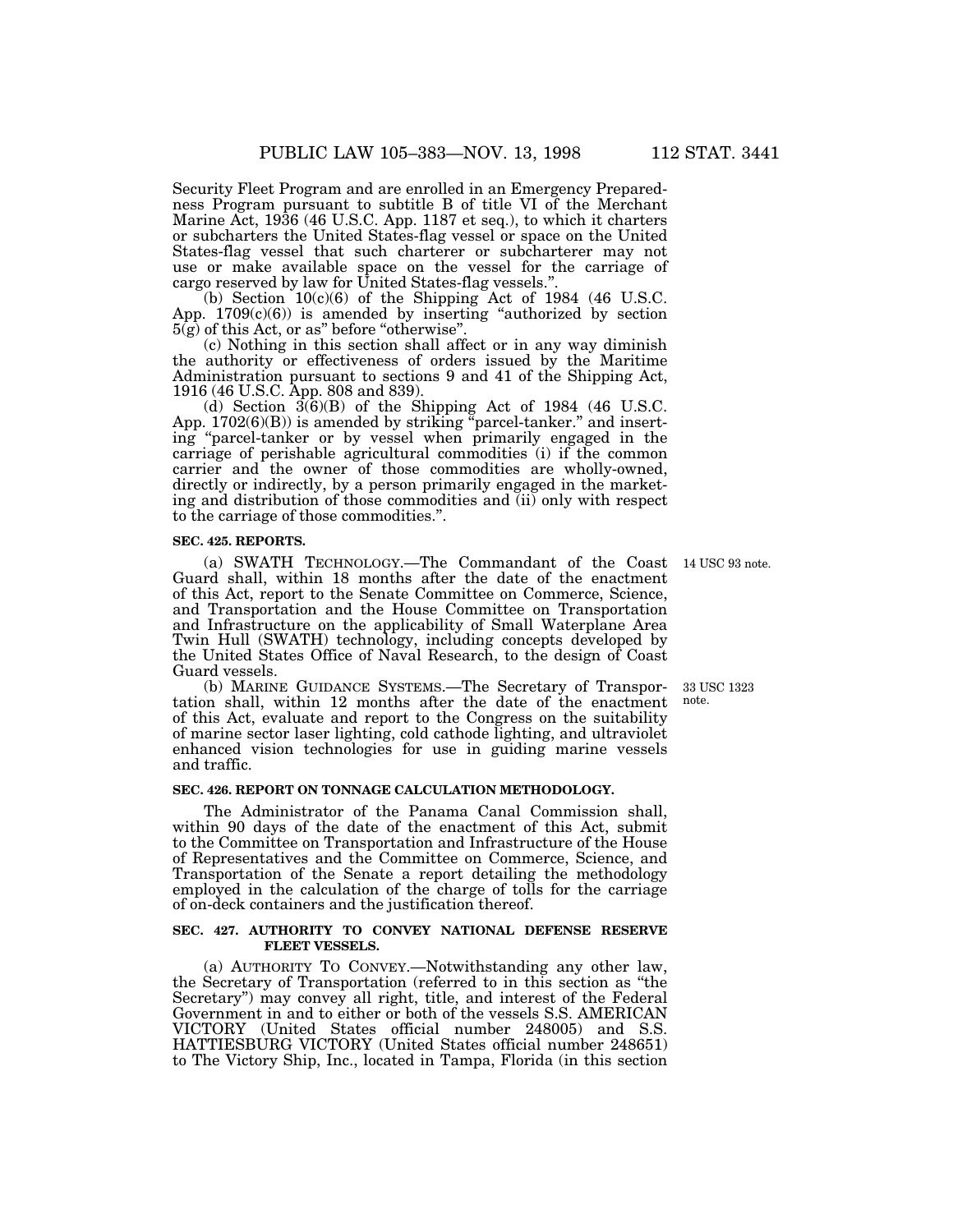Security Fleet Program and are enrolled in an Emergency Preparedness Program pursuant to subtitle B of title VI of the Merchant Marine Act, 1936 (46 U.S.C. App. 1187 et seq.), to which it charters or subcharters the United States-flag vessel or space on the United States-flag vessel that such charterer or subcharterer may not use or make available space on the vessel for the carriage of cargo reserved by law for United States-flag vessels.''.

(b) Section  $10(c)(6)$  of the Shipping Act of 1984 (46 U.S.C. App.  $1709(c)(6)$  is amended by inserting "authorized by section  $5(g)$  of this Act, or as" before "otherwise".

(c) Nothing in this section shall affect or in any way diminish the authority or effectiveness of orders issued by the Maritime Administration pursuant to sections 9 and 41 of the Shipping Act, 1916 (46 U.S.C. App. 808 and 839).

(d) Section  $3(6)(B)$  of the Shipping Act of 1984 (46 U.S.C. App.  $1702(6)(B)$ ) is amended by striking "parcel-tanker." and inserting ''parcel-tanker or by vessel when primarily engaged in the carriage of perishable agricultural commodities (i) if the common carrier and the owner of those commodities are wholly-owned, directly or indirectly, by a person primarily engaged in the marketing and distribution of those commodities and (ii) only with respect to the carriage of those commodities.''.

#### **SEC. 425. REPORTS.**

(a) SWATH TECHNOLOGY.—The Commandant of the Coast 14 USC 93 note.Guard shall, within 18 months after the date of the enactment of this Act, report to the Senate Committee on Commerce, Science, and Transportation and the House Committee on Transportation and Infrastructure on the applicability of Small Waterplane Area Twin Hull (SWATH) technology, including concepts developed by the United States Office of Naval Research, to the design of Coast Guard vessels.

(b) MARINE GUIDANCE SYSTEMS.—The Secretary of Transportation shall, within 12 months after the date of the enactment of this Act, evaluate and report to the Congress on the suitability of marine sector laser lighting, cold cathode lighting, and ultraviolet enhanced vision technologies for use in guiding marine vessels and traffic.

# **SEC. 426. REPORT ON TONNAGE CALCULATION METHODOLOGY.**

The Administrator of the Panama Canal Commission shall, within 90 days of the date of the enactment of this Act, submit to the Committee on Transportation and Infrastructure of the House of Representatives and the Committee on Commerce, Science, and Transportation of the Senate a report detailing the methodology employed in the calculation of the charge of tolls for the carriage of on-deck containers and the justification thereof.

#### **SEC. 427. AUTHORITY TO CONVEY NATIONAL DEFENSE RESERVE FLEET VESSELS.**

(a) AUTHORITY TO CONVEY.—Notwithstanding any other law, the Secretary of Transportation (referred to in this section as ''the Secretary'') may convey all right, title, and interest of the Federal Government in and to either or both of the vessels S.S. AMERICAN VICTORY (United States official number 248005) and S.S. HATTIESBURG VICTORY (United States official number 248651) to The Victory Ship, Inc., located in Tampa, Florida (in this section

33 USC 1323 note.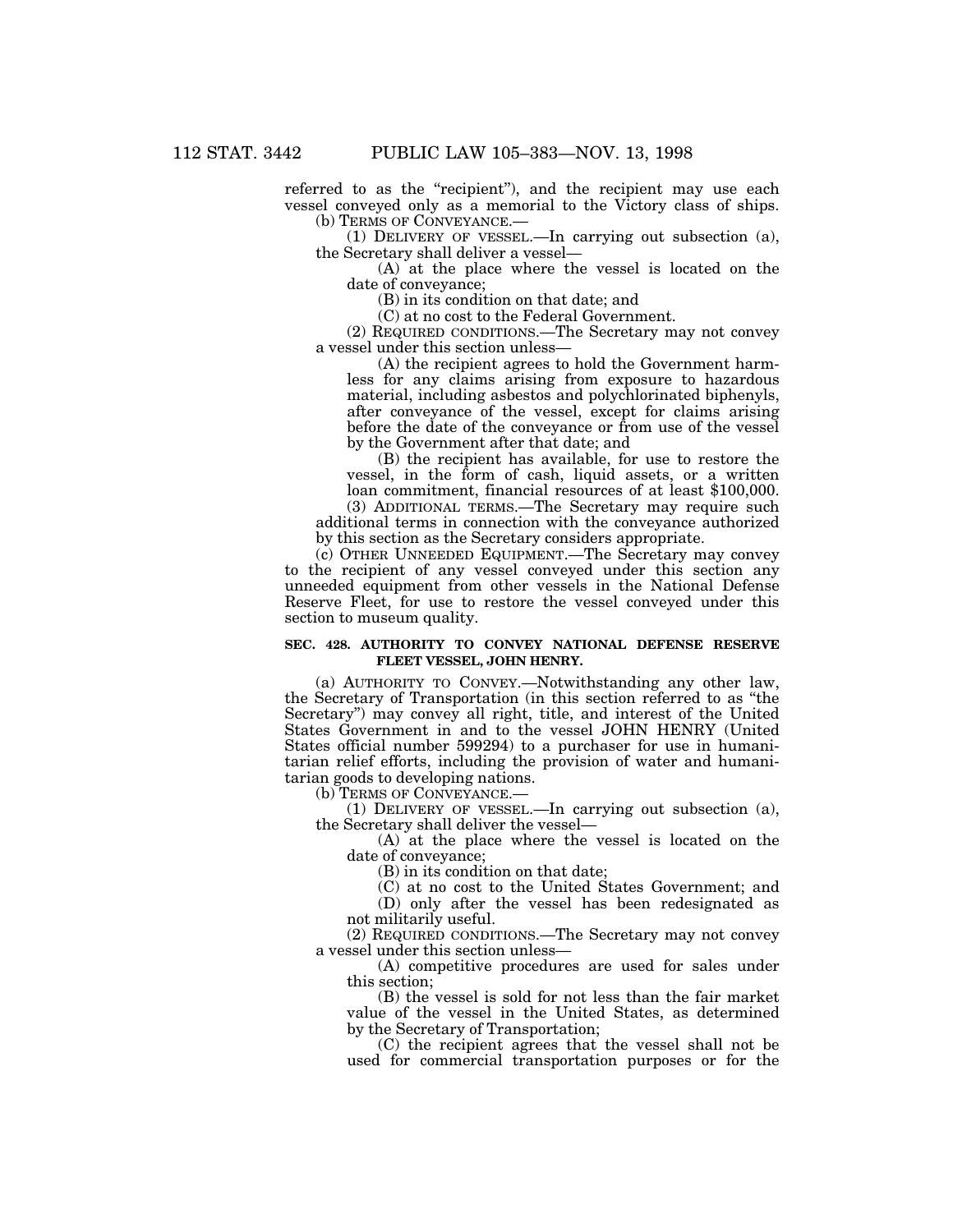referred to as the "recipient"), and the recipient may use each vessel conveyed only as a memorial to the Victory class of ships. (b) TERMS OF CONVEYANCE.—

(1) DELIVERY OF VESSEL.—In carrying out subsection (a), the Secretary shall deliver a vessel—

(A) at the place where the vessel is located on the date of conveyance;

(B) in its condition on that date; and

(C) at no cost to the Federal Government.

(2) REQUIRED CONDITIONS.—The Secretary may not convey a vessel under this section unless—

(A) the recipient agrees to hold the Government harmless for any claims arising from exposure to hazardous material, including asbestos and polychlorinated biphenyls, after conveyance of the vessel, except for claims arising before the date of the conveyance or from use of the vessel by the Government after that date; and

(B) the recipient has available, for use to restore the vessel, in the form of cash, liquid assets, or a written loan commitment, financial resources of at least \$100,000.

(3) ADDITIONAL TERMS.—The Secretary may require such additional terms in connection with the conveyance authorized by this section as the Secretary considers appropriate.

(c) OTHER UNNEEDED EQUIPMENT.—The Secretary may convey to the recipient of any vessel conveyed under this section any unneeded equipment from other vessels in the National Defense Reserve Fleet, for use to restore the vessel conveyed under this section to museum quality.

#### **SEC. 428. AUTHORITY TO CONVEY NATIONAL DEFENSE RESERVE FLEET VESSEL, JOHN HENRY.**

(a) AUTHORITY TO CONVEY.—Notwithstanding any other law, the Secretary of Transportation (in this section referred to as ''the Secretary'') may convey all right, title, and interest of the United States Government in and to the vessel JOHN HENRY (United States official number 599294) to a purchaser for use in humanitarian relief efforts, including the provision of water and humanitarian goods to developing nations.

(b) TERMS OF CONVEYANCE.—

(1) DELIVERY OF VESSEL.—In carrying out subsection (a), the Secretary shall deliver the vessel—

(A) at the place where the vessel is located on the date of conveyance;

(B) in its condition on that date;

(C) at no cost to the United States Government; and

(D) only after the vessel has been redesignated as not militarily useful.

(2) REQUIRED CONDITIONS.—The Secretary may not convey a vessel under this section unless—

(A) competitive procedures are used for sales under this section;

(B) the vessel is sold for not less than the fair market value of the vessel in the United States, as determined by the Secretary of Transportation;

(C) the recipient agrees that the vessel shall not be used for commercial transportation purposes or for the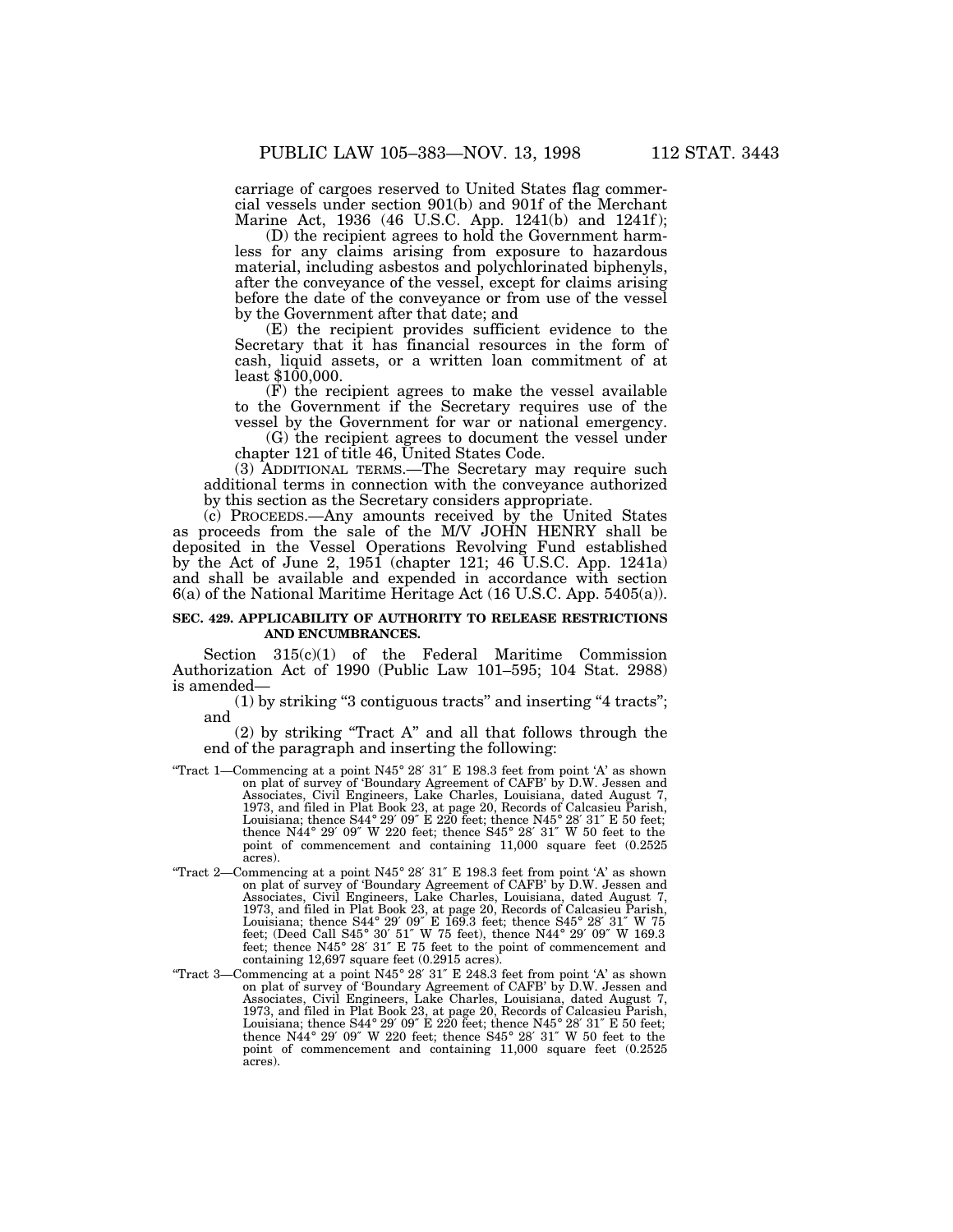carriage of cargoes reserved to United States flag commercial vessels under section 901(b) and 901f of the Merchant Marine Act, 1936 (46 U.S.C. App. 1241(b) and 1241f);

(D) the recipient agrees to hold the Government harmless for any claims arising from exposure to hazardous material, including asbestos and polychlorinated biphenyls, after the conveyance of the vessel, except for claims arising before the date of the conveyance or from use of the vessel by the Government after that date; and

(E) the recipient provides sufficient evidence to the Secretary that it has financial resources in the form of cash, liquid assets, or a written loan commitment of at least \$100,000.

(F) the recipient agrees to make the vessel available to the Government if the Secretary requires use of the vessel by the Government for war or national emergency.

(G) the recipient agrees to document the vessel under chapter 121 of title 46, United States Code.

(3) ADDITIONAL TERMS.—The Secretary may require such additional terms in connection with the conveyance authorized by this section as the Secretary considers appropriate.

(c) PROCEEDS.—Any amounts received by the United States as proceeds from the sale of the M/V JOHN HENRY shall be deposited in the Vessel Operations Revolving Fund established by the Act of June 2, 1951 (chapter 121; 46 U.S.C. App. 1241a) and shall be available and expended in accordance with section 6(a) of the National Maritime Heritage Act (16 U.S.C. App. 5405(a)).

#### **SEC. 429. APPLICABILITY OF AUTHORITY TO RELEASE RESTRICTIONS AND ENCUMBRANCES.**

Section  $315(c)(1)$  of the Federal Maritime Commission Authorization Act of 1990 (Public Law 101–595; 104 Stat. 2988) is amended—

(1) by striking ''3 contiguous tracts'' and inserting ''4 tracts''; and

(2) by striking ''Tract A'' and all that follows through the end of the paragraph and inserting the following:

- ''Tract 1—Commencing at a point N45° 28′ 31″ E 198.3 feet from point 'A' as shown on plat of survey of 'Boundary Agreement of CAFB' by D.W. Jessen and Associates, Civil Engineers, Lake Charles, Louisiana, dated August 7, 1973, and filed in Plat Book 23, at page 20, Records of Calcasieu Parish, Louisiana; thence S44° 29′ 09″ E 220 feet; thence N45° 28′ 31″ E 50 feet; thence N44° 29′ 09″ W 220 feet; thence S45° 28′ 31″ W 50 feet to the point of commencement and containing 11,000 square feet (0.2525 acres).
- "Tract 2—Commencing at a point N45° 28' 31" E 198.3 feet from point 'A' as shown on plat of survey of 'Boundary Agreement of CAFB' by D.W. Jessen and Associates, Civil Engineers, Lake Charles, Louisiana, dated August 7, 1973, and filed in Plat Book 23, at page 20, Records of Calcasieu Parish, Louisiana; thence S44° 29′ 09″ E 169.3 feet; thence S45° 28′ 31″ W 75 feet; (Deed Call S45° 30′ 51″ W 75 feet), thence N44° 29′ 09″ W 169.3 feet; thence N45° 28′ 31″ E 75 feet to the point of commencement and containing 12,697 square feet (0.2915 acres).
- ''Tract 3—Commencing at a point N45° 28′ 31″ E 248.3 feet from point 'A' as shown on plat of survey of 'Boundary Agreement of CAFB' by D.W. Jessen and Associates, Civil Engineers, Lake Charles, Louisiana, dated August 7, 1973, and filed in Plat Book 23, at page 20, Records of Calcasieu Parish, Louisiana; thence S44° 29′ 09″ E 220 feet; thence N45° 28′ 31″ E 50 feet; thence N44° 29′ 09″ W 220 feet; thence S45° 28′ 31″ W 50 feet to the point of commencement and containing 11,000 square feet (0.2525 acres).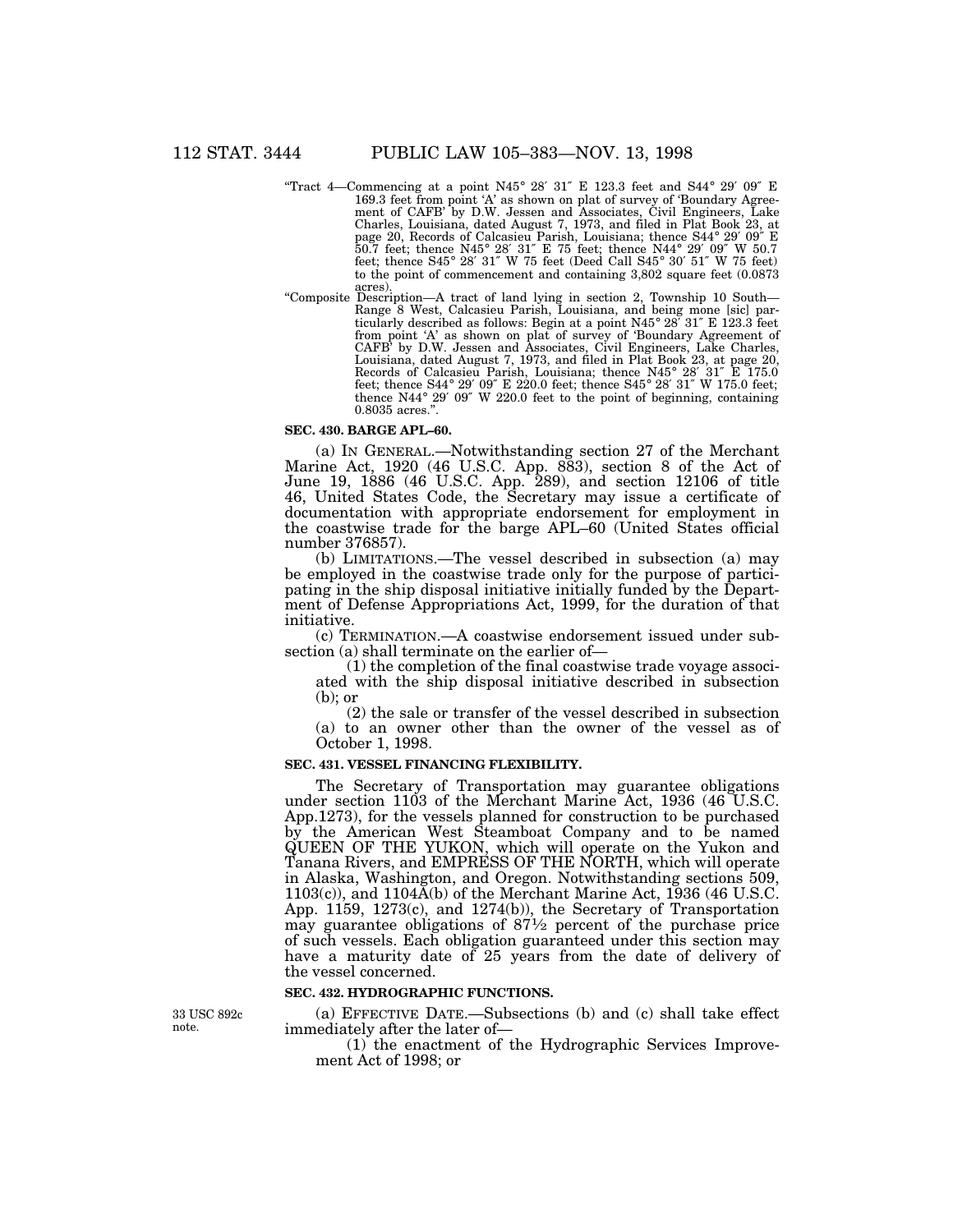- "Tract 4—Commencing at a point N45° 28' 31" E 123.3 feet and S44° 29' 09" E 169.3 feet from point 'A' as shown on plat of survey of 'Boundary Agreement of CAFB' by D.W. Jessen and Associates, Civil Engineers, Lake Charles, Louisiana, dated August 7, 1973, and filed in Plat Book 23, at page 20, Records of Calcasieu Parish, Louisiana; thence S44° 29′ 09″ E 50.7 feet; thence N45° 28′ 31″ E 75 feet; thence N44° 29′ 09″ W 50.7 feet; thence S45° 28′ 31″ W 75 feet (Deed Call S45° 30′ 51″ W 75 feet) to the point of commencement and containing 3,802 square feet (0.0873 acres).
- ''Composite Description—A tract of land lying in section 2, Township 10 South— Range 8 West, Calcasieu Parish, Louisiana, and being mone [sic] particularly described as follows: Begin at a point N45° 28′ 31″ E 123.3 feet from point 'A' as shown on plat of survey of 'Boundary Agreement of CAFB' by D.W. Jessen and Associates, Civil Engineers, Lake Charles, Louisiana, dated August 7, 1973, and filed in Plat Book 23, at page 20, Records of Calcasieu Parish, Louisiana; thence N45° 28′ 31″ E 175.0 feet; thence S44° 29′ 09″ E 220.0 feet; thence S45° 28′ 31″ W 175.0 feet; thence N44° 29′ 09″ W 220.0 feet to the point of beginning, containing 0.8035 acres.''.

#### **SEC. 430. BARGE APL–60.**

(a) IN GENERAL.—Notwithstanding section 27 of the Merchant Marine Act, 1920 (46 U.S.C. App. 883), section 8 of the Act of June 19, 1886 (46 U.S.C. App. 289), and section 12106 of title 46, United States Code, the Secretary may issue a certificate of documentation with appropriate endorsement for employment in the coastwise trade for the barge APL–60 (United States official number 376857).

(b) LIMITATIONS.—The vessel described in subsection (a) may be employed in the coastwise trade only for the purpose of participating in the ship disposal initiative initially funded by the Department of Defense Appropriations Act, 1999, for the duration of that initiative.

(c) TERMINATION.—A coastwise endorsement issued under subsection (a) shall terminate on the earlier of—

(1) the completion of the final coastwise trade voyage associated with the ship disposal initiative described in subsection (b); or

(2) the sale or transfer of the vessel described in subsection (a) to an owner other than the owner of the vessel as of October 1, 1998.

#### **SEC. 431. VESSEL FINANCING FLEXIBILITY.**

The Secretary of Transportation may guarantee obligations under section 1103 of the Merchant Marine Act, 1936 (46 U.S.C. App.1273), for the vessels planned for construction to be purchased by the American West Steamboat Company and to be named QUEEN OF THE YUKON, which will operate on the Yukon and Tanana Rivers, and EMPRESS OF THE NORTH, which will operate in Alaska, Washington, and Oregon. Notwithstanding sections 509,  $1103(c)$ , and  $1104\overline{A}$ (b) of the Merchant Marine Act, 1936 (46 U.S.C. App. 1159, 1273(c), and 1274(b)), the Secretary of Transportation may guarantee obligations of  $87\frac{1}{2}$  percent of the purchase price of such vessels. Each obligation guaranteed under this section may have a maturity date of 25 years from the date of delivery of the vessel concerned.

#### **SEC. 432. HYDROGRAPHIC FUNCTIONS.**

33 USC 892c note.

(a) EFFECTIVE DATE.—Subsections (b) and (c) shall take effect immediately after the later of—

(1) the enactment of the Hydrographic Services Improvement Act of 1998; or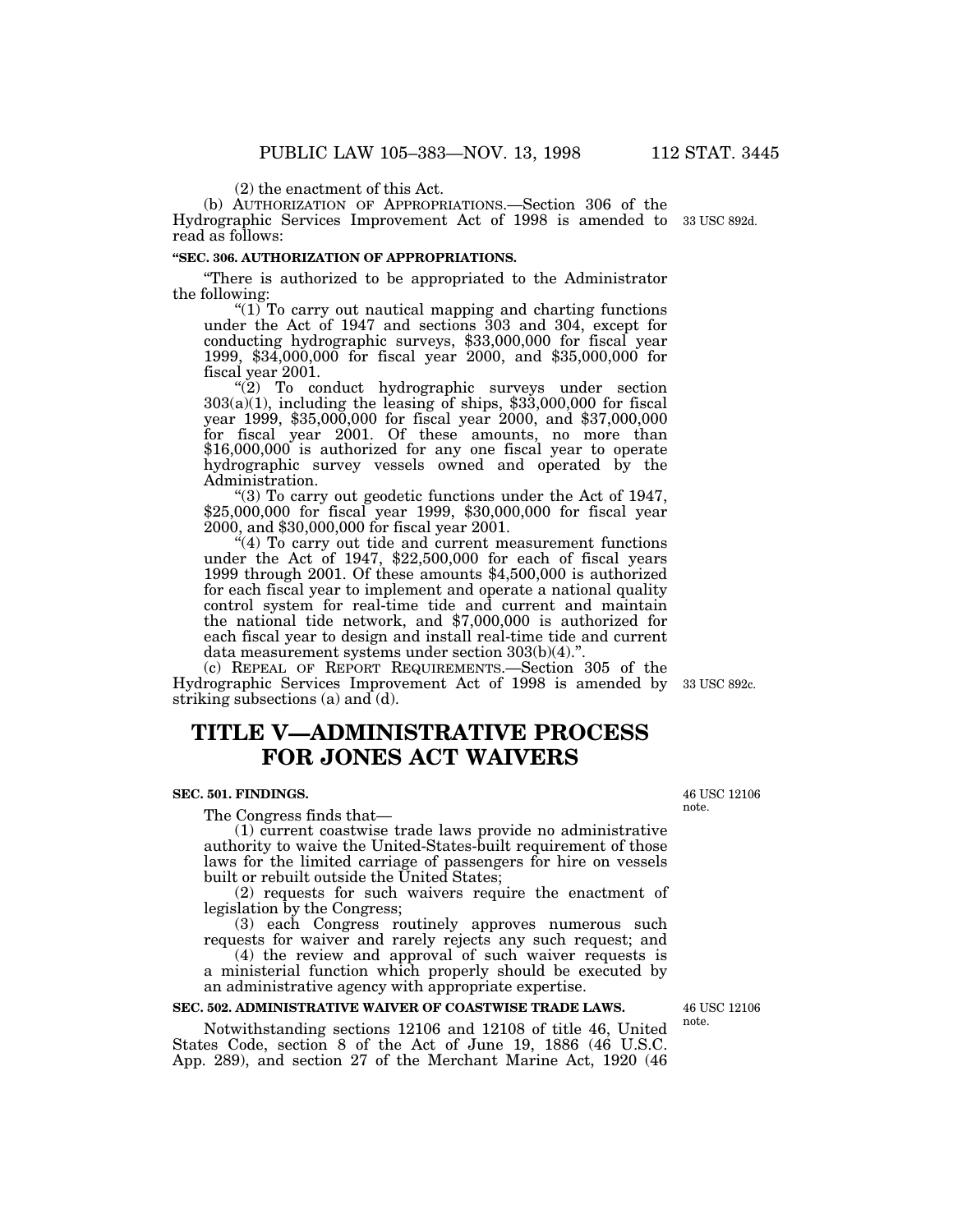(2) the enactment of this Act.

(b) AUTHORIZATION OF APPROPRIATIONS.—Section 306 of the Hydrographic Services Improvement Act of 1998 is amended to 33 USC 892d.read as follows:

# **''SEC. 306. AUTHORIZATION OF APPROPRIATIONS.**

''There is authorized to be appropriated to the Administrator the following:

" $(1)$  To carry out nautical mapping and charting functions under the Act of 1947 and sections 303 and 304, except for conducting hydrographic surveys, \$33,000,000 for fiscal year 1999, \$34,000,000 for fiscal year 2000, and \$35,000,000 for fiscal year 2001.

"(2) To conduct hydrographic surveys under section 303(a)(1), including the leasing of ships, \$33,000,000 for fiscal year 1999, \$35,000,000 for fiscal year 2000, and \$37,000,000 for fiscal year 2001. Of these amounts, no more than \$16,000,000 is authorized for any one fiscal year to operate hydrographic survey vessels owned and operated by the Administration.

''(3) To carry out geodetic functions under the Act of 1947, \$25,000,000 for fiscal year 1999, \$30,000,000 for fiscal year 2000, and \$30,000,000 for fiscal year 2001.

"(4) To carry out tide and current measurement functions under the Act of 1947, \$22,500,000 for each of fiscal years 1999 through 2001. Of these amounts \$4,500,000 is authorized for each fiscal year to implement and operate a national quality control system for real-time tide and current and maintain the national tide network, and \$7,000,000 is authorized for each fiscal year to design and install real-time tide and current data measurement systems under section 303(b)(4).''.

(c) REPEAL OF REPORT REQUIREMENTS.—Section 305 of the Hydrographic Services Improvement Act of 1998 is amended by 33 USC 892c. striking subsections (a) and  $(d)$ .

# **TITLE V—ADMINISTRATIVE PROCESS FOR JONES ACT WAIVERS**

## **SEC. 501. FINDINGS.**

The Congress finds that—

(1) current coastwise trade laws provide no administrative authority to waive the United-States-built requirement of those laws for the limited carriage of passengers for hire on vessels built or rebuilt outside the United States;

(2) requests for such waivers require the enactment of legislation by the Congress;

(3) each Congress routinely approves numerous such requests for waiver and rarely rejects any such request; and

(4) the review and approval of such waiver requests is a ministerial function which properly should be executed by an administrative agency with appropriate expertise.

# **SEC. 502. ADMINISTRATIVE WAIVER OF COASTWISE TRADE LAWS.**

Notwithstanding sections 12106 and 12108 of title 46, United States Code, section 8 of the Act of June 19, 1886 (46 U.S.C. App. 289), and section 27 of the Merchant Marine Act, 1920 (46

46 USC 12106 note.

46 USC 12106 note.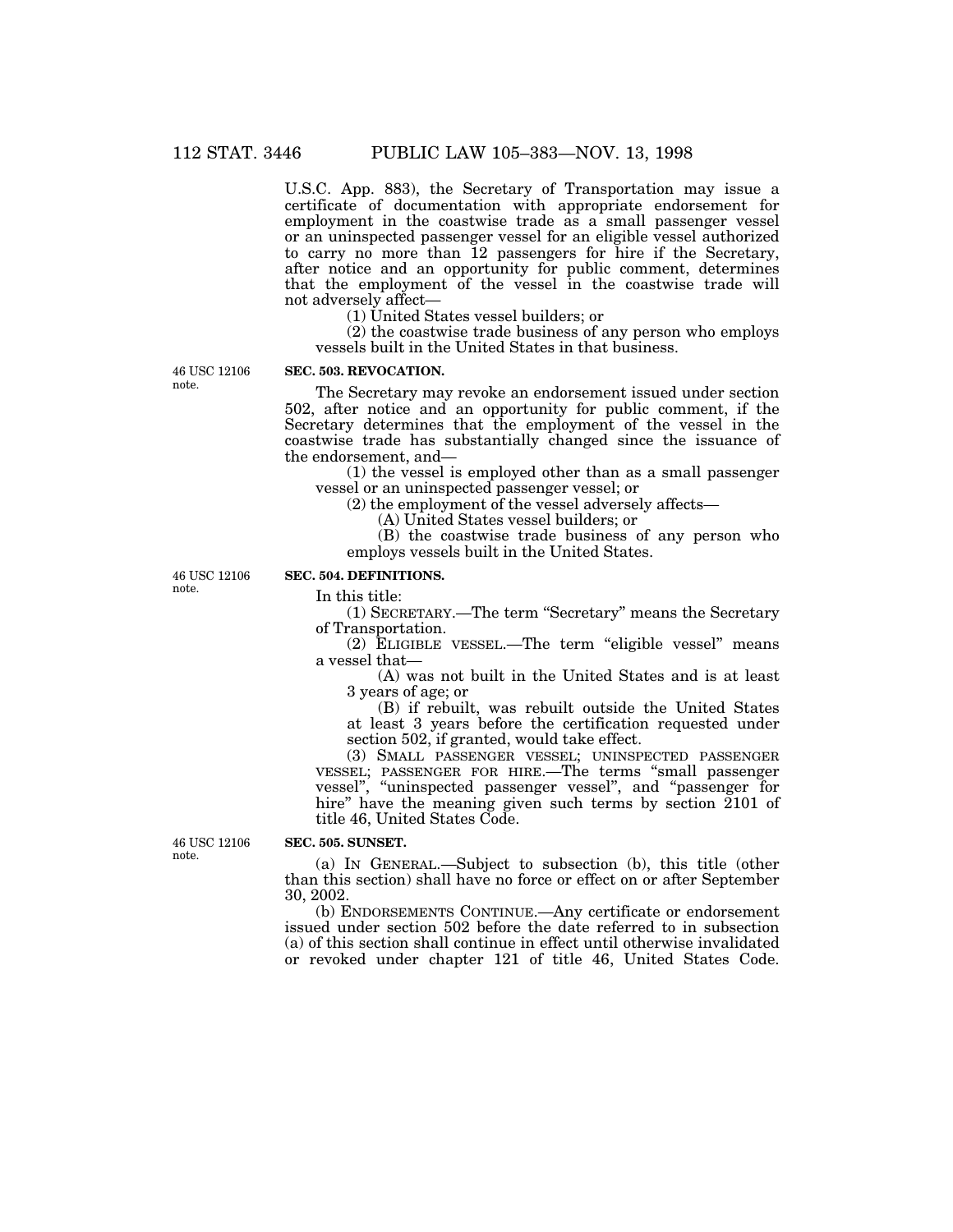U.S.C. App. 883), the Secretary of Transportation may issue a certificate of documentation with appropriate endorsement for employment in the coastwise trade as a small passenger vessel or an uninspected passenger vessel for an eligible vessel authorized to carry no more than 12 passengers for hire if the Secretary, after notice and an opportunity for public comment, determines that the employment of the vessel in the coastwise trade will not adversely affect—

(1) United States vessel builders; or

(2) the coastwise trade business of any person who employs vessels built in the United States in that business.

46 USC 12106 note.

# **SEC. 503. REVOCATION.**

The Secretary may revoke an endorsement issued under section 502, after notice and an opportunity for public comment, if the Secretary determines that the employment of the vessel in the coastwise trade has substantially changed since the issuance of the endorsement, and—

(1) the vessel is employed other than as a small passenger vessel or an uninspected passenger vessel; or

(2) the employment of the vessel adversely affects—

(A) United States vessel builders; or

(B) the coastwise trade business of any person who employs vessels built in the United States.

46 USC 12106 note.

# **SEC. 504. DEFINITIONS.**

In this title:

(1) SECRETARY.—The term "Secretary" means the Secretary of Transportation.

(2) ELIGIBLE VESSEL.—The term ''eligible vessel'' means a vessel that—

(A) was not built in the United States and is at least 3 years of age; or

(B) if rebuilt, was rebuilt outside the United States at least 3 years before the certification requested under section 502, if granted, would take effect.

(3) SMALL PASSENGER VESSEL; UNINSPECTED PASSENGER VESSEL; PASSENGER FOR HIRE.—The terms ''small passenger vessel'', ''uninspected passenger vessel'', and ''passenger for hire" have the meaning given such terms by section 2101 of title 46, United States Code.

46 USC 12106 note.

### **SEC. 505. SUNSET.**

(a) IN GENERAL.—Subject to subsection (b), this title (other than this section) shall have no force or effect on or after September 30, 2002.

(b) ENDORSEMENTS CONTINUE.—Any certificate or endorsement issued under section 502 before the date referred to in subsection (a) of this section shall continue in effect until otherwise invalidated or revoked under chapter 121 of title 46, United States Code.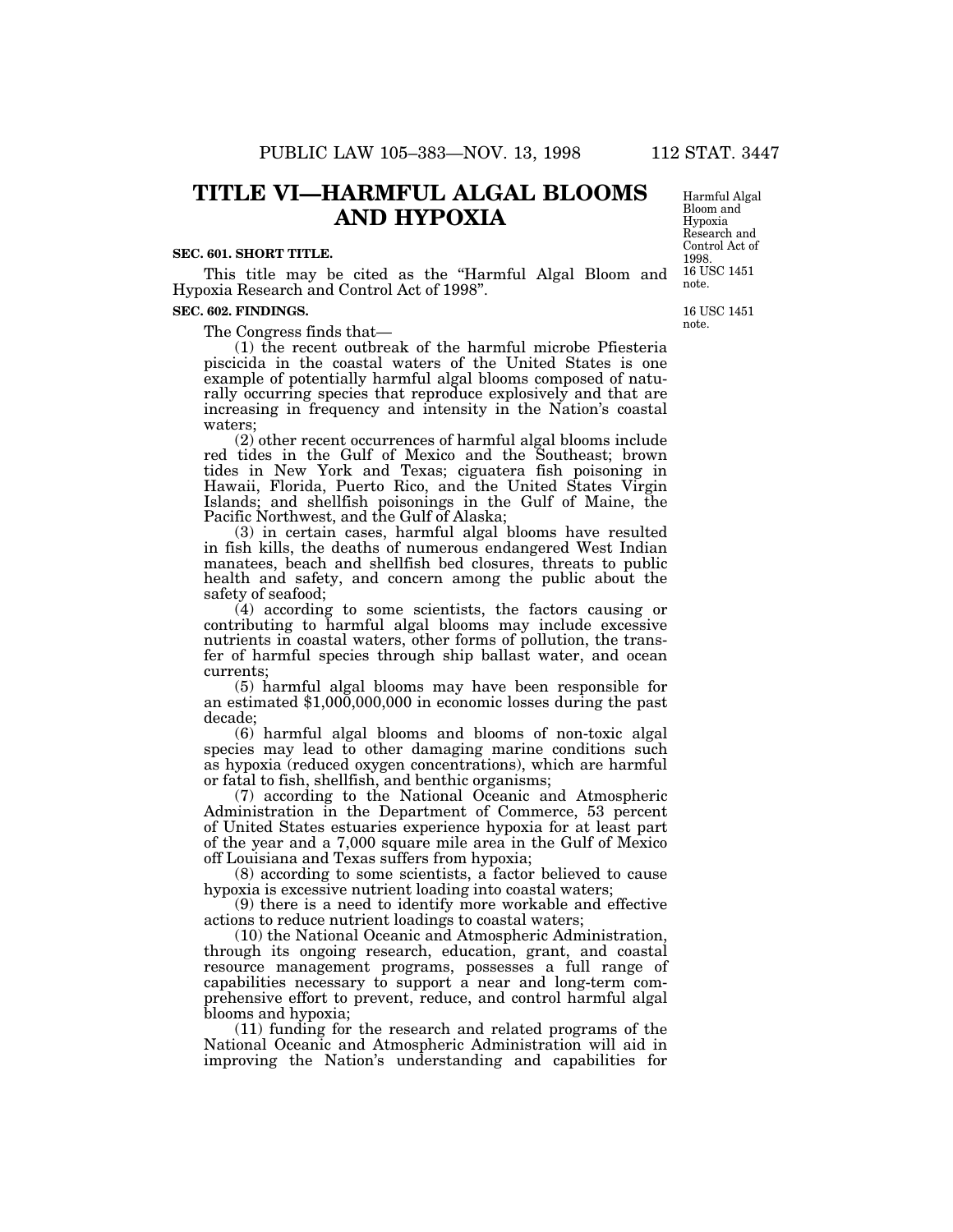# **TITLE VI—HARMFUL ALGAL BLOOMS AND HYPOXIA**

#### **SEC. 601. SHORT TITLE.**

This title may be cited as the "Harmful Algal Bloom and Hypoxia Research and Control Act of 1998''.

#### **SEC. 602. FINDINGS.**

The Congress finds that—

(1) the recent outbreak of the harmful microbe Pfiesteria piscicida in the coastal waters of the United States is one example of potentially harmful algal blooms composed of naturally occurring species that reproduce explosively and that are increasing in frequency and intensity in the Nation's coastal waters;

(2) other recent occurrences of harmful algal blooms include red tides in the Gulf of Mexico and the Southeast; brown tides in New York and Texas; ciguatera fish poisoning in Hawaii, Florida, Puerto Rico, and the United States Virgin Islands; and shellfish poisonings in the Gulf of Maine, the Pacific Northwest, and the Gulf of Alaska;

(3) in certain cases, harmful algal blooms have resulted in fish kills, the deaths of numerous endangered West Indian manatees, beach and shellfish bed closures, threats to public health and safety, and concern among the public about the safety of seafood;

(4) according to some scientists, the factors causing or contributing to harmful algal blooms may include excessive nutrients in coastal waters, other forms of pollution, the transfer of harmful species through ship ballast water, and ocean currents;<br>(5) harmful algal blooms may have been responsible for

an estimated  $$1,000,000,000$  in economic losses during the past decade;

(6) harmful algal blooms and blooms of non-toxic algal species may lead to other damaging marine conditions such as hypoxia (reduced oxygen concentrations), which are harmful or fatal to fish, shellfish, and benthic organisms;

(7) according to the National Oceanic and Atmospheric Administration in the Department of Commerce, 53 percent of United States estuaries experience hypoxia for at least part of the year and a 7,000 square mile area in the Gulf of Mexico off Louisiana and Texas suffers from hypoxia;

(8) according to some scientists, a factor believed to cause hypoxia is excessive nutrient loading into coastal waters;

(9) there is a need to identify more workable and effective actions to reduce nutrient loadings to coastal waters;

(10) the National Oceanic and Atmospheric Administration, through its ongoing research, education, grant, and coastal resource management programs, possesses a full range of capabilities necessary to support a near and long-term comprehensive effort to prevent, reduce, and control harmful algal blooms and hypoxia;

(11) funding for the research and related programs of the National Oceanic and Atmospheric Administration will aid in improving the Nation's understanding and capabilities for

16 USC 1451 note. Harmful Algal Bloom and Hypoxia Research and Control Act of 1998.

16 USC 1451 note.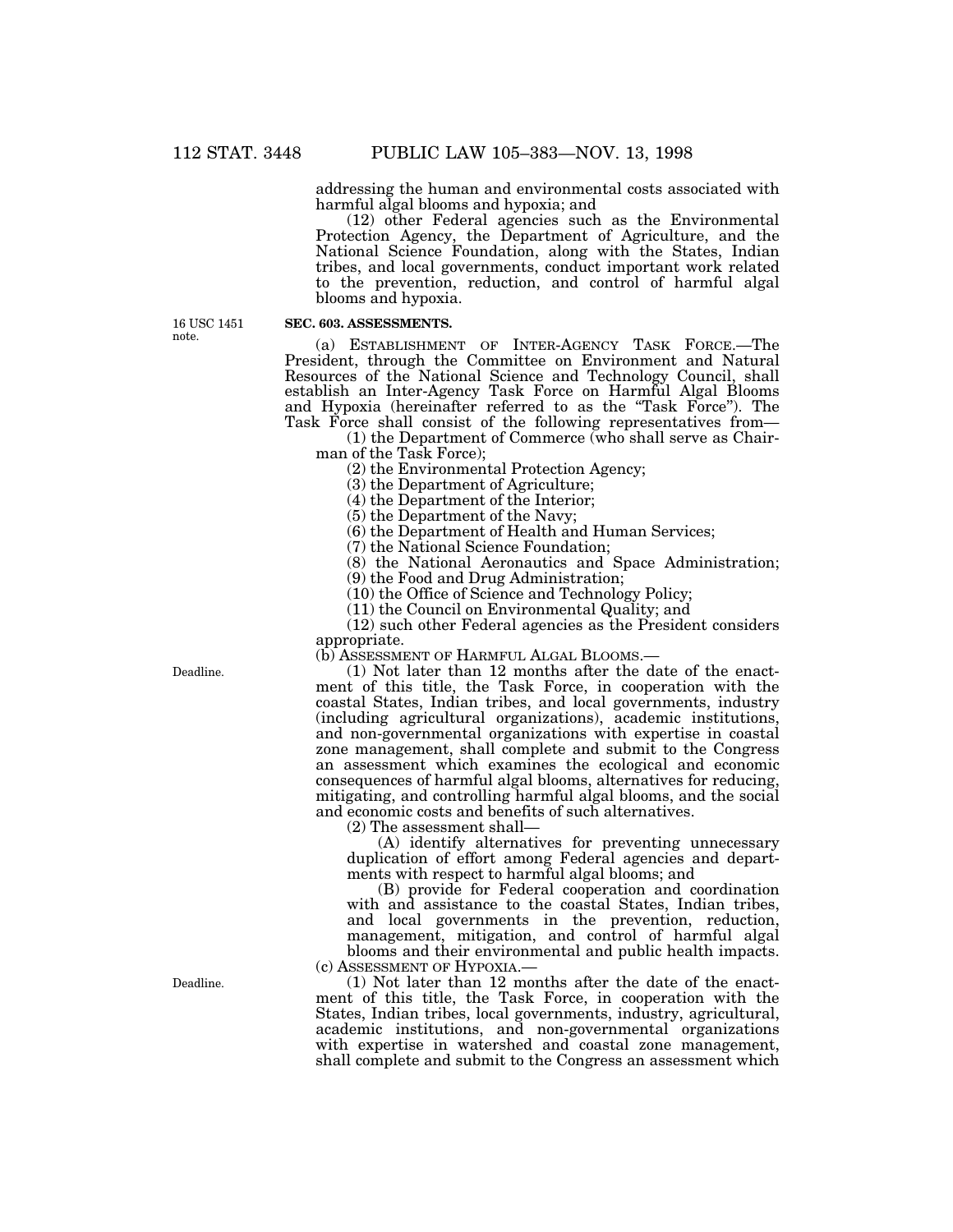addressing the human and environmental costs associated with harmful algal blooms and hypoxia; and

(12) other Federal agencies such as the Environmental Protection Agency, the Department of Agriculture, and the National Science Foundation, along with the States, Indian tribes, and local governments, conduct important work related to the prevention, reduction, and control of harmful algal blooms and hypoxia.

16 USC 1451 note.

# **SEC. 603. ASSESSMENTS.**

(a) ESTABLISHMENT OF INTER-AGENCY TASK FORCE.—The President, through the Committee on Environment and Natural Resources of the National Science and Technology Council, shall establish an Inter-Agency Task Force on Harmful Algal Blooms and Hypoxia (hereinafter referred to as the ''Task Force''). The Task Force shall consist of the following representatives from—

(1) the Department of Commerce (who shall serve as Chairman of the Task Force);

(2) the Environmental Protection Agency;

(3) the Department of Agriculture;

(4) the Department of the Interior;

(5) the Department of the Navy;

(6) the Department of Health and Human Services;

(7) the National Science Foundation;

(8) the National Aeronautics and Space Administration;

(9) the Food and Drug Administration;

(10) the Office of Science and Technology Policy;

(11) the Council on Environmental Quality; and

(12) such other Federal agencies as the President considers appropriate.

(b) ASSESSMENT OF HARMFUL ALGAL BLOOMS.—

(1) Not later than 12 months after the date of the enactment of this title, the Task Force, in cooperation with the coastal States, Indian tribes, and local governments, industry (including agricultural organizations), academic institutions, and non-governmental organizations with expertise in coastal zone management, shall complete and submit to the Congress an assessment which examines the ecological and economic consequences of harmful algal blooms, alternatives for reducing, mitigating, and controlling harmful algal blooms, and the social and economic costs and benefits of such alternatives.

(2) The assessment shall—

(A) identify alternatives for preventing unnecessary duplication of effort among Federal agencies and departments with respect to harmful algal blooms; and

(B) provide for Federal cooperation and coordination with and assistance to the coastal States, Indian tribes, and local governments in the prevention, reduction, management, mitigation, and control of harmful algal blooms and their environmental and public health impacts. (c) ASSESSMENT OF HYPOXIA.—

(1) Not later than 12 months after the date of the enactment of this title, the Task Force, in cooperation with the States, Indian tribes, local governments, industry, agricultural, academic institutions, and non-governmental organizations with expertise in watershed and coastal zone management, shall complete and submit to the Congress an assessment which

Deadline.

Deadline.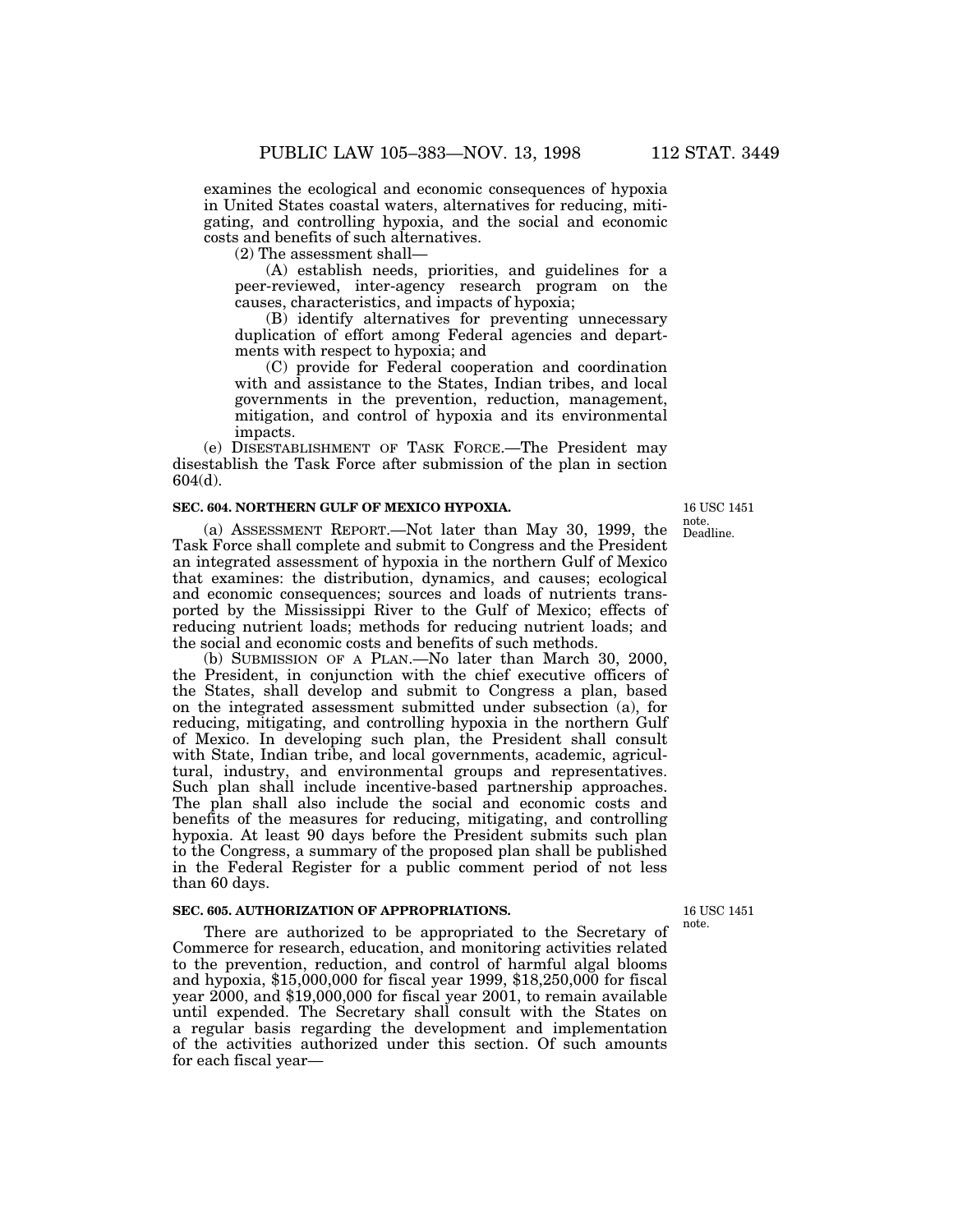examines the ecological and economic consequences of hypoxia in United States coastal waters, alternatives for reducing, mitigating, and controlling hypoxia, and the social and economic costs and benefits of such alternatives.

(2) The assessment shall—

(A) establish needs, priorities, and guidelines for a peer-reviewed, inter-agency research program on the causes, characteristics, and impacts of hypoxia;

(B) identify alternatives for preventing unnecessary duplication of effort among Federal agencies and departments with respect to hypoxia; and

(C) provide for Federal cooperation and coordination with and assistance to the States, Indian tribes, and local governments in the prevention, reduction, management, mitigation, and control of hypoxia and its environmental impacts.

(e) DISESTABLISHMENT OF TASK FORCE.—The President may disestablish the Task Force after submission of the plan in section 604(d).

#### **SEC. 604. NORTHERN GULF OF MEXICO HYPOXIA.**

(a) ASSESSMENT REPORT.—Not later than May 30, 1999, the Task Force shall complete and submit to Congress and the President an integrated assessment of hypoxia in the northern Gulf of Mexico that examines: the distribution, dynamics, and causes; ecological and economic consequences; sources and loads of nutrients transported by the Mississippi River to the Gulf of Mexico; effects of reducing nutrient loads; methods for reducing nutrient loads; and the social and economic costs and benefits of such methods.

(b) SUBMISSION OF A PLAN.—No later than March 30, 2000, the President, in conjunction with the chief executive officers of the States, shall develop and submit to Congress a plan, based on the integrated assessment submitted under subsection (a), for reducing, mitigating, and controlling hypoxia in the northern Gulf of Mexico. In developing such plan, the President shall consult with State, Indian tribe, and local governments, academic, agricultural, industry, and environmental groups and representatives. Such plan shall include incentive-based partnership approaches. The plan shall also include the social and economic costs and benefits of the measures for reducing, mitigating, and controlling hypoxia. At least 90 days before the President submits such plan to the Congress, a summary of the proposed plan shall be published in the Federal Register for a public comment period of not less than 60 days.

## **SEC. 605. AUTHORIZATION OF APPROPRIATIONS.**

There are authorized to be appropriated to the Secretary of Commerce for research, education, and monitoring activities related to the prevention, reduction, and control of harmful algal blooms and hypoxia, \$15,000,000 for fiscal year 1999, \$18,250,000 for fiscal year 2000, and \$19,000,000 for fiscal year 2001, to remain available until expended. The Secretary shall consult with the States on a regular basis regarding the development and implementation of the activities authorized under this section. Of such amounts for each fiscal year—

Deadline. 16 USC 1451 note.

16 USC 1451 note.